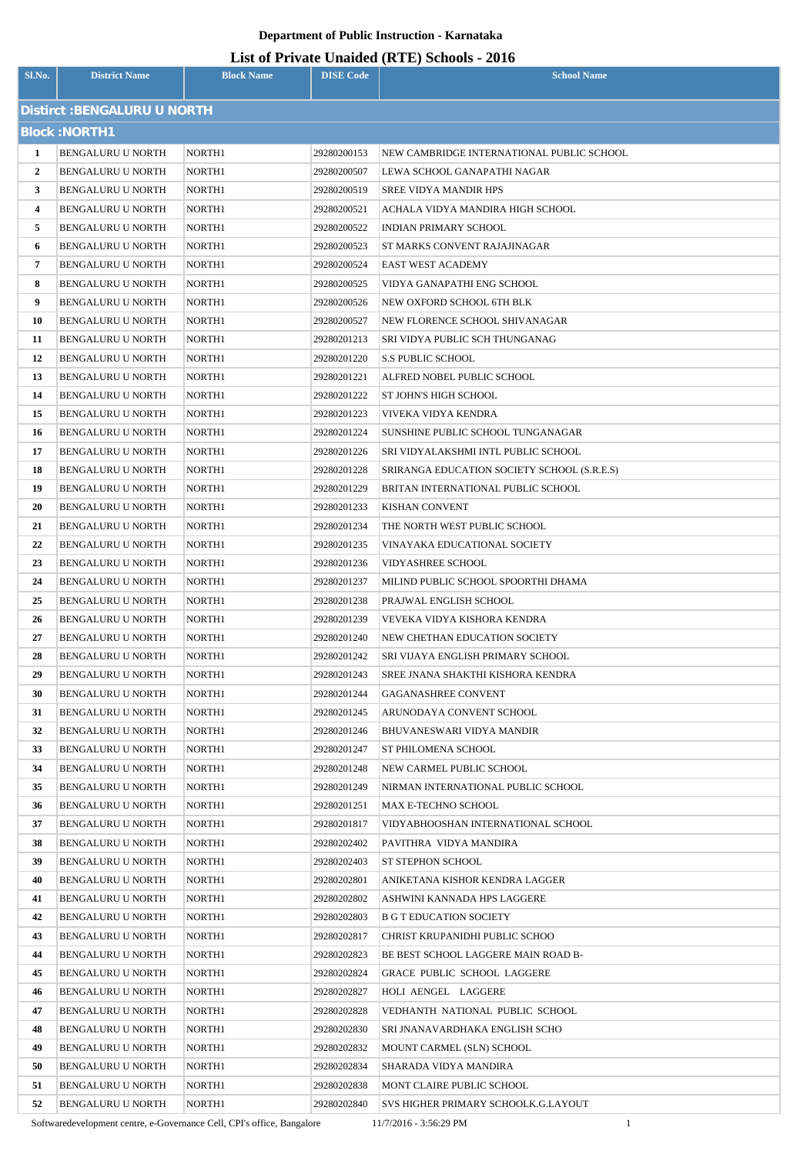# **List of Private Unaided (RTE) Schools - 2016**

|                              |                                        |                    |                            | List of Frivate Unaffect (KTL) Schools - 2010                    |  |  |
|------------------------------|----------------------------------------|--------------------|----------------------------|------------------------------------------------------------------|--|--|
| Sl.No.                       | <b>District Name</b>                   | <b>Block Name</b>  | <b>DISE Code</b>           | <b>School Name</b>                                               |  |  |
| Distirct : BENGALURU U NORTH |                                        |                    |                            |                                                                  |  |  |
| <b>Block: NORTH1</b>         |                                        |                    |                            |                                                                  |  |  |
|                              |                                        |                    |                            |                                                                  |  |  |
| 1                            | BENGALURU U NORTH                      | NORTH1             | 29280200153                | NEW CAMBRIDGE INTERNATIONAL PUBLIC SCHOOL                        |  |  |
| $\mathbf{2}$                 | BENGALURU U NORTH                      | NORTH1             | 29280200507                | LEWA SCHOOL GANAPATHI NAGAR                                      |  |  |
| 3                            | BENGALURU U NORTH                      | NORTH1             | 29280200519                | <b>SREE VIDYA MANDIR HPS</b>                                     |  |  |
| 4                            | BENGALURU U NORTH<br>BENGALURU U NORTH | NORTH1             | 29280200521                | ACHALA VIDYA MANDIRA HIGH SCHOOL<br><b>INDIAN PRIMARY SCHOOL</b> |  |  |
| 5<br>6                       | BENGALURU U NORTH                      | NORTH1<br>NORTH1   | 29280200522<br>29280200523 | ST MARKS CONVENT RAJAJINAGAR                                     |  |  |
| 7                            |                                        | NORTH1             | 29280200524                | <b>EAST WEST ACADEMY</b>                                         |  |  |
| 8                            | BENGALURU U NORTH<br>BENGALURU U NORTH | NORTH1             | 29280200525                | VIDYA GANAPATHI ENG SCHOOL                                       |  |  |
| 9                            | <b>BENGALURU U NORTH</b>               | NORTH1             | 29280200526                | NEW OXFORD SCHOOL 6TH BLK                                        |  |  |
| 10                           | BENGALURU U NORTH                      | NORTH1             | 29280200527                | NEW FLORENCE SCHOOL SHIVANAGAR                                   |  |  |
| 11                           | BENGALURU U NORTH                      | NORTH1             | 29280201213                | <b>SRI VIDYA PUBLIC SCH THUNGANAG</b>                            |  |  |
| 12                           | BENGALURU U NORTH                      | NORTH1             | 29280201220                | <b>S.S PUBLIC SCHOOL</b>                                         |  |  |
| 13                           | BENGALURU U NORTH                      | NORTH1             | 29280201221                | ALFRED NOBEL PUBLIC SCHOOL                                       |  |  |
| 14                           | BENGALURU U NORTH                      | NORTH1             | 29280201222                | <b>ST JOHN'S HIGH SCHOOL</b>                                     |  |  |
| 15                           | BENGALURU U NORTH                      | NORTH1             | 29280201223                | VIVEKA VIDYA KENDRA                                              |  |  |
| 16                           | BENGALURU U NORTH                      | NORTH1             | 29280201224                | SUNSHINE PUBLIC SCHOOL TUNGANAGAR                                |  |  |
| 17                           | BENGALURU U NORTH                      | NORTH1             | 29280201226                | SRI VIDYALAKSHMI INTL PUBLIC SCHOOL                              |  |  |
| 18                           | BENGALURU U NORTH                      | NORTH1             | 29280201228                | SRIRANGA EDUCATION SOCIETY SCHOOL (S.R.E.S)                      |  |  |
| 19                           | BENGALURU U NORTH                      | NORTH1             | 29280201229                | BRITAN INTERNATIONAL PUBLIC SCHOOL                               |  |  |
| 20                           | BENGALURU U NORTH                      | NORTH1             | 29280201233                | <b>KISHAN CONVENT</b>                                            |  |  |
| 21                           | BENGALURU U NORTH                      | NORTH1             | 29280201234                | THE NORTH WEST PUBLIC SCHOOL                                     |  |  |
| 22                           | BENGALURU U NORTH                      | NORTH1             | 29280201235                | VINAYAKA EDUCATIONAL SOCIETY                                     |  |  |
| 23                           | BENGALURU U NORTH                      | NORTH <sub>1</sub> | 29280201236                | <b>VIDYASHREE SCHOOL</b>                                         |  |  |
| 24                           | BENGALURU U NORTH                      | NORTH1             | 29280201237                | MILIND PUBLIC SCHOOL SPOORTHI DHAMA                              |  |  |
| 25                           | BENGALURU U NORTH                      | NORTH1             | 29280201238                | PRAJWAL ENGLISH SCHOOL                                           |  |  |
| 26                           | <b>BENGALURU U NORTH</b>               | NORTH1             | 29280201239                | VEVEKA VIDYA KISHORA KENDRA                                      |  |  |
| 27                           | BENGALURU U NORTH                      | NORTH1             | 29280201240                | NEW CHETHAN EDUCATION SOCIETY                                    |  |  |
| 28                           | BENGALURU U NORTH                      | NORTH1             | 29280201242                | SRI VIJAYA ENGLISH PRIMARY SCHOOL                                |  |  |
| 29                           | BENGALURU U NORTH                      | NORTH1             | 29280201243                | SREE JNANA SHAKTHI KISHORA KENDRA                                |  |  |
| 30                           | <b>BENGALURU U NORTH</b>               | NORTH1             | 29280201244                | <b>GAGANASHREE CONVENT</b>                                       |  |  |
| 31                           | BENGALURU U NORTH                      | NORTH1             | 29280201245                | ARUNODAYA CONVENT SCHOOL                                         |  |  |
| 32                           | BENGALURU U NORTH                      | NORTH1             | 29280201246                | <b>BHUVANESWARI VIDYA MANDIR</b>                                 |  |  |
| 33                           | BENGALURU U NORTH                      | NORTH1             | 29280201247                | ST PHILOMENA SCHOOL                                              |  |  |
| 34                           | BENGALURU U NORTH                      | NORTH1             | 29280201248                | NEW CARMEL PUBLIC SCHOOL                                         |  |  |
| 35                           | BENGALURU U NORTH                      | NORTH1             | 29280201249                | NIRMAN INTERNATIONAL PUBLIC SCHOOL                               |  |  |
| 36                           | BENGALURU U NORTH                      | NORTH1             | 29280201251                | MAX E-TECHNO SCHOOL                                              |  |  |
| 37                           | BENGALURU U NORTH                      | NORTH1             | 29280201817                | VIDYABHOOSHAN INTERNATIONAL SCHOOL                               |  |  |
| 38                           | BENGALURU U NORTH                      | NORTH1             | 29280202402                | PAVITHRA VIDYA MANDIRA                                           |  |  |
| 39                           | BENGALURU U NORTH                      | NORTH1             | 29280202403                | <b>ST STEPHON SCHOOL</b>                                         |  |  |
| 40                           | BENGALURU U NORTH                      | NORTH1             | 29280202801                | ANIKETANA KISHOR KENDRA LAGGER                                   |  |  |
| 41                           | BENGALURU U NORTH                      | NORTH1             | 29280202802                | ASHWINI KANNADA HPS LAGGERE                                      |  |  |
| 42                           | BENGALURU U NORTH                      | NORTH1             | 29280202803                | <b>B G T EDUCATION SOCIETY</b>                                   |  |  |
| 43                           | BENGALURU U NORTH                      | NORTH1             | 29280202817                | CHRIST KRUPANIDHI PUBLIC SCHOO                                   |  |  |
| 44                           | BENGALURU U NORTH                      | NORTH1             | 29280202823                | BE BEST SCHOOL LAGGERE MAIN ROAD B-                              |  |  |
| 45                           | BENGALURU U NORTH                      | NORTH1             | 29280202824                | <b>GRACE PUBLIC SCHOOL LAGGERE</b>                               |  |  |
| 46                           | BENGALURU U NORTH                      | NORTH1             | 29280202827                | HOLI AENGEL LAGGERE                                              |  |  |
| 47                           | <b>BENGALURU U NORTH</b>               | NORTH1             | 29280202828                | VEDHANTH NATIONAL PUBLIC SCHOOL                                  |  |  |
| 48                           | BENGALURU U NORTH                      | NORTH1             | 29280202830                | SRI JNANAVARDHAKA ENGLISH SCHO                                   |  |  |
| 49                           | BENGALURU U NORTH                      | NORTH1             | 29280202832                | MOUNT CARMEL (SLN) SCHOOL                                        |  |  |
| 50                           | BENGALURU U NORTH                      | NORTH1             | 29280202834                | SHARADA VIDYA MANDIRA                                            |  |  |
| 51                           | BENGALURU U NORTH                      | NORTH1             | 29280202838                | MONT CLAIRE PUBLIC SCHOOL                                        |  |  |
| 52                           | BENGALURU U NORTH                      | NORTH1             | 29280202840                | SVS HIGHER PRIMARY SCHOOLK.G.LAYOUT                              |  |  |

Softwaredevelopment centre, e-Governance Cell, CPI's office, Bangalore 11/7/2016 - 3:56:29 PM 1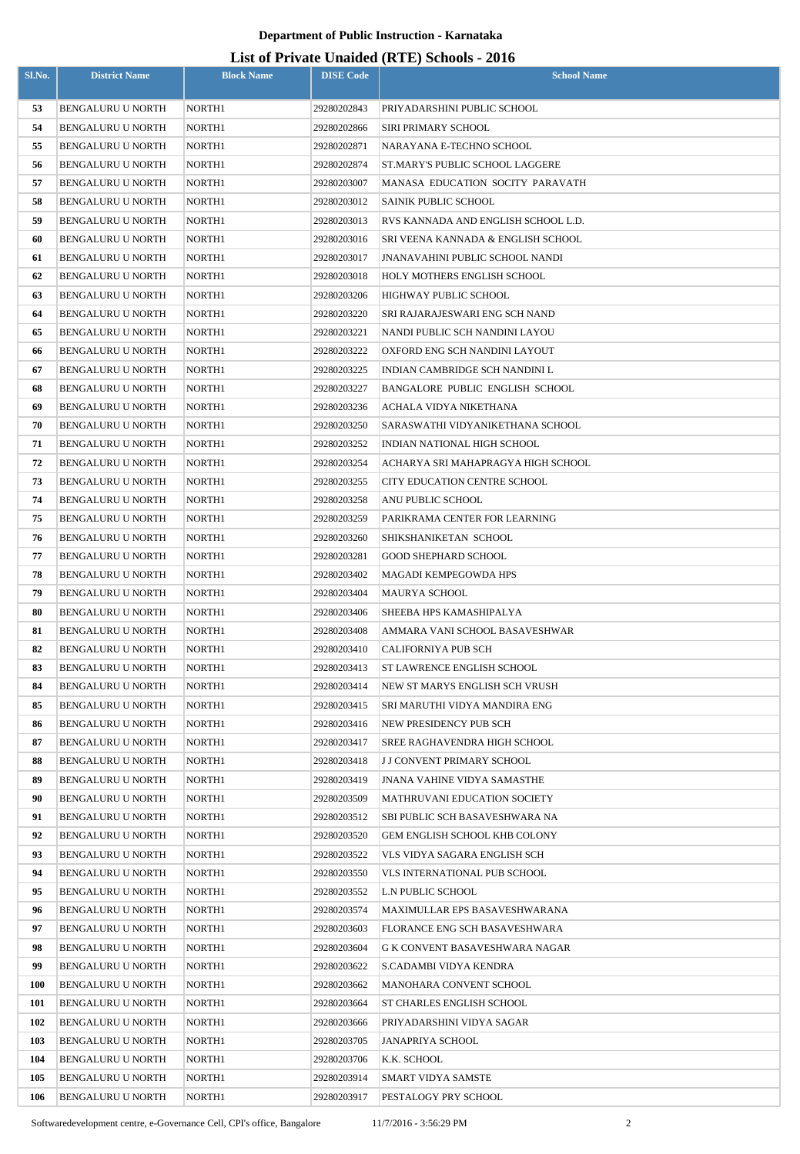| Sl.No.   | <b>District Name</b>                   | <b>Block Name</b>  | <b>DISE Code</b>           | <b>School Name</b>                                           |
|----------|----------------------------------------|--------------------|----------------------------|--------------------------------------------------------------|
| 53       | <b>BENGALURU U NORTH</b>               | NORTH1             | 29280202843                | PRIYADARSHINI PUBLIC SCHOOL                                  |
| 54       | <b>BENGALURU U NORTH</b>               | NORTH1             | 29280202866                | <b>SIRI PRIMARY SCHOOL</b>                                   |
| 55       | BENGALURU U NORTH                      | NORTH1             | 29280202871                | NARAYANA E-TECHNO SCHOOL                                     |
| 56       | BENGALURU U NORTH                      | NORTH1             | 29280202874                | ST.MARY'S PUBLIC SCHOOL LAGGERE                              |
| 57       | <b>BENGALURU U NORTH</b>               | NORTH1             | 29280203007                | MANASA EDUCATION SOCITY PARAVATH                             |
| 58       | <b>BENGALURU U NORTH</b>               | NORTH1             | 29280203012                | <b>SAINIK PUBLIC SCHOOL</b>                                  |
| 59       | BENGALURU U NORTH                      | NORTH1             | 29280203013                | RVS KANNADA AND ENGLISH SCHOOL L.D.                          |
| 60       | BENGALURU U NORTH                      | NORTH1             | 29280203016                | SRI VEENA KANNADA & ENGLISH SCHOOL                           |
| 61       | BENGALURU U NORTH                      | NORTH1             | 29280203017                | JNANAVAHINI PUBLIC SCHOOL NANDI                              |
| 62       | BENGALURU U NORTH                      | NORTH1             | 29280203018                | HOLY MOTHERS ENGLISH SCHOOL                                  |
| 63       | BENGALURU U NORTH                      | NORTH1             | 29280203206                | HIGHWAY PUBLIC SCHOOL                                        |
| 64       | BENGALURU U NORTH                      | NORTH1             | 29280203220                | SRI RAJARAJESWARI ENG SCH NAND                               |
| 65       | <b>BENGALURU U NORTH</b>               | NORTH1             | 29280203221                | NANDI PUBLIC SCH NANDINI LAYOU                               |
| 66       | <b>BENGALURU U NORTH</b>               | NORTH1             | 29280203222                | OXFORD ENG SCH NANDINI LAYOUT                                |
| 67       | BENGALURU U NORTH                      | NORTH1             | 29280203225                | INDIAN CAMBRIDGE SCH NANDINI L                               |
| 68       | BENGALURU U NORTH                      | NORTH1             | 29280203227                | BANGALORE PUBLIC ENGLISH SCHOOL                              |
| 69       | <b>BENGALURU U NORTH</b>               | NORTH1             | 29280203236                | ACHALA VIDYA NIKETHANA                                       |
| 70       | <b>BENGALURU U NORTH</b>               | NORTH1             | 29280203250                | SARASWATHI VIDYANIKETHANA SCHOOL                             |
| 71       | BENGALURU U NORTH                      | NORTH1             | 29280203252                | INDIAN NATIONAL HIGH SCHOOL                                  |
| 72       | <b>BENGALURU U NORTH</b>               | NORTH1             | 29280203254                | ACHARYA SRI MAHAPRAGYA HIGH SCHOOL                           |
| 73       | BENGALURU U NORTH                      | NORTH1             | 29280203255                | CITY EDUCATION CENTRE SCHOOL                                 |
| 74       | BENGALURU U NORTH                      | NORTH <sub>1</sub> | 29280203258                | ANU PUBLIC SCHOOL                                            |
| 75       | BENGALURU U NORTH                      | NORTH1             | 29280203259                | PARIKRAMA CENTER FOR LEARNING                                |
| 76       | BENGALURU U NORTH                      | NORTH <sub>1</sub> | 29280203260                | SHIKSHANIKETAN SCHOOL                                        |
| 77       | BENGALURU U NORTH                      | NORTH1             | 29280203281                | <b>GOOD SHEPHARD SCHOOL</b>                                  |
| 78       | BENGALURU U NORTH                      | NORTH <sub>1</sub> | 29280203402                | MAGADI KEMPEGOWDA HPS                                        |
| 79       | BENGALURU U NORTH                      | NORTH1             | 29280203404                | MAURYA SCHOOL                                                |
| 80       | BENGALURU U NORTH                      | NORTH1             | 29280203406                | SHEEBA HPS KAMASHIPALYA                                      |
| 81       | <b>BENGALURU U NORTH</b>               | NORTH1             | 29280203408                | AMMARA VANI SCHOOL BASAVESHWAR                               |
| 82       | <b>BENGALURU U NORTH</b>               | NORTH1             | 29280203410                | CALIFORNIYA PUB SCH                                          |
| 83<br>84 | BENGALURU U NORTH<br>BENGALURU U NORTH | NORTH1<br>NORTH1   | 29280203413<br>29280203414 | ST LAWRENCE ENGLISH SCHOOL<br>NEW ST MARYS ENGLISH SCH VRUSH |
| 85       | BENGALURU U NORTH                      | NORTH1             | 29280203415                | SRI MARUTHI VIDYA MANDIRA ENG                                |
| 86       | BENGALURU U NORTH                      | NORTH1             | 29280203416                | NEW PRESIDENCY PUB SCH                                       |
| 87       | BENGALURU U NORTH                      | NORTH1             | 29280203417                | SREE RAGHAVENDRA HIGH SCHOOL                                 |
| 88       | BENGALURU U NORTH                      | NORTH1             | 29280203418                | <b>J J CONVENT PRIMARY SCHOOL</b>                            |
| 89       | BENGALURU U NORTH                      | NORTH1             | 29280203419                | JNANA VAHINE VIDYA SAMASTHE                                  |
| 90       | <b>BENGALURU U NORTH</b>               | NORTH1             | 29280203509                | <b>MATHRUVANI EDUCATION SOCIETY</b>                          |
| 91       | <b>BENGALURU U NORTH</b>               | NORTH1             | 29280203512                | SBI PUBLIC SCH BASAVESHWARA NA                               |
| 92       | <b>BENGALURU U NORTH</b>               | NORTH1             | 29280203520                | GEM ENGLISH SCHOOL KHB COLONY                                |
| 93       | BENGALURU U NORTH                      | NORTH1             | 29280203522                | VLS VIDYA SAGARA ENGLISH SCH                                 |
| 94       | <b>BENGALURU U NORTH</b>               | NORTH1             | 29280203550                | VLS INTERNATIONAL PUB SCHOOL                                 |
| 95       | BENGALURU U NORTH                      | NORTH1             | 29280203552                | L.N PUBLIC SCHOOL                                            |
| 96       | BENGALURU U NORTH                      | NORTH1             | 29280203574                | MAXIMULLAR EPS BASAVESHWARANA                                |
| 97       | BENGALURU U NORTH                      | NORTH1             | 29280203603                | FLORANCE ENG SCH BASAVESHWARA                                |
| 98       | BENGALURU U NORTH                      | NORTH1             | 29280203604                | G K CONVENT BASAVESHWARA NAGAR                               |
| 99       | BENGALURU U NORTH                      | NORTH1             | 29280203622                | S.CADAMBI VIDYA KENDRA                                       |
| 100      | <b>BENGALURU U NORTH</b>               | NORTH1             | 29280203662                | MANOHARA CONVENT SCHOOL                                      |
| 101      | BENGALURU U NORTH                      | NORTH1             | 29280203664                | ST CHARLES ENGLISH SCHOOL                                    |
| 102      | <b>BENGALURU U NORTH</b>               | NORTH1             | 29280203666                | PRIYADARSHINI VIDYA SAGAR                                    |
| 103      | <b>BENGALURU U NORTH</b>               | NORTH1             | 29280203705                | <b>JANAPRIYA SCHOOL</b>                                      |
| 104      | <b>BENGALURU U NORTH</b>               | NORTH1             | 29280203706                | K.K. SCHOOL                                                  |
| 105      | <b>BENGALURU U NORTH</b>               | NORTH1             | 29280203914                | SMART VIDYA SAMSTE                                           |
| 106      | <b>BENGALURU U NORTH</b>               | NORTH1             | 29280203917                | PESTALOGY PRY SCHOOL                                         |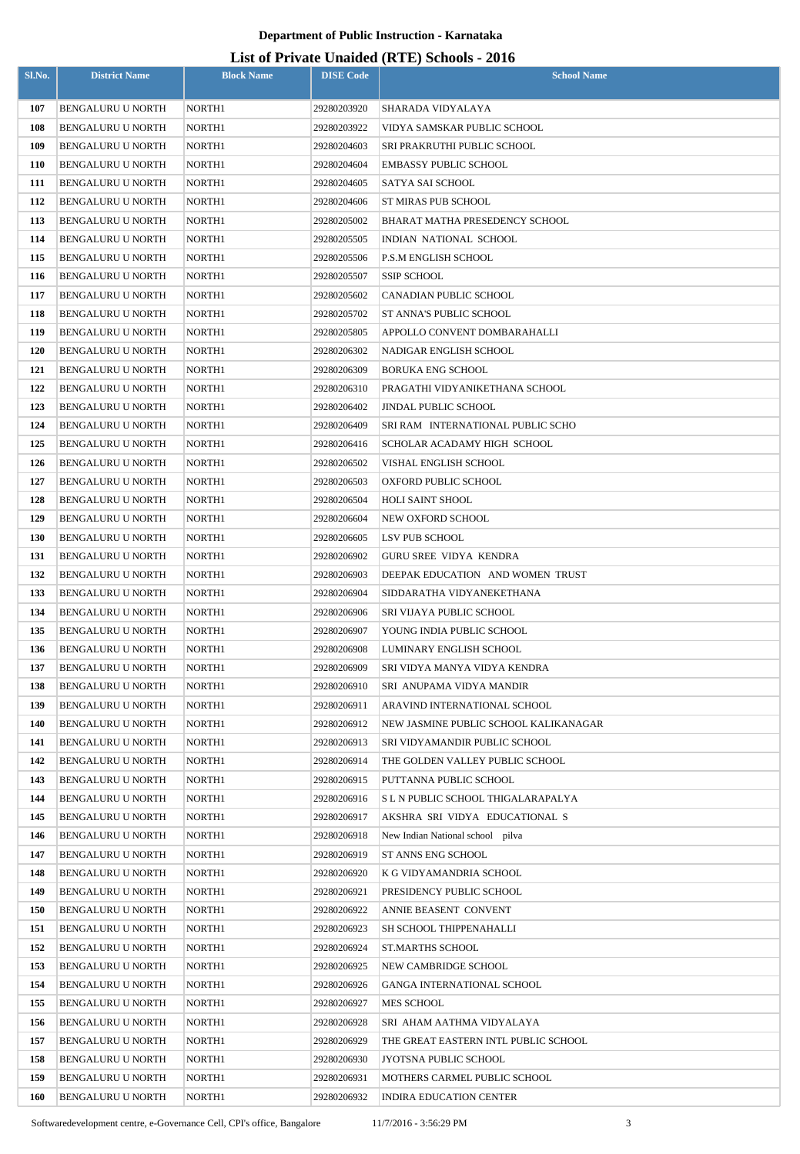| Sl.No.     | <b>District Name</b>                   | <b>Block Name</b>  | <b>DISE Code</b>           | $\frac{1}{2}$<br><b>School Name</b>   |
|------------|----------------------------------------|--------------------|----------------------------|---------------------------------------|
|            |                                        |                    |                            | SHARADA VIDYALAYA                     |
| 107<br>108 | BENGALURU U NORTH<br>BENGALURU U NORTH | NORTH1             | 29280203920                | VIDYA SAMSKAR PUBLIC SCHOOL           |
| 109        | BENGALURU U NORTH                      | NORTH1<br>NORTH1   | 29280203922                | SRI PRAKRUTHI PUBLIC SCHOOL           |
| <b>110</b> | BENGALURU U NORTH                      | NORTH1             | 29280204603<br>29280204604 | <b>EMBASSY PUBLIC SCHOOL</b>          |
| 111        | BENGALURU U NORTH                      | NORTH1             | 29280204605                | SATYA SAI SCHOOL                      |
| 112        | BENGALURU U NORTH                      | NORTH <sub>1</sub> | 29280204606                | ST MIRAS PUB SCHOOL                   |
| 113        | BENGALURU U NORTH                      | NORTH1             | 29280205002                | BHARAT MATHA PRESEDENCY SCHOOL        |
| 114        | BENGALURU U NORTH                      | NORTH1             | 29280205505                | INDIAN NATIONAL SCHOOL                |
| 115        | <b>BENGALURU U NORTH</b>               | NORTH1             | 29280205506                | <b>P.S.M ENGLISH SCHOOL</b>           |
| 116        | <b>BENGALURU U NORTH</b>               | NORTH1             | 29280205507                | <b>SSIP SCHOOL</b>                    |
| 117        | <b>BENGALURU U NORTH</b>               | NORTH1             | 29280205602                | <b>CANADIAN PUBLIC SCHOOL</b>         |
| 118        | BENGALURU U NORTH                      | NORTH1             | 29280205702                | ST ANNA'S PUBLIC SCHOOL               |
| 119        | <b>BENGALURU U NORTH</b>               | NORTH1             | 29280205805                | APPOLLO CONVENT DOMBARAHALLI          |
| <b>120</b> | BENGALURU U NORTH                      | NORTH1             | 29280206302                | NADIGAR ENGLISH SCHOOL                |
| 121        | BENGALURU U NORTH                      | NORTH1             | 29280206309                | <b>BORUKA ENG SCHOOL</b>              |
| 122        | BENGALURU U NORTH                      | NORTH1             | 29280206310                | PRAGATHI VIDYANIKETHANA SCHOOL        |
| 123        | BENGALURU U NORTH                      | NORTH1             | 29280206402                | <b>JINDAL PUBLIC SCHOOL</b>           |
| 124        | BENGALURU U NORTH                      | NORTH1             | 29280206409                | SRI RAM INTERNATIONAL PUBLIC SCHO     |
| 125        | BENGALURU U NORTH                      | NORTH1             | 29280206416                | SCHOLAR ACADAMY HIGH SCHOOL           |
| 126        | BENGALURU U NORTH                      | NORTH1             | 29280206502                | VISHAL ENGLISH SCHOOL                 |
| 127        | BENGALURU U NORTH                      | NORTH1             | 29280206503                | OXFORD PUBLIC SCHOOL                  |
| 128        | <b>BENGALURU U NORTH</b>               | NORTH1             | 29280206504                | HOLI SAINT SHOOL                      |
| 129        | BENGALURU U NORTH                      | NORTH1             | 29280206604                | NEW OXFORD SCHOOL                     |
| <b>130</b> | BENGALURU U NORTH                      | NORTH1             | 29280206605                | LSV PUB SCHOOL                        |
| 131        | BENGALURU U NORTH                      | NORTH1             | 29280206902                | <b>GURU SREE VIDYA KENDRA</b>         |
| 132        | <b>BENGALURU U NORTH</b>               | NORTH1             | 29280206903                | DEEPAK EDUCATION AND WOMEN TRUST      |
| 133        | BENGALURU U NORTH                      | NORTH1             | 29280206904                | SIDDARATHA VIDYANEKETHANA             |
| 134        | <b>BENGALURU U NORTH</b>               | NORTH1             | 29280206906                | SRI VIJAYA PUBLIC SCHOOL              |
| 135        | BENGALURU U NORTH                      | NORTH1             | 29280206907                | YOUNG INDIA PUBLIC SCHOOL             |
| 136        | <b>BENGALURU U NORTH</b>               | NORTH1             | 29280206908                | LUMINARY ENGLISH SCHOOL               |
| 137        | BENGALURU U NORTH                      | NORTH1             | 29280206909                | SRI VIDYA MANYA VIDYA KENDRA          |
| 138        | BENGALURU U NORTH                      | NORTH1             | 29280206910                | SRI ANUPAMA VIDYA MANDIR              |
| 139        | BENGALURU U NORTH                      | NORTH1             | 29280206911                | ARAVIND INTERNATIONAL SCHOOL          |
| 140        | <b>BENGALURU U NORTH</b>               | NORTH1             | 29280206912                | NEW JASMINE PUBLIC SCHOOL KALIKANAGAR |
| 141        | BENGALURU U NORTH                      | NORTH1             | 29280206913                | SRI VIDYAMANDIR PUBLIC SCHOOL         |
| 142        | BENGALURU U NORTH                      | NORTH1             | 29280206914                | THE GOLDEN VALLEY PUBLIC SCHOOL       |
| 143        | BENGALURU U NORTH                      | NORTH1             | 29280206915                | PUTTANNA PUBLIC SCHOOL                |
| 144        | BENGALURU U NORTH                      | NORTH1             | 29280206916                | S L N PUBLIC SCHOOL THIGALARAPALYA    |
| 145        | BENGALURU U NORTH                      | NORTH1             | 29280206917                | AKSHRA SRI VIDYA EDUCATIONAL S        |
| 146        | BENGALURU U NORTH                      | NORTH1             | 29280206918                | New Indian National school pilva      |
| 147        | BENGALURU U NORTH                      | NORTH1             | 29280206919                | ST ANNS ENG SCHOOL                    |
| 148        | <b>BENGALURU U NORTH</b>               | NORTH1             | 29280206920                | K G VIDYAMANDRIA SCHOOL               |
| 149        | BENGALURU U NORTH                      | NORTH1             | 29280206921                | PRESIDENCY PUBLIC SCHOOL              |
| 150        | BENGALURU U NORTH                      | NORTH1             | 29280206922                | ANNIE BEASENT CONVENT                 |
| 151        | <b>BENGALURU U NORTH</b>               | NORTH1             | 29280206923                | SH SCHOOL THIPPENAHALLI               |
| 152        | <b>BENGALURU U NORTH</b>               | NORTH1             | 29280206924                | <b>ST.MARTHS SCHOOL</b>               |
| 153        | BENGALURU U NORTH                      | NORTH1             | 29280206925                | NEW CAMBRIDGE SCHOOL                  |
| 154        | BENGALURU U NORTH                      | NORTH1             | 29280206926                | GANGA INTERNATIONAL SCHOOL            |
| 155        | BENGALURU U NORTH                      | NORTH1             | 29280206927                | <b>MES SCHOOL</b>                     |
| 156        | BENGALURU U NORTH                      | NORTH1             | 29280206928                | SRI AHAM AATHMA VIDYALAYA             |
| 157        | BENGALURU U NORTH                      | NORTH1             | 29280206929                | THE GREAT EASTERN INTL PUBLIC SCHOOL  |
| 158        | BENGALURU U NORTH                      | NORTH1             | 29280206930                | JYOTSNA PUBLIC SCHOOL                 |
| 159        | BENGALURU U NORTH                      | NORTH1             | 29280206931                | MOTHERS CARMEL PUBLIC SCHOOL          |
| 160        | BENGALURU U NORTH                      | NORTH1             | 29280206932                | INDIRA EDUCATION CENTER               |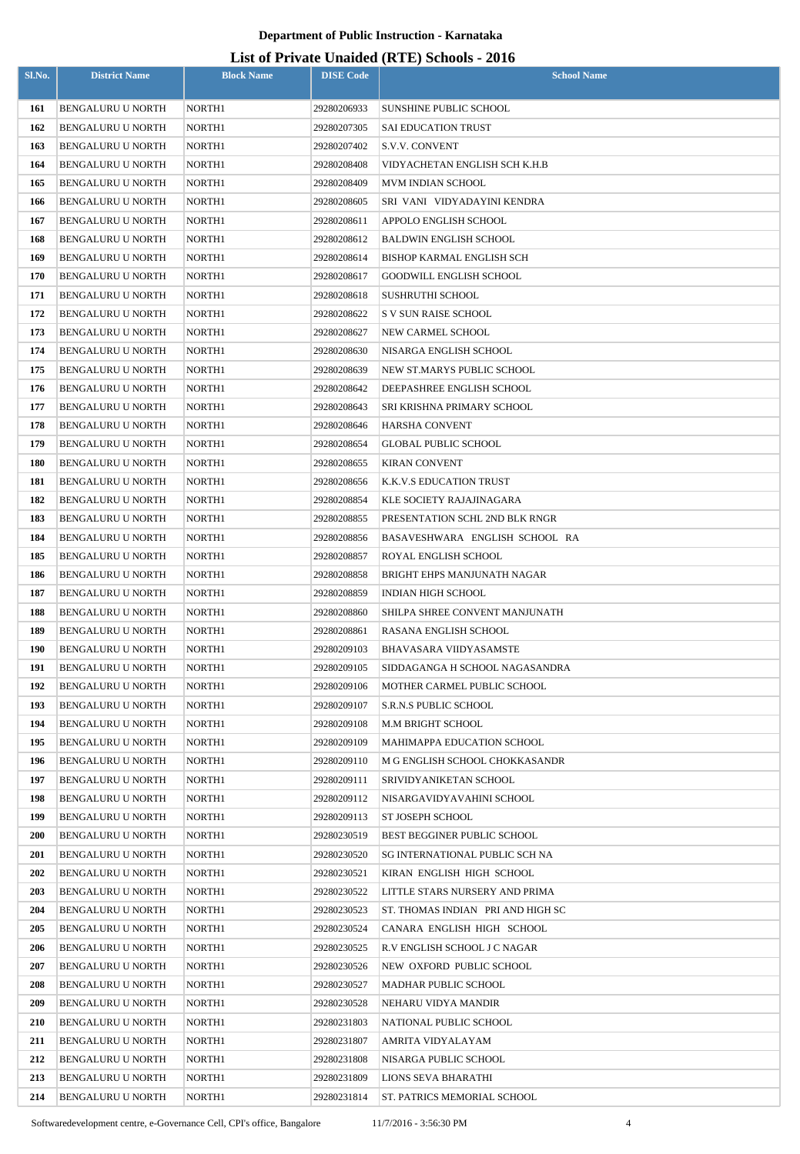| Sl.No.     | <b>District Name</b>                          | <b>Block Name</b>  | <b>DISE Code</b>           | $\mu$ <sub>15</sub> of T <sub>11</sub> , and Onatucu (IVIII) behoofs $\mu$ <sub>010</sub><br><b>School Name</b> |
|------------|-----------------------------------------------|--------------------|----------------------------|-----------------------------------------------------------------------------------------------------------------|
| 161        | <b>BENGALURU U NORTH</b>                      | NORTH1             | 29280206933                | <b>SUNSHINE PUBLIC SCHOOL</b>                                                                                   |
| 162        | BENGALURU U NORTH                             | NORTH <sub>1</sub> | 29280207305                | <b>SAI EDUCATION TRUST</b>                                                                                      |
| 163        | <b>BENGALURU U NORTH</b>                      | NORTH1             | 29280207402                | S.V.V. CONVENT                                                                                                  |
| 164        | BENGALURU U NORTH                             | NORTH1             | 29280208408                | VIDYACHETAN ENGLISH SCH K.H.B                                                                                   |
| 165        | <b>BENGALURU U NORTH</b>                      | NORTH1             | 29280208409                | <b>MVM INDIAN SCHOOL</b>                                                                                        |
| 166        | <b>BENGALURU U NORTH</b>                      | NORTH1             | 29280208605                | SRI VANI VIDYADAYINI KENDRA                                                                                     |
| 167        | BENGALURU U NORTH                             | NORTH1             | 29280208611                | APPOLO ENGLISH SCHOOL                                                                                           |
| 168        | BENGALURU U NORTH                             | NORTH1             | 29280208612                | BALDWIN ENGLISH SCHOOL                                                                                          |
| 169        | BENGALURU U NORTH                             | NORTH1             | 29280208614                | BISHOP KARMAL ENGLISH SCH                                                                                       |
| 170        | BENGALURU U NORTH                             | NORTH1             | 29280208617                | GOODWILL ENGLISH SCHOOL                                                                                         |
| 171        | BENGALURU U NORTH                             | NORTH1             | 29280208618                | SUSHRUTHI SCHOOL                                                                                                |
| 172        | <b>BENGALURU U NORTH</b>                      | NORTH1             | 29280208622                | S V SUN RAISE SCHOOL                                                                                            |
| 173        | <b>BENGALURU U NORTH</b>                      | NORTH1             | 29280208627                | NEW CARMEL SCHOOL                                                                                               |
| 174        | BENGALURU U NORTH                             | NORTH1             | 29280208630                | NISARGA ENGLISH SCHOOL                                                                                          |
| 175        | BENGALURU U NORTH                             | NORTH1             | 29280208639                | NEW ST.MARYS PUBLIC SCHOOL                                                                                      |
| 176        | <b>BENGALURU U NORTH</b>                      | NORTH1             | 29280208642                | DEEPASHREE ENGLISH SCHOOL                                                                                       |
| 177        | <b>BENGALURU U NORTH</b>                      | NORTH1             | 29280208643                | SRI KRISHNA PRIMARY SCHOOL                                                                                      |
| 178        | BENGALURU U NORTH                             | NORTH1             | 29280208646                | HARSHA CONVENT                                                                                                  |
| 179        | BENGALURU U NORTH                             | NORTH1             | 29280208654                | GLOBAL PUBLIC SCHOOL                                                                                            |
| 180        | BENGALURU U NORTH                             | NORTH1             | 29280208655                | <b>KIRAN CONVENT</b>                                                                                            |
| 181        | BENGALURU U NORTH                             | NORTH1             | 29280208656                | K.K.V.S EDUCATION TRUST                                                                                         |
| 182        | BENGALURU U NORTH                             | NORTH1             | 29280208854                | KLE SOCIETY RAJAJINAGARA                                                                                        |
| 183        | BENGALURU U NORTH                             | NORTH1             | 29280208855                | PRESENTATION SCHL 2ND BLK RNGR                                                                                  |
| 184        | BENGALURU U NORTH                             | NORTH1             | 29280208856                | BASAVESHWARA ENGLISH SCHOOL RA                                                                                  |
| 185        | BENGALURU U NORTH                             | NORTH1             | 29280208857                | ROYAL ENGLISH SCHOOL                                                                                            |
| 186        | BENGALURU U NORTH                             | NORTH1             | 29280208858                | BRIGHT EHPS MANJUNATH NAGAR                                                                                     |
| 187        | <b>BENGALURU U NORTH</b>                      | NORTH1             | 29280208859                | <b>INDIAN HIGH SCHOOL</b>                                                                                       |
| 188        | BENGALURU U NORTH                             | NORTH1             | 29280208860                | SHILPA SHREE CONVENT MANJUNATH                                                                                  |
| 189        | <b>BENGALURU U NORTH</b>                      | NORTH <sub>1</sub> | 29280208861                | RASANA ENGLISH SCHOOL                                                                                           |
| 190        | <b>BENGALURU U NORTH</b>                      | NORTH1             | 29280209103                | BHAVASARA VIIDYASAMSTE                                                                                          |
| 191        | BENGALURU U NORTH                             | NORTH1             | 29280209105                | SIDDAGANGA H SCHOOL NAGASANDRA                                                                                  |
| 192        | BENGALURU U NORTH                             | NORTH1             | 29280209106                | MOTHER CARMEL PUBLIC SCHOOL                                                                                     |
| 193        | BENGALURU U NORTH                             | NORTH1             | 29280209107                | S.R.N.S PUBLIC SCHOOL                                                                                           |
| 194        | BENGALURU U NORTH                             | NORTH1             | 29280209108                | M.M BRIGHT SCHOOL                                                                                               |
| 195        | BENGALURU U NORTH                             | NORTH1             | 29280209109                | MAHIMAPPA EDUCATION SCHOOL                                                                                      |
| 196        | BENGALURU U NORTH                             | NORTH1             | 29280209110                | M G ENGLISH SCHOOL CHOKKASANDR                                                                                  |
| 197        | BENGALURU U NORTH                             | NORTH1             | 29280209111                | SRIVIDYANIKETAN SCHOOL                                                                                          |
| 198        | <b>BENGALURU U NORTH</b>                      | NORTH1             | 29280209112                | NISARGAVIDYAVAHINI SCHOOL                                                                                       |
| 199        | <b>BENGALURU U NORTH</b>                      | NORTH1             | 29280209113                | ST JOSEPH SCHOOL                                                                                                |
| <b>200</b> | BENGALURU U NORTH                             | NORTH1             | 29280230519                | BEST BEGGINER PUBLIC SCHOOL                                                                                     |
| 201        | <b>BENGALURU U NORTH</b>                      | NORTH1             | 29280230520                | SG INTERNATIONAL PUBLIC SCH NA                                                                                  |
| 202        | <b>BENGALURU U NORTH</b>                      | NORTH1             | 29280230521                | KIRAN ENGLISH HIGH SCHOOL                                                                                       |
| 203<br>204 | BENGALURU U NORTH                             | NORTH1<br>NORTH1   | 29280230522<br>29280230523 | LITTLE STARS NURSERY AND PRIMA                                                                                  |
| 205        | BENGALURU U NORTH<br><b>BENGALURU U NORTH</b> | NORTH1             | 29280230524                | ST. THOMAS INDIAN PRI AND HIGH SC<br>CANARA ENGLISH HIGH SCHOOL                                                 |
| 206        | BENGALURU U NORTH                             | NORTH1             | 29280230525                | R.V ENGLISH SCHOOL J C NAGAR                                                                                    |
| 207        | BENGALURU U NORTH                             | NORTH1             | 29280230526                | NEW OXFORD PUBLIC SCHOOL                                                                                        |
| 208        | BENGALURU U NORTH                             | NORTH1             | 29280230527                | MADHAR PUBLIC SCHOOL                                                                                            |
| 209        | <b>BENGALURU U NORTH</b>                      | NORTH1             | 29280230528                | NEHARU VIDYA MANDIR                                                                                             |
| 210        | BENGALURU U NORTH                             | NORTH <sub>1</sub> | 29280231803                | NATIONAL PUBLIC SCHOOL                                                                                          |
| 211        | <b>BENGALURU U NORTH</b>                      | NORTH1             | 29280231807                | AMRITA VIDYALAYAM                                                                                               |
| 212        | BENGALURU U NORTH                             | NORTH1             | 29280231808                | NISARGA PUBLIC SCHOOL                                                                                           |
| 213        | <b>BENGALURU U NORTH</b>                      | NORTH1             | 29280231809                | LIONS SEVA BHARATHI                                                                                             |
| 214        | <b>BENGALURU U NORTH</b>                      | NORTH1             | 29280231814                | ST. PATRICS MEMORIAL SCHOOL                                                                                     |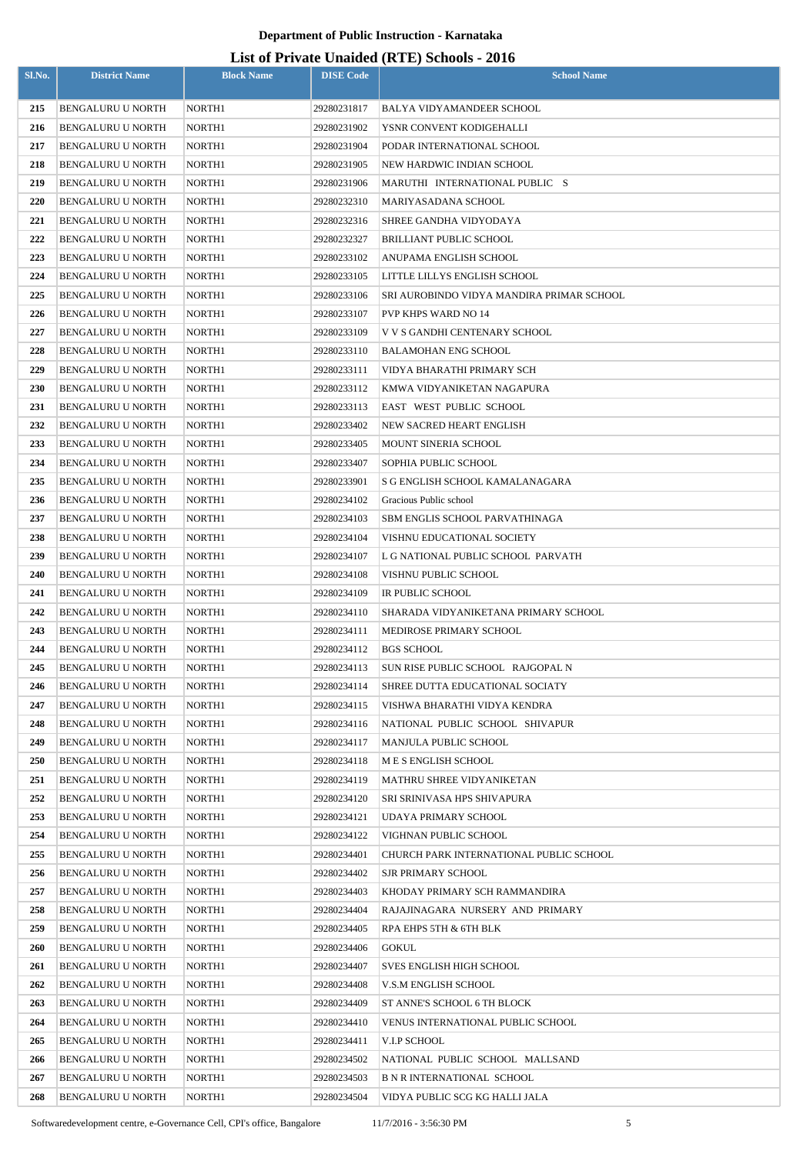| Sl.No.     | <b>District Name</b>                                 | <b>Block Name</b> | <b>DISE Code</b>           | $\mu$ <sub>15</sub> of T <sub>11</sub> , and Onalact (IVII) behoofs $\mu$ <sub>016</sub><br><b>School Name</b> |
|------------|------------------------------------------------------|-------------------|----------------------------|----------------------------------------------------------------------------------------------------------------|
| 215        | <b>BENGALURU U NORTH</b>                             | NORTH1            | 29280231817                | BALYA VIDYAMANDEER SCHOOL                                                                                      |
| 216        | <b>BENGALURU U NORTH</b>                             | NORTH1            | 29280231902                | YSNR CONVENT KODIGEHALLI                                                                                       |
| 217        | <b>BENGALURU U NORTH</b>                             | NORTH1            | 29280231904                | PODAR INTERNATIONAL SCHOOL                                                                                     |
| 218        | <b>BENGALURU U NORTH</b>                             | NORTH1            | 29280231905                | NEW HARDWIC INDIAN SCHOOL                                                                                      |
| 219        | <b>BENGALURU U NORTH</b>                             | NORTH1            | 29280231906                | MARUTHI INTERNATIONAL PUBLIC S                                                                                 |
| 220        | <b>BENGALURU U NORTH</b>                             | NORTH1            | 29280232310                | MARIYASADANA SCHOOL                                                                                            |
| 221        | <b>BENGALURU U NORTH</b>                             | NORTH1            | 29280232316                | SHREE GANDHA VIDYODAYA                                                                                         |
| 222        | <b>BENGALURU U NORTH</b>                             | NORTH1            | 29280232327                | BRILLIANT PUBLIC SCHOOL                                                                                        |
| 223        | BENGALURU U NORTH                                    | NORTH1            | 29280233102                | ANUPAMA ENGLISH SCHOOL                                                                                         |
| 224        | <b>BENGALURU U NORTH</b>                             | NORTH1            | 29280233105                | LITTLE LILLYS ENGLISH SCHOOL                                                                                   |
| 225        | <b>BENGALURU U NORTH</b>                             | NORTH1            | 29280233106                | SRI AUROBINDO VIDYA MANDIRA PRIMAR SCHOOL                                                                      |
| 226        | <b>BENGALURU U NORTH</b>                             | NORTH1            | 29280233107                | PVP KHPS WARD NO 14                                                                                            |
| 227        | <b>BENGALURU U NORTH</b>                             | NORTH1            | 29280233109                | V V S GANDHI CENTENARY SCHOOL                                                                                  |
| 228        | <b>BENGALURU U NORTH</b>                             | NORTH1            | 29280233110                | BALAMOHAN ENG SCHOOL                                                                                           |
| 229        | <b>BENGALURU U NORTH</b>                             | NORTH1            | 29280233111                | VIDYA BHARATHI PRIMARY SCH                                                                                     |
| <b>230</b> | <b>BENGALURU U NORTH</b>                             | NORTH1            | 29280233112                | KMWA VIDYANIKETAN NAGAPURA                                                                                     |
| 231        | <b>BENGALURU U NORTH</b>                             | NORTH1            | 29280233113                | EAST WEST PUBLIC SCHOOL                                                                                        |
| 232        | <b>BENGALURU U NORTH</b>                             | NORTH1            | 29280233402                | NEW SACRED HEART ENGLISH                                                                                       |
| 233        | <b>BENGALURU U NORTH</b>                             | NORTH1            | 29280233405                | MOUNT SINERIA SCHOOL                                                                                           |
| 234        | <b>BENGALURU U NORTH</b>                             | NORTH1            | 29280233407                | SOPHIA PUBLIC SCHOOL                                                                                           |
| 235        | BENGALURU U NORTH                                    | NORTH1            | 29280233901                | S G ENGLISH SCHOOL KAMALANAGARA                                                                                |
| 236        | <b>BENGALURU U NORTH</b>                             | NORTH1            | 29280234102                | Gracious Public school                                                                                         |
| 237        | <b>BENGALURU U NORTH</b>                             | NORTH1            | 29280234103                | SBM ENGLIS SCHOOL PARVATHINAGA                                                                                 |
| 238        | <b>BENGALURU U NORTH</b>                             | NORTH1            | 29280234104                | VISHNU EDUCATIONAL SOCIETY                                                                                     |
| 239        | <b>BENGALURU U NORTH</b>                             | NORTH1            | 29280234107                | L G NATIONAL PUBLIC SCHOOL PARVATH                                                                             |
| 240        | <b>BENGALURU U NORTH</b>                             | NORTH1            | 29280234108                | VISHNU PUBLIC SCHOOL                                                                                           |
| 241        | <b>BENGALURU U NORTH</b>                             | NORTH1            | 29280234109                | IR PUBLIC SCHOOL                                                                                               |
| 242        | BENGALURU U NORTH                                    | NORTH1<br>NORTH1  | 29280234110                | SHARADA VIDYANIKETANA PRIMARY SCHOOL                                                                           |
| 243<br>244 | <b>BENGALURU U NORTH</b><br><b>BENGALURU U NORTH</b> | NORTH1            | 29280234111<br>29280234112 | MEDIROSE PRIMARY SCHOOL<br><b>BGS SCHOOL</b>                                                                   |
| 245        | <b>BENGALURU U NORTH</b>                             | NORTH1            | 29280234113                | SUN RISE PUBLIC SCHOOL RAJGOPAL N                                                                              |
| 246        | BENGALURU U NORTH                                    | NORTH1            | 29280234114                | SHREE DUTTA EDUCATIONAL SOCIATY                                                                                |
| 247        | BENGALURU U NORTH                                    | NORTH1            | 29280234115                | VISHWA BHARATHI VIDYA KENDRA                                                                                   |
| 248        | <b>BENGALURU U NORTH</b>                             | NORTH1            | 29280234116                | NATIONAL PUBLIC SCHOOL SHIVAPUR                                                                                |
| 249        | BENGALURU U NORTH                                    | NORTH1            | 29280234117                | MANJULA PUBLIC SCHOOL                                                                                          |
| <b>250</b> | <b>BENGALURU U NORTH</b>                             | NORTH1            | 29280234118                | M E S ENGLISH SCHOOL                                                                                           |
| 251        | <b>BENGALURU U NORTH</b>                             | NORTH1            | 29280234119                | MATHRU SHREE VIDYANIKETAN                                                                                      |
| 252        | <b>BENGALURU U NORTH</b>                             | NORTH1            | 29280234120                | SRI SRINIVASA HPS SHIVAPURA                                                                                    |
| 253        | <b>BENGALURU U NORTH</b>                             | NORTH1            | 29280234121                | UDAYA PRIMARY SCHOOL                                                                                           |
| 254        | BENGALURU U NORTH                                    | NORTH1            | 29280234122                | VIGHNAN PUBLIC SCHOOL                                                                                          |
| 255        | <b>BENGALURU U NORTH</b>                             | NORTH1            | 29280234401                | CHURCH PARK INTERNATIONAL PUBLIC SCHOOL                                                                        |
| 256        | <b>BENGALURU U NORTH</b>                             | NORTH1            | 29280234402                | <b>SJR PRIMARY SCHOOL</b>                                                                                      |
| 257        | BENGALURU U NORTH                                    | NORTH1            | 29280234403                | KHODAY PRIMARY SCH RAMMANDIRA                                                                                  |
| 258        | BENGALURU U NORTH                                    | NORTH1            | 29280234404                | RAJAJINAGARA NURSERY AND PRIMARY                                                                               |
| 259        | <b>BENGALURU U NORTH</b>                             | NORTH1            | 29280234405                | RPA EHPS 5TH & 6TH BLK                                                                                         |
| <b>260</b> | BENGALURU U NORTH                                    | NORTH1            | 29280234406                | GOKUL                                                                                                          |
| 261        | BENGALURU U NORTH                                    | NORTH1            | 29280234407                | SVES ENGLISH HIGH SCHOOL                                                                                       |
| 262        | BENGALURU U NORTH                                    | NORTH1            | 29280234408                | V.S.M ENGLISH SCHOOL                                                                                           |
| 263        | <b>BENGALURU U NORTH</b>                             | NORTH1            | 29280234409                | ST ANNE'S SCHOOL 6 TH BLOCK                                                                                    |
| 264        | <b>BENGALURU U NORTH</b>                             | NORTH1            | 29280234410                | VENUS INTERNATIONAL PUBLIC SCHOOL                                                                              |
| 265        | <b>BENGALURU U NORTH</b>                             | NORTH1            | 29280234411                | V.I.P SCHOOL                                                                                                   |
| 266        | <b>BENGALURU U NORTH</b>                             | NORTH1            | 29280234502                | NATIONAL PUBLIC SCHOOL MALLSAND                                                                                |
| 267        | <b>BENGALURU U NORTH</b>                             | NORTH1            | 29280234503                | <b>B N R INTERNATIONAL SCHOOL</b>                                                                              |
| 268        | BENGALURU U NORTH                                    | NORTH1            | 29280234504                | VIDYA PUBLIC SCG KG HALLI JALA                                                                                 |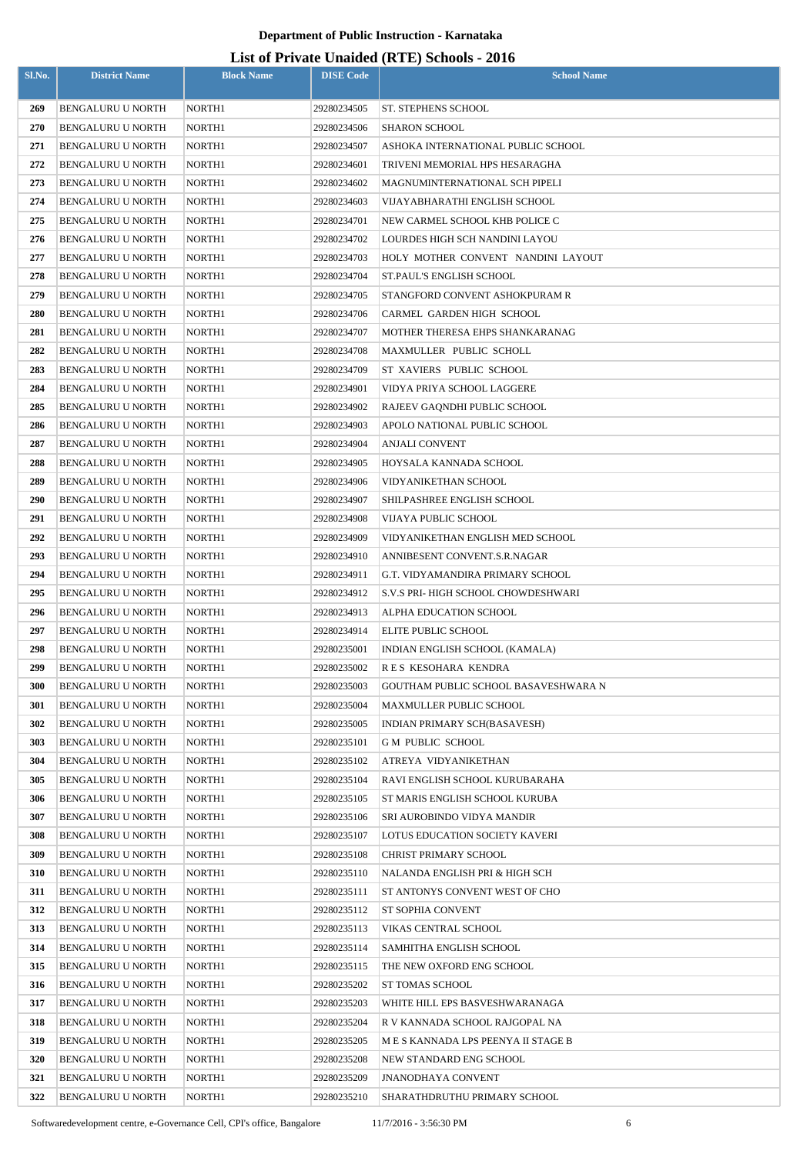| Sl.No.     | <b>District Name</b>                                 | <b>Block Name</b> | <b>DISE Code</b>           | $\sum_{i=1}^{n}$<br><b>School Name</b>               |
|------------|------------------------------------------------------|-------------------|----------------------------|------------------------------------------------------|
|            |                                                      |                   |                            |                                                      |
| 269<br>270 | <b>BENGALURU U NORTH</b><br><b>BENGALURU U NORTH</b> | NORTH1<br>NORTH1  | 29280234505<br>29280234506 | ST. STEPHENS SCHOOL<br><b>SHARON SCHOOL</b>          |
| 271        | <b>BENGALURU U NORTH</b>                             | NORTH1            | 29280234507                | ASHOKA INTERNATIONAL PUBLIC SCHOOL                   |
| 272        | <b>BENGALURU U NORTH</b>                             | NORTH1            | 29280234601                | TRIVENI MEMORIAL HPS HESARAGHA                       |
| 273        | BENGALURU U NORTH                                    | NORTH1            | 29280234602                | MAGNUMINTERNATIONAL SCH PIPELI                       |
| 274        | <b>BENGALURU U NORTH</b>                             | NORTH1            | 29280234603                | VIJAYABHARATHI ENGLISH SCHOOL                        |
| 275        | <b>BENGALURU U NORTH</b>                             | NORTH1            | 29280234701                | NEW CARMEL SCHOOL KHB POLICE C                       |
| 276        | <b>BENGALURU U NORTH</b>                             | NORTH1            | 29280234702                | LOURDES HIGH SCH NANDINI LAYOU                       |
| 277        | <b>BENGALURU U NORTH</b>                             | NORTH1            | 29280234703                | HOLY MOTHER CONVENT NANDINI LAYOUT                   |
| 278        | <b>BENGALURU U NORTH</b>                             | NORTH1            | 29280234704                | ST.PAUL'S ENGLISH SCHOOL                             |
| 279        | <b>BENGALURU U NORTH</b>                             | NORTH1            | 29280234705                | STANGFORD CONVENT ASHOKPURAM R                       |
| 280        | <b>BENGALURU U NORTH</b>                             | NORTH1            | 29280234706                | CARMEL GARDEN HIGH SCHOOL                            |
| 281        | <b>BENGALURU U NORTH</b>                             | NORTH1            | 29280234707                | MOTHER THERESA EHPS SHANKARANAG                      |
| 282        | BENGALURU U NORTH                                    | NORTH1            | 29280234708                | MAXMULLER PUBLIC SCHOLL                              |
| 283        | <b>BENGALURU U NORTH</b>                             | NORTH1            | 29280234709                | ST XAVIERS PUBLIC SCHOOL                             |
| 284        | BENGALURU U NORTH                                    | NORTH1            | 29280234901                | VIDYA PRIYA SCHOOL LAGGERE                           |
| 285        | <b>BENGALURU U NORTH</b>                             | NORTH1            | 29280234902                | RAJEEV GAQNDHI PUBLIC SCHOOL                         |
| 286        | <b>BENGALURU U NORTH</b>                             | NORTH1            | 29280234903                | APOLO NATIONAL PUBLIC SCHOOL                         |
| 287        | <b>BENGALURU U NORTH</b>                             | NORTH1            | 29280234904                | <b>ANJALI CONVENT</b>                                |
| 288        | <b>BENGALURU U NORTH</b>                             | NORTH1            | 29280234905                | HOYSALA KANNADA SCHOOL                               |
| 289        | BENGALURU U NORTH                                    | NORTH1            | 29280234906                | VIDYANIKETHAN SCHOOL                                 |
| <b>290</b> | <b>BENGALURU U NORTH</b>                             | NORTH1            | 29280234907                | SHILPASHREE ENGLISH SCHOOL                           |
| 291        | <b>BENGALURU U NORTH</b>                             | NORTH1            | 29280234908                | VIJAYA PUBLIC SCHOOL                                 |
| 292        | <b>BENGALURU U NORTH</b>                             | NORTH1            | 29280234909                | VIDYANIKETHAN ENGLISH MED SCHOOL                     |
| 293        | BENGALURU U NORTH                                    | NORTH1            | 29280234910                | ANNIBESENT CONVENT.S.R.NAGAR                         |
| 294        | <b>BENGALURU U NORTH</b>                             | NORTH1            | 29280234911                | G.T. VIDYAMANDIRA PRIMARY SCHOOL                     |
| 295        | <b>BENGALURU U NORTH</b>                             | NORTH1            | 29280234912                | S.V.S PRI-HIGH SCHOOL CHOWDESHWARI                   |
| 296        | <b>BENGALURU U NORTH</b>                             | NORTH1            | 29280234913                | ALPHA EDUCATION SCHOOL                               |
| 297        | <b>BENGALURU U NORTH</b>                             | NORTH1            | 29280234914                | ELITE PUBLIC SCHOOL                                  |
| 298        | <b>BENGALURU U NORTH</b>                             | NORTH1            | 29280235001                | INDIAN ENGLISH SCHOOL (KAMALA)                       |
| 299        | <b>BENGALURU U NORTH</b>                             | NORTH1            | 29280235002                | RES KESOHARA KENDRA                                  |
| 300        | <b>BENGALURU U NORTH</b>                             | NORTH1            | 29280235003                | GOUTHAM PUBLIC SCHOOL BASAVESHWARA N                 |
| 301        | BENGALURU U NORTH                                    | NORTH1            | 29280235004                | MAXMULLER PUBLIC SCHOOL                              |
| 302        | <b>BENGALURU U NORTH</b>                             | NORTH1            | 29280235005                | INDIAN PRIMARY SCH(BASAVESH)                         |
| 303        | <b>BENGALURU U NORTH</b>                             | NORTH1            | 29280235101                | <b>GM PUBLIC SCHOOL</b>                              |
| 304        | BENGALURU U NORTH                                    | NORTH1            | 29280235102                | ATREYA VIDYANIKETHAN                                 |
| 305        | BENGALURU U NORTH                                    | NORTH1            | 29280235104                | RAVI ENGLISH SCHOOL KURUBARAHA                       |
| 306        | BENGALURU U NORTH                                    | NORTH1            | 29280235105                | ST MARIS ENGLISH SCHOOL KURUBA                       |
| 307        | BENGALURU U NORTH                                    | NORTH1            | 29280235106                | SRI AUROBINDO VIDYA MANDIR                           |
| 308        | BENGALURU U NORTH                                    | NORTH1            | 29280235107                | LOTUS EDUCATION SOCIETY KAVERI                       |
| 309        | BENGALURU U NORTH                                    | NORTH1            | 29280235108                | CHRIST PRIMARY SCHOOL                                |
| 310        | <b>BENGALURU U NORTH</b>                             | NORTH1            | 29280235110                | NALANDA ENGLISH PRI & HIGH SCH                       |
| 311        | BENGALURU U NORTH                                    | NORTH1            | 29280235111                | ST ANTONYS CONVENT WEST OF CHO                       |
| 312        | <b>BENGALURU U NORTH</b>                             | NORTH1            | 29280235112                | ST SOPHIA CONVENT                                    |
| 313        | <b>BENGALURU U NORTH</b>                             | NORTH1            | 29280235113                | VIKAS CENTRAL SCHOOL                                 |
| 314<br>315 | <b>BENGALURU U NORTH</b><br><b>BENGALURU U NORTH</b> | NORTH1<br>NORTH1  | 29280235114<br>29280235115 | SAMHITHA ENGLISH SCHOOL<br>THE NEW OXFORD ENG SCHOOL |
| 316        | <b>BENGALURU U NORTH</b>                             | NORTH1            | 29280235202                | ST TOMAS SCHOOL                                      |
| 317        | BENGALURU U NORTH                                    | NORTH1            | 29280235203                | WHITE HILL EPS BASVESHWARANAGA                       |
| 318        | <b>BENGALURU U NORTH</b>                             | NORTH1            | 29280235204                | R V KANNADA SCHOOL RAJGOPAL NA                       |
| 319        | BENGALURU U NORTH                                    | NORTH1            | 29280235205                | M E S KANNADA LPS PEENYA II STAGE B                  |
| 320        | BENGALURU U NORTH                                    | NORTH1            | 29280235208                | NEW STANDARD ENG SCHOOL                              |
| 321        | <b>BENGALURU U NORTH</b>                             | NORTH1            | 29280235209                | <b>JNANODHAYA CONVENT</b>                            |
| 322        | BENGALURU U NORTH                                    | NORTH1            | 29280235210                | SHARATHDRUTHU PRIMARY SCHOOL                         |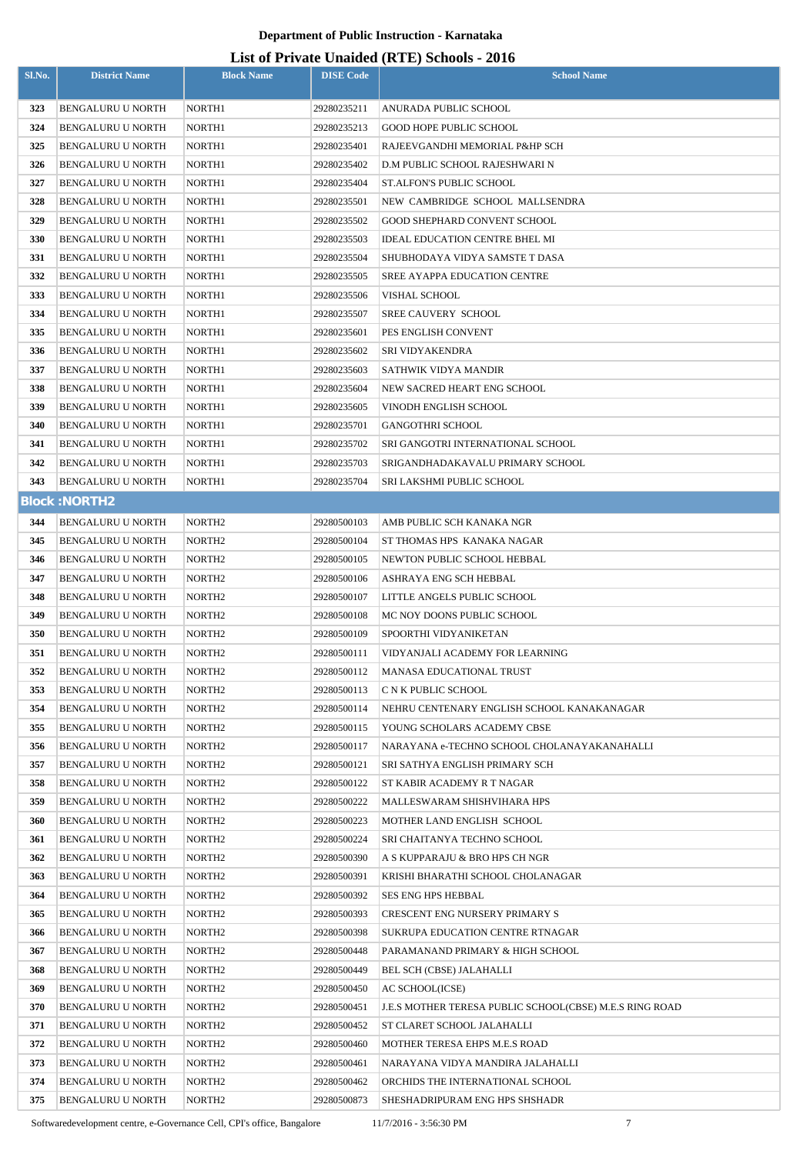#### **List of Private Unaided (RTE) Schools - 2016**

| Sl.No.     | <b>District Name</b>                          | <b>Block Name</b>                        | <b>DISE Code</b>           | <b>School Name</b>                                                 |
|------------|-----------------------------------------------|------------------------------------------|----------------------------|--------------------------------------------------------------------|
| 323        | <b>BENGALURU U NORTH</b>                      | NORTH1                                   | 29280235211                | ANURADA PUBLIC SCHOOL                                              |
| 324        | <b>BENGALURU U NORTH</b>                      | NORTH1                                   | 29280235213                | <b>GOOD HOPE PUBLIC SCHOOL</b>                                     |
| 325        | <b>BENGALURU U NORTH</b>                      | NORTH1                                   | 29280235401                | RAJEEVGANDHI MEMORIAL P&HP SCH                                     |
| 326        | <b>BENGALURU U NORTH</b>                      | NORTH1                                   | 29280235402                | D.M PUBLIC SCHOOL RAJESHWARI N                                     |
| 327        | <b>BENGALURU U NORTH</b>                      | NORTH1                                   | 29280235404                | ST.ALFON'S PUBLIC SCHOOL                                           |
| 328        | <b>BENGALURU U NORTH</b>                      | NORTH1                                   | 29280235501                | NEW CAMBRIDGE SCHOOL MALLSENDRA                                    |
| 329        | <b>BENGALURU U NORTH</b>                      | NORTH1                                   | 29280235502                | <b>GOOD SHEPHARD CONVENT SCHOOL</b>                                |
| 330        | <b>BENGALURU U NORTH</b>                      | NORTH1                                   | 29280235503                | <b>IDEAL EDUCATION CENTRE BHEL MI</b>                              |
| 331        | <b>BENGALURU U NORTH</b>                      | NORTH1                                   | 29280235504                | SHUBHODAYA VIDYA SAMSTE T DASA                                     |
| 332        | <b>BENGALURU U NORTH</b>                      | NORTH1                                   | 29280235505                | SREE AYAPPA EDUCATION CENTRE                                       |
| 333        | <b>BENGALURU U NORTH</b>                      | NORTH1                                   | 29280235506                | VISHAL SCHOOL                                                      |
| 334        | <b>BENGALURU U NORTH</b>                      | NORTH1                                   | 29280235507                | SREE CAUVERY SCHOOL                                                |
| 335        | <b>BENGALURU U NORTH</b>                      | NORTH1                                   | 29280235601                | PES ENGLISH CONVENT                                                |
| 336        | BENGALURU U NORTH                             | NORTH1                                   | 29280235602                | <b>SRI VIDYAKENDRA</b>                                             |
| 337        | <b>BENGALURU U NORTH</b>                      | NORTH1                                   | 29280235603                | SATHWIK VIDYA MANDIR                                               |
| 338        | BENGALURU U NORTH                             | NORTH1                                   | 29280235604                | NEW SACRED HEART ENG SCHOOL                                        |
| 339        | <b>BENGALURU U NORTH</b>                      | NORTH1                                   | 29280235605                | VINODH ENGLISH SCHOOL                                              |
| 340        | <b>BENGALURU U NORTH</b>                      | NORTH1                                   | 29280235701                | <b>GANGOTHRI SCHOOL</b>                                            |
| 341        | BENGALURU U NORTH                             | NORTH1                                   | 29280235702                | SRI GANGOTRI INTERNATIONAL SCHOOL                                  |
| 342        | <b>BENGALURU U NORTH</b>                      | NORTH1                                   | 29280235703                | SRIGANDHADAKAVALU PRIMARY SCHOOL                                   |
| 343        | <b>BENGALURU U NORTH</b>                      | NORTH1                                   | 29280235704                | SRI LAKSHMI PUBLIC SCHOOL                                          |
|            | <b>Block: NORTH2</b>                          |                                          |                            |                                                                    |
| 344        | <b>BENGALURU U NORTH</b>                      | NORTH <sub>2</sub>                       | 29280500103                | AMB PUBLIC SCH KANAKA NGR                                          |
| 345        | <b>BENGALURU U NORTH</b>                      | NORTH <sub>2</sub>                       | 29280500104                | ST THOMAS HPS KANAKA NAGAR                                         |
| 346        | <b>BENGALURU U NORTH</b>                      | NORTH <sub>2</sub>                       | 29280500105                | NEWTON PUBLIC SCHOOL HEBBAL                                        |
| 347        | <b>BENGALURU U NORTH</b>                      | NORTH <sub>2</sub>                       | 29280500106                | ASHRAYA ENG SCH HEBBAL                                             |
| 348        | <b>BENGALURU U NORTH</b>                      | NORTH <sub>2</sub>                       | 29280500107                | LITTLE ANGELS PUBLIC SCHOOL                                        |
| 349        | BENGALURU U NORTH                             | NORTH <sub>2</sub>                       | 29280500108                | MC NOY DOONS PUBLIC SCHOOL                                         |
| 350        | <b>BENGALURU U NORTH</b>                      | NORTH <sub>2</sub>                       | 29280500109                | SPOORTHI VIDYANIKETAN                                              |
| 351        | <b>BENGALURU U NORTH</b>                      | NORTH <sub>2</sub>                       | 29280500111                | VIDYANJALI ACADEMY FOR LEARNING                                    |
| 352        | BENGALURU U NORTH                             | NORTH <sub>2</sub>                       | 29280500112                | MANASA EDUCATIONAL TRUST                                           |
| 353        | BENGALURU U NORTH                             | NORTH <sub>2</sub>                       | 29280500113                | C N K PUBLIC SCHOOL                                                |
| 354        | BENGALURU U NORTH                             | NORTH <sub>2</sub>                       | 29280500114                | NEHRU CENTENARY ENGLISH SCHOOL KANAKANAGAR                         |
| 355        | BENGALURU U NORTH                             | NORTH <sub>2</sub>                       | 29280500115                | YOUNG SCHOLARS ACADEMY CBSE                                        |
| 356        | BENGALURU U NORTH                             | NORTH <sub>2</sub>                       | 29280500117                | NARAYANA e-TECHNO SCHOOL CHOLANAYAKANAHALLI                        |
| 357        | BENGALURU U NORTH                             | NORTH <sub>2</sub>                       | 29280500121                | SRI SATHYA ENGLISH PRIMARY SCH                                     |
| 358        | <b>BENGALURU U NORTH</b>                      | NORTH <sub>2</sub>                       | 29280500122                | ST KABIR ACADEMY R T NAGAR                                         |
| 359        | BENGALURU U NORTH                             | NORTH <sub>2</sub>                       | 29280500222                | MALLESWARAM SHISHVIHARA HPS                                        |
| 360        | BENGALURU U NORTH                             | NORTH <sub>2</sub>                       | 29280500223                | MOTHER LAND ENGLISH SCHOOL                                         |
| 361        | BENGALURU U NORTH                             | NORTH <sub>2</sub>                       | 29280500224                | SRI CHAITANYA TECHNO SCHOOL                                        |
| 362        | <b>BENGALURU U NORTH</b>                      | NORTH <sub>2</sub>                       | 29280500390                | A S KUPPARAJU & BRO HPS CH NGR                                     |
| 363        | BENGALURU U NORTH                             | NORTH <sub>2</sub>                       | 29280500391                | KRISHI BHARATHI SCHOOL CHOLANAGAR                                  |
| 364        | BENGALURU U NORTH                             | NORTH <sub>2</sub>                       | 29280500392                | SES ENG HPS HEBBAL                                                 |
| 365        | BENGALURU U NORTH                             | NORTH <sub>2</sub>                       | 29280500393                | <b>CRESCENT ENG NURSERY PRIMARY S</b>                              |
| 366        | BENGALURU U NORTH                             | NORTH <sub>2</sub>                       | 29280500398                | SUKRUPA EDUCATION CENTRE RTNAGAR                                   |
| 367        | BENGALURU U NORTH                             | NORTH <sub>2</sub>                       | 29280500448                | PARAMANAND PRIMARY & HIGH SCHOOL                                   |
| 368        | BENGALURU U NORTH                             | NORTH <sub>2</sub>                       | 29280500449                | BEL SCH (CBSE) JALAHALLI                                           |
| 369        | BENGALURU U NORTH                             | NORTH <sub>2</sub>                       | 29280500450                | AC SCHOOL(ICSE)                                                    |
| 370        | <b>BENGALURU U NORTH</b>                      | NORTH <sub>2</sub>                       | 29280500451                | <b>J.E.S MOTHER TERESA PUBLIC SCHOOL(CBSE) M.E.S RING ROAD</b>     |
| 371        | BENGALURU U NORTH                             | NORTH <sub>2</sub>                       | 29280500452                | ST CLARET SCHOOL JALAHALLI                                         |
| 372        | BENGALURU U NORTH                             | NORTH <sub>2</sub>                       | 29280500460                | MOTHER TERESA EHPS M.E.S ROAD                                      |
| 373        | <b>BENGALURU U NORTH</b>                      | NORTH <sub>2</sub>                       | 29280500461                | NARAYANA VIDYA MANDIRA JALAHALLI                                   |
| 374<br>375 | <b>BENGALURU U NORTH</b><br>BENGALURU U NORTH | NORTH <sub>2</sub><br>NORTH <sub>2</sub> | 29280500462<br>29280500873 | ORCHIDS THE INTERNATIONAL SCHOOL<br>SHESHADRIPURAM ENG HPS SHSHADR |
|            |                                               |                                          |                            |                                                                    |

Softwaredevelopment centre, e-Governance Cell, CPI's office, Bangalore 11/7/2016 - 3:56:30 PM 7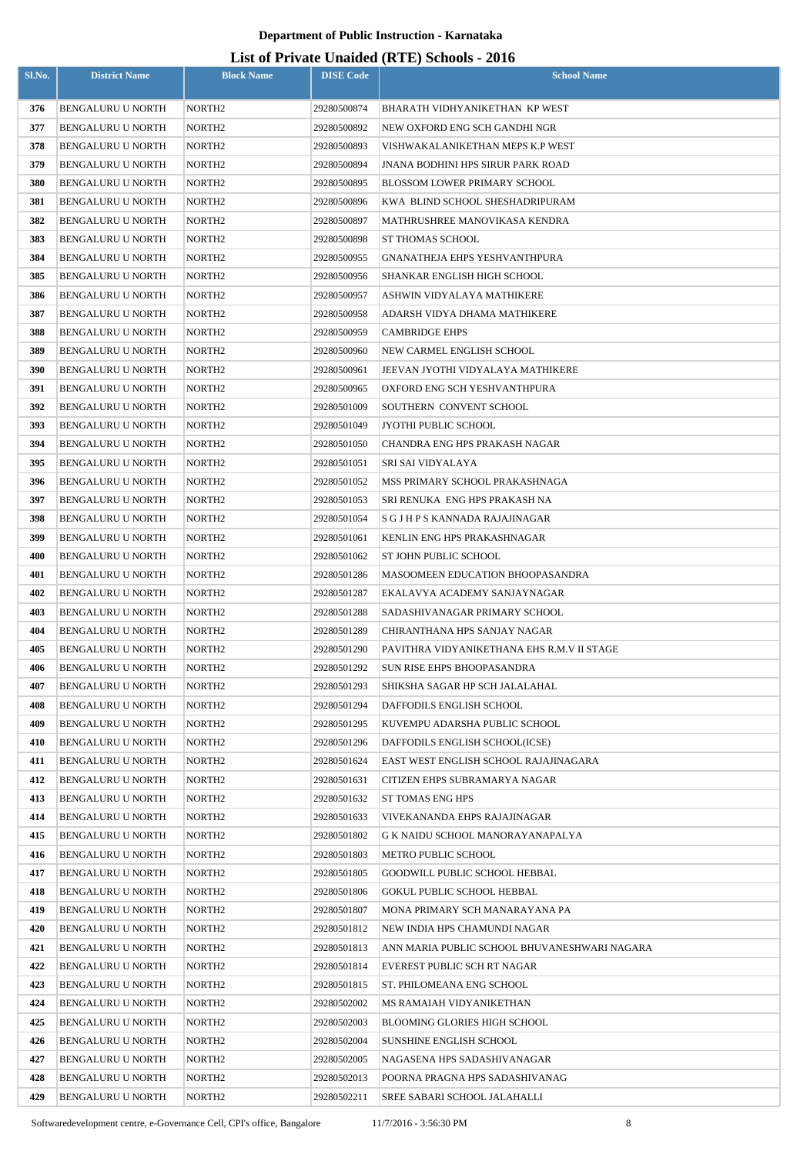| Sl.No.     | <b>District Name</b>                          | <b>Block Name</b>                        | <b>DISE Code</b>           | <b>School Name</b>                                            |
|------------|-----------------------------------------------|------------------------------------------|----------------------------|---------------------------------------------------------------|
| 376        | <b>BENGALURU U NORTH</b>                      | NORTH <sub>2</sub>                       | 29280500874                | BHARATH VIDHYANIKETHAN KP WEST                                |
| 377        | <b>BENGALURU U NORTH</b>                      | NORTH <sub>2</sub>                       | 29280500892                | NEW OXFORD ENG SCH GANDHI NGR                                 |
| 378        | <b>BENGALURU U NORTH</b>                      | NORTH2                                   | 29280500893                | VISHWAKALANIKETHAN MEPS K.P WEST                              |
| 379        | <b>BENGALURU U NORTH</b>                      | NORTH <sub>2</sub>                       | 29280500894                | JNANA BODHINI HPS SIRUR PARK ROAD                             |
| 380        | <b>BENGALURU U NORTH</b>                      | NORTH2                                   | 29280500895                | BLOSSOM LOWER PRIMARY SCHOOL                                  |
| 381        | <b>BENGALURU U NORTH</b>                      | NORTH <sub>2</sub>                       | 29280500896                | KWA BLIND SCHOOL SHESHADRIPURAM                               |
| 382        | <b>BENGALURU U NORTH</b>                      | NORTH <sub>2</sub>                       | 29280500897                | MATHRUSHREE MANOVIKASA KENDRA                                 |
| 383        | <b>BENGALURU U NORTH</b>                      | NORTH <sub>2</sub>                       | 29280500898                | ST THOMAS SCHOOL                                              |
| 384        | BENGALURU U NORTH                             | NORTH <sub>2</sub>                       | 29280500955                | GNANATHEJA EHPS YESHVANTHPURA                                 |
| 385        | <b>BENGALURU U NORTH</b>                      | NORTH2                                   | 29280500956                | SHANKAR ENGLISH HIGH SCHOOL                                   |
| 386        | <b>BENGALURU U NORTH</b>                      | NORTH <sub>2</sub>                       | 29280500957                | ASHWIN VIDYALAYA MATHIKERE                                    |
| 387        | <b>BENGALURU U NORTH</b>                      | NORTH2                                   | 29280500958                | ADARSH VIDYA DHAMA MATHIKERE                                  |
| 388        | <b>BENGALURU U NORTH</b>                      | NORTH <sub>2</sub>                       | 29280500959                | <b>CAMBRIDGE EHPS</b>                                         |
| 389        | <b>BENGALURU U NORTH</b>                      | NORTH2                                   | 29280500960                | NEW CARMEL ENGLISH SCHOOL                                     |
| 390        | <b>BENGALURU U NORTH</b>                      | NORTH2                                   | 29280500961                | JEEVAN JYOTHI VIDYALAYA MATHIKERE                             |
| 391        | <b>BENGALURU U NORTH</b>                      | NORTH <sub>2</sub>                       | 29280500965                | OXFORD ENG SCH YESHVANTHPURA                                  |
| 392        | <b>BENGALURU U NORTH</b>                      | NORTH <sub>2</sub>                       | 29280501009                | SOUTHERN CONVENT SCHOOL                                       |
| 393        | <b>BENGALURU U NORTH</b>                      | NORTH <sub>2</sub>                       | 29280501049                | JYOTHI PUBLIC SCHOOL                                          |
| 394        | <b>BENGALURU U NORTH</b>                      | NORTH <sub>2</sub>                       | 29280501050                | CHANDRA ENG HPS PRAKASH NAGAR                                 |
| 395        | <b>BENGALURU U NORTH</b>                      | NORTH <sub>2</sub>                       | 29280501051                | SRI SAI VIDYALAYA                                             |
| 396        | <b>BENGALURU U NORTH</b>                      | NORTH <sub>2</sub>                       | 29280501052                | MSS PRIMARY SCHOOL PRAKASHNAGA                                |
| 397        | <b>BENGALURU U NORTH</b>                      | NORTH2                                   | 29280501053                | SRI RENUKA  ENG HPS PRAKASH NA                                |
| 398        | <b>BENGALURU U NORTH</b>                      | NORTH <sub>2</sub>                       | 29280501054                | S G J H P S KANNADA RAJAJINAGAR                               |
| 399        | <b>BENGALURU U NORTH</b>                      | NORTH2                                   | 29280501061                | KENLIN ENG HPS PRAKASHNAGAR                                   |
| 400        | <b>BENGALURU U NORTH</b>                      | NORTH <sub>2</sub>                       | 29280501062                | ST JOHN PUBLIC SCHOOL                                         |
| 401        | <b>BENGALURU U NORTH</b><br>BENGALURU U NORTH | NORTH2                                   | 29280501286                | MASOOMEEN EDUCATION BHOOPASANDRA                              |
| 402<br>403 | BENGALURU U NORTH                             | NORTH <sub>2</sub><br>NORTH <sub>2</sub> | 29280501287<br>29280501288 | EKALAVYA ACADEMY SANJAYNAGAR<br>SADASHIVANAGAR PRIMARY SCHOOL |
| 404        | <b>BENGALURU U NORTH</b>                      | NORTH <sub>2</sub>                       | 29280501289                | CHIRANTHANA HPS SANJAY NAGAR                                  |
| 405        | <b>BENGALURU U NORTH</b>                      | NORTH <sub>2</sub>                       | 29280501290                | PAVITHRA VIDYANIKETHANA EHS R.M.V II STAGE                    |
| 406        | BENGALURU U NORTH                             | NORTH <sub>2</sub>                       | 29280501292                | SUN RISE EHPS BHOOPASANDRA                                    |
| 407        | <b>BENGALURU U NORTH</b>                      | NORTH <sub>2</sub>                       | 29280501293                | SHIKSHA SAGAR HP SCH JALALAHAL                                |
| 408        | <b>BENGALURU U NORTH</b>                      | NORTH <sub>2</sub>                       | 29280501294                | DAFFODILS ENGLISH SCHOOL                                      |
| 409        | BENGALURU U NORTH                             | NORTH <sub>2</sub>                       | 29280501295                | KUVEMPU ADARSHA PUBLIC SCHOOL                                 |
| 410        | BENGALURU U NORTH                             | NORTH <sub>2</sub>                       | 29280501296                | DAFFODILS ENGLISH SCHOOL(ICSE)                                |
| 411        | BENGALURU U NORTH                             | NORTH <sub>2</sub>                       | 29280501624                | EAST WEST ENGLISH SCHOOL RAJAJINAGARA                         |
| 412        | <b>BENGALURU U NORTH</b>                      | NORTH <sub>2</sub>                       | 29280501631                | CITIZEN EHPS SUBRAMARYA NAGAR                                 |
| 413        | BENGALURU U NORTH                             | NORTH <sub>2</sub>                       | 29280501632                | ST TOMAS ENG HPS                                              |
| 414        | <b>BENGALURU U NORTH</b>                      | NORTH <sub>2</sub>                       | 29280501633                | VIVEKANANDA EHPS RAJAJINAGAR                                  |
| 415        | BENGALURU U NORTH                             | NORTH <sub>2</sub>                       | 29280501802                | G K NAIDU SCHOOL MANORAYANAPALYA                              |
| 416        | BENGALURU U NORTH                             | NORTH <sub>2</sub>                       | 29280501803                | METRO PUBLIC SCHOOL                                           |
| 417        | <b>BENGALURU U NORTH</b>                      | NORTH <sub>2</sub>                       | 29280501805                | GOODWILL PUBLIC SCHOOL HEBBAL                                 |
| 418        | BENGALURU U NORTH                             | NORTH <sub>2</sub>                       | 29280501806                | GOKUL PUBLIC SCHOOL HEBBAL                                    |
| 419        | <b>BENGALURU U NORTH</b>                      | NORTH <sub>2</sub>                       | 29280501807                | MONA PRIMARY SCH MANARAYANA PA                                |
| 420        | BENGALURU U NORTH                             | NORTH <sub>2</sub>                       | 29280501812                | NEW INDIA HPS CHAMUNDI NAGAR                                  |
| 421        | BENGALURU U NORTH                             | NORTH <sub>2</sub>                       | 29280501813                | ANN MARIA PUBLIC SCHOOL BHUVANESHWARI NAGARA                  |
| 422        | <b>BENGALURU U NORTH</b>                      | NORTH2                                   | 29280501814                | EVEREST PUBLIC SCH RT NAGAR                                   |
| 423        | BENGALURU U NORTH                             | NORTH <sub>2</sub>                       | 29280501815                | ST. PHILOMEANA ENG SCHOOL                                     |
| 424        | BENGALURU U NORTH                             | NORTH <sub>2</sub>                       | 29280502002                | MS RAMAIAH VIDYANIKETHAN                                      |
| 425        | <b>BENGALURU U NORTH</b>                      | NORTH <sub>2</sub>                       | 29280502003                | <b>BLOOMING GLORIES HIGH SCHOOL</b>                           |
| 426        | <b>BENGALURU U NORTH</b>                      | NORTH <sub>2</sub>                       | 29280502004                | SUNSHINE ENGLISH SCHOOL                                       |
| 427        | BENGALURU U NORTH                             | NORTH <sub>2</sub>                       | 29280502005                | NAGASENA HPS SADASHIVANAGAR                                   |
| 428<br>429 | BENGALURU U NORTH                             | NORTH <sub>2</sub><br>NORTH <sub>2</sub> | 29280502013                | POORNA PRAGNA HPS SADASHIVANAG                                |
|            | BENGALURU U NORTH                             |                                          | 29280502211                | SREE SABARI SCHOOL JALAHALLI                                  |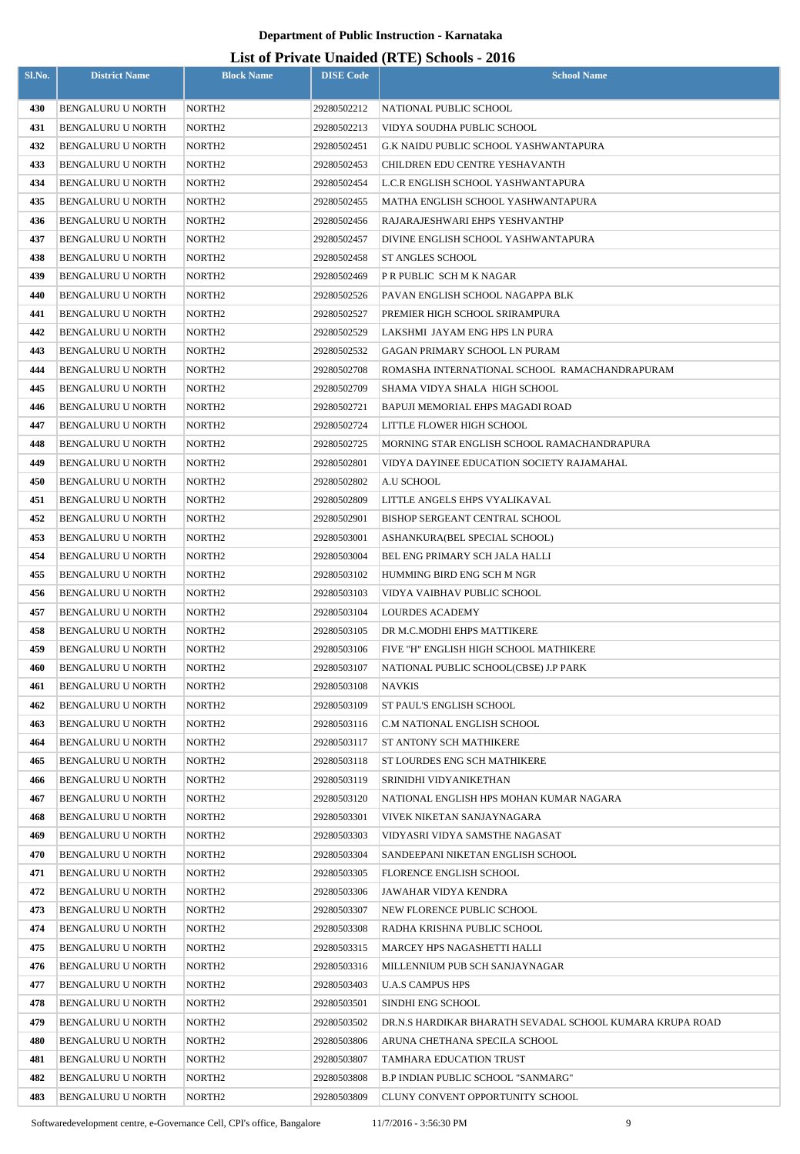| Sl.No.     | <b>District Name</b>                          | <b>Block Name</b>                        | <b>DISE Code</b>           | $List$ of Trivally Unafully (IVIE) behoods - 2010<br><b>School Name</b> |
|------------|-----------------------------------------------|------------------------------------------|----------------------------|-------------------------------------------------------------------------|
|            |                                               |                                          |                            |                                                                         |
| 430        | <b>BENGALURU U NORTH</b>                      | NORTH <sub>2</sub>                       | 29280502212                | NATIONAL PUBLIC SCHOOL                                                  |
| 431        | <b>BENGALURU U NORTH</b>                      | NORTH <sub>2</sub>                       | 29280502213                | VIDYA SOUDHA PUBLIC SCHOOL                                              |
| 432        | <b>BENGALURU U NORTH</b>                      | NORTH <sub>2</sub>                       | 29280502451                | G.K NAIDU PUBLIC SCHOOL YASHWANTAPURA                                   |
| 433        | BENGALURU U NORTH                             | NORTH <sub>2</sub>                       | 29280502453                | CHILDREN EDU CENTRE YESHAVANTH                                          |
| 434        | <b>BENGALURU U NORTH</b>                      | NORTH <sub>2</sub>                       | 29280502454                | L.C.R ENGLISH SCHOOL YASHWANTAPURA                                      |
| 435        | <b>BENGALURU U NORTH</b>                      | NORTH <sub>2</sub>                       | 29280502455                | MATHA ENGLISH SCHOOL YASHWANTAPURA                                      |
| 436        | <b>BENGALURU U NORTH</b>                      | NORTH <sub>2</sub>                       | 29280502456                | RAJARAJESHWARI EHPS YESHVANTHP                                          |
| 437        | <b>BENGALURU U NORTH</b>                      | NORTH2                                   | 29280502457                | DIVINE ENGLISH SCHOOL YASHWANTAPURA                                     |
| 438        | <b>BENGALURU U NORTH</b>                      | NORTH <sub>2</sub>                       | 29280502458                | ST ANGLES SCHOOL                                                        |
| 439        | <b>BENGALURU U NORTH</b>                      | NORTH2                                   | 29280502469                | P R PUBLIC  SCH M K NAGAR                                               |
| 440        | <b>BENGALURU U NORTH</b>                      | NORTH <sub>2</sub>                       | 29280502526                | PAVAN ENGLISH SCHOOL NAGAPPA BLK                                        |
| 441        | <b>BENGALURU U NORTH</b>                      | NORTH2                                   | 29280502527                | PREMIER HIGH SCHOOL SRIRAMPURA                                          |
| 442        | <b>BENGALURU U NORTH</b>                      | NORTH <sub>2</sub>                       | 29280502529                | LAKSHMI JAYAM ENG HPS LN PURA                                           |
| 443        | <b>BENGALURU U NORTH</b>                      | NORTH <sub>2</sub>                       | 29280502532                | GAGAN PRIMARY SCHOOL LN PURAM                                           |
| 444        | <b>BENGALURU U NORTH</b>                      | NORTH <sub>2</sub>                       | 29280502708                | ROMASHA INTERNATIONAL SCHOOL  RAMACHANDRAPURAM                          |
| 445        | <b>BENGALURU U NORTH</b>                      | NORTH <sub>2</sub>                       | 29280502709                | SHAMA VIDYA SHALA HIGH SCHOOL                                           |
| 446        | <b>BENGALURU U NORTH</b>                      | NORTH <sub>2</sub>                       | 29280502721                | BAPUJI MEMORIAL EHPS MAGADI ROAD                                        |
| 447        | <b>BENGALURU U NORTH</b>                      | NORTH <sub>2</sub>                       | 29280502724                | LITTLE FLOWER HIGH SCHOOL                                               |
| 448        | <b>BENGALURU U NORTH</b>                      | NORTH <sub>2</sub>                       | 29280502725                | MORNING STAR ENGLISH SCHOOL RAMACHANDRAPURA                             |
| 449        | <b>BENGALURU U NORTH</b>                      | NORTH <sub>2</sub>                       | 29280502801                | VIDYA DAYINEE EDUCATION SOCIETY RAJAMAHAL                               |
| 450        | <b>BENGALURU U NORTH</b>                      | NORTH <sub>2</sub>                       | 29280502802                | A.U SCHOOL                                                              |
| 451        | <b>BENGALURU U NORTH</b>                      | NORTH <sub>2</sub>                       | 29280502809                | LITTLE ANGELS EHPS VYALIKAVAL                                           |
| 452        | <b>BENGALURU U NORTH</b>                      | NORTH <sub>2</sub>                       | 29280502901                | BISHOP SERGEANT CENTRAL SCHOOL                                          |
| 453        | <b>BENGALURU U NORTH</b>                      | NORTH <sub>2</sub>                       | 29280503001                | ASHANKURA(BEL SPECIAL SCHOOL)                                           |
| 454        | <b>BENGALURU U NORTH</b>                      | NORTH <sub>2</sub>                       | 29280503004                | BEL ENG PRIMARY SCH JALA HALLI                                          |
| 455        | <b>BENGALURU U NORTH</b>                      | NORTH <sub>2</sub>                       | 29280503102                | HUMMING BIRD ENG SCH M NGR                                              |
| 456        | <b>BENGALURU U NORTH</b>                      | NORTH <sub>2</sub>                       | 29280503103                | VIDYA VAIBHAV PUBLIC SCHOOL                                             |
| 457        | BENGALURU U NORTH                             | NORTH <sub>2</sub>                       | 29280503104                | LOURDES ACADEMY                                                         |
| 458        | <b>BENGALURU U NORTH</b>                      | NORTH <sub>2</sub>                       | 29280503105                | DR M.C.MODHI EHPS MATTIKERE                                             |
| 459        | <b>BENGALURU U NORTH</b>                      | NORTH <sub>2</sub>                       | 29280503106                | FIVE "H" ENGLISH HIGH SCHOOL MATHIKERE                                  |
| 460        | BENGALURU U NORTH                             | NORTH <sub>2</sub>                       | 29280503107                | NATIONAL PUBLIC SCHOOL(CBSE) J.P PARK                                   |
| 461        | BENGALURU U NORTH                             | NORTH <sub>2</sub>                       | 29280503108                | NAVKIS                                                                  |
| 462        | <b>BENGALURU U NORTH</b>                      | NORTH <sub>2</sub>                       | 29280503109                | ST PAUL'S ENGLISH SCHOOL                                                |
| 463        | <b>BENGALURU U NORTH</b>                      | NORTH <sub>2</sub>                       | 29280503116                | C.M NATIONAL ENGLISH SCHOOL                                             |
| 464        | <b>BENGALURU U NORTH</b>                      | NORTH <sub>2</sub>                       | 29280503117                | ST ANTONY SCH MATHIKERE                                                 |
| 465        | BENGALURU U NORTH                             | NORTH <sub>2</sub>                       | 29280503118                | ST LOURDES ENG SCH MATHIKERE                                            |
| 466        | <b>BENGALURU U NORTH</b>                      | NORTH <sub>2</sub>                       | 29280503119                | SRINIDHI VIDYANIKETHAN                                                  |
| 467        | <b>BENGALURU U NORTH</b>                      | NORTH <sub>2</sub>                       | 29280503120                | NATIONAL ENGLISH HPS MOHAN KUMAR NAGARA                                 |
| 468        | <b>BENGALURU U NORTH</b>                      | NORTH <sub>2</sub>                       | 29280503301                | VIVEK NIKETAN SANJAYNAGARA                                              |
| 469        | BENGALURU U NORTH                             | NORTH <sub>2</sub>                       | 29280503303                | VIDYASRI VIDYA SAMSTHE NAGASAT                                          |
| 470        | <b>BENGALURU U NORTH</b>                      | NORTH <sub>2</sub>                       | 29280503304                | SANDEEPANI NIKETAN ENGLISH SCHOOL                                       |
| 471        | BENGALURU U NORTH                             | NORTH <sub>2</sub>                       | 29280503305                | <b>FLORENCE ENGLISH SCHOOL</b>                                          |
| 472        | BENGALURU U NORTH                             | NORTH <sub>2</sub>                       | 29280503306                | JAWAHAR VIDYA KENDRA                                                    |
| 473        | BENGALURU U NORTH                             | NORTH <sub>2</sub>                       | 29280503307                | NEW FLORENCE PUBLIC SCHOOL                                              |
| 474        | <b>BENGALURU U NORTH</b>                      | NORTH <sub>2</sub>                       | 29280503308                | RADHA KRISHNA PUBLIC SCHOOL                                             |
| 475        | BENGALURU U NORTH                             | NORTH <sub>2</sub>                       | 29280503315                | MARCEY HPS NAGASHETTI HALLI                                             |
| 476        | BENGALURU U NORTH                             | NORTH <sub>2</sub>                       | 29280503316                | MILLENNIUM PUB SCH SANJAYNAGAR                                          |
| 477<br>478 | BENGALURU U NORTH<br><b>BENGALURU U NORTH</b> | NORTH <sub>2</sub><br>NORTH <sub>2</sub> | 29280503403<br>29280503501 | <b>U.A.S CAMPUS HPS</b><br>SINDHI ENG SCHOOL                            |
| 479        | BENGALURU U NORTH                             | NORTH <sub>2</sub>                       | 29280503502                | DR.N.S HARDIKAR BHARATH SEVADAL SCHOOL KUMARA KRUPA ROAD                |
| 480        | BENGALURU U NORTH                             | NORTH <sub>2</sub>                       | 29280503806                | ARUNA CHETHANA SPECILA SCHOOL                                           |
| 481        | BENGALURU U NORTH                             | NORTH <sub>2</sub>                       | 29280503807                | TAMHARA EDUCATION TRUST                                                 |
| 482        | BENGALURU U NORTH                             | NORTH <sub>2</sub>                       | 29280503808                | B.P INDIAN PUBLIC SCHOOL "SANMARG"                                      |
| 483        | <b>BENGALURU U NORTH</b>                      | NORTH <sub>2</sub>                       | 29280503809                | CLUNY CONVENT OPPORTUNITY SCHOOL                                        |
|            |                                               |                                          |                            |                                                                         |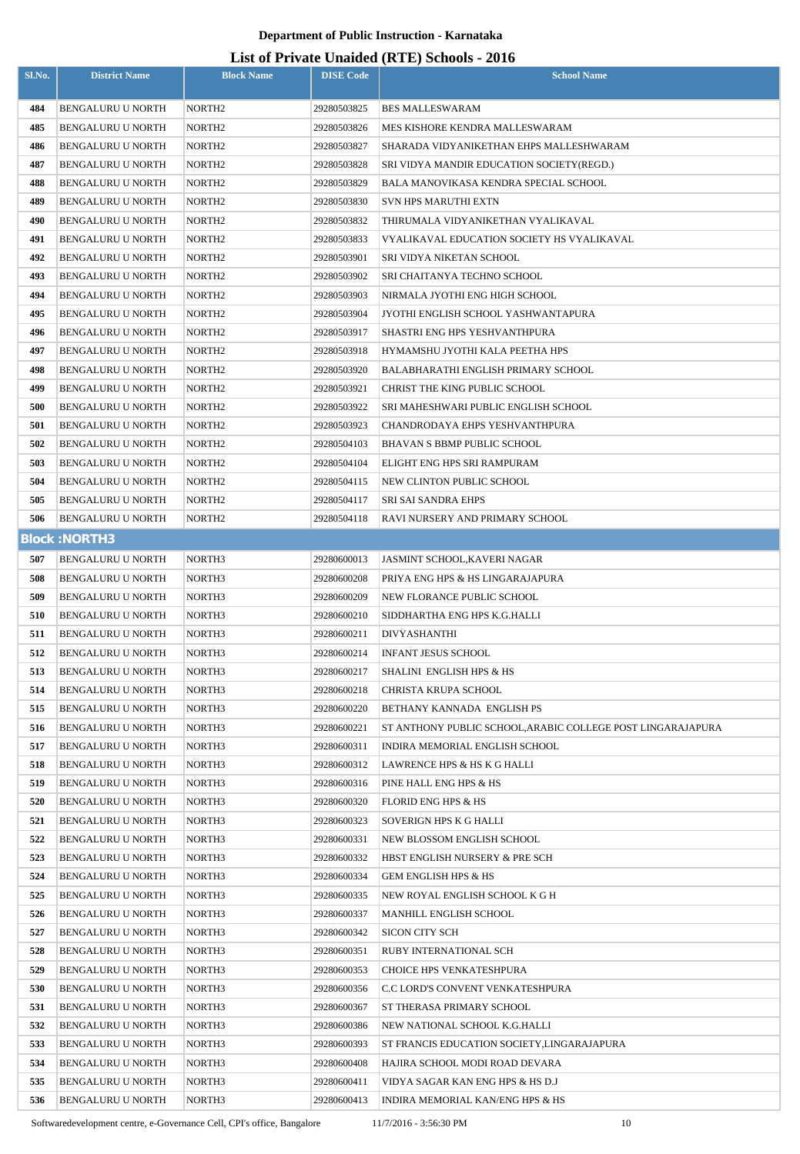#### **List of Private Unaided (RTE) Schools - 2016**

| Sl.No.     | <b>District Name</b>                                 | <b>Block Name</b>  | <b>DISE Code</b>           | $($ ---- , $\sim$ $\sim$<br><b>School Name</b>                       |
|------------|------------------------------------------------------|--------------------|----------------------------|----------------------------------------------------------------------|
| 484        | <b>BENGALURU U NORTH</b>                             | NORTH <sub>2</sub> | 29280503825                | <b>BES MALLESWARAM</b>                                               |
| 485        | <b>BENGALURU U NORTH</b>                             | NORTH <sub>2</sub> | 29280503826                | MES KISHORE KENDRA MALLESWARAM                                       |
| 486        | <b>BENGALURU U NORTH</b>                             | NORTH <sub>2</sub> | 29280503827                | SHARADA VIDYANIKETHAN EHPS MALLESHWARAM                              |
| 487        | <b>BENGALURU U NORTH</b>                             | NORTH <sub>2</sub> | 29280503828                | SRI VIDYA MANDIR EDUCATION SOCIETY(REGD.)                            |
| 488        | <b>BENGALURU U NORTH</b>                             | NORTH <sub>2</sub> | 29280503829                | BALA MANOVIKASA KENDRA SPECIAL SCHOOL                                |
| 489        | BENGALURU U NORTH                                    | NORTH <sub>2</sub> | 29280503830                | <b>SVN HPS MARUTHI EXTN</b>                                          |
| 490        | <b>BENGALURU U NORTH</b>                             | NORTH <sub>2</sub> | 29280503832                | THIRUMALA VIDYANIKETHAN VYALIKAVAL                                   |
| 491        | <b>BENGALURU U NORTH</b>                             | NORTH <sub>2</sub> | 29280503833                | VYALIKAVAL EDUCATION SOCIETY HS VYALIKAVAL                           |
| 492        | <b>BENGALURU U NORTH</b>                             | NORTH <sub>2</sub> | 29280503901                | SRI VIDYA NIKETAN SCHOOL                                             |
| 493        | BENGALURU U NORTH                                    | NORTH <sub>2</sub> | 29280503902                | SRI CHAITANYA TECHNO SCHOOL                                          |
| 494        | BENGALURU U NORTH                                    | NORTH <sub>2</sub> | 29280503903                | NIRMALA JYOTHI ENG HIGH SCHOOL                                       |
| 495        | <b>BENGALURU U NORTH</b>                             | NORTH <sub>2</sub> | 29280503904                | JYOTHI ENGLISH SCHOOL YASHWANTAPURA                                  |
| 496        | <b>BENGALURU U NORTH</b>                             | NORTH <sub>2</sub> | 29280503917                | SHASTRI ENG HPS YESHVANTHPURA                                        |
| 497        | <b>BENGALURU U NORTH</b>                             | NORTH <sub>2</sub> | 29280503918                | HYMAMSHU JYOTHI KALA PEETHA HPS                                      |
| 498        | <b>BENGALURU U NORTH</b>                             | NORTH <sub>2</sub> | 29280503920                | <b>BALABHARATHI ENGLISH PRIMARY SCHOOL</b>                           |
| 499        | BENGALURU U NORTH                                    | NORTH <sub>2</sub> | 29280503921                | CHRIST THE KING PUBLIC SCHOOL                                        |
| 500        | <b>BENGALURU U NORTH</b>                             | NORTH <sub>2</sub> | 29280503922                | SRI MAHESHWARI PUBLIC ENGLISH SCHOOL                                 |
| 501        | BENGALURU U NORTH                                    | NORTH <sub>2</sub> | 29280503923                | CHANDRODAYA EHPS YESHVANTHPURA                                       |
| 502        | BENGALURU U NORTH                                    | NORTH <sub>2</sub> | 29280504103                | BHAVAN S BBMP PUBLIC SCHOOL                                          |
| 503        | <b>BENGALURU U NORTH</b>                             | NORTH2             | 29280504104                | ELIGHT ENG HPS SRI RAMPURAM                                          |
| 504        | BENGALURU U NORTH                                    | NORTH <sub>2</sub> | 29280504115                | NEW CLINTON PUBLIC SCHOOL                                            |
| 505        | <b>BENGALURU U NORTH</b>                             | NORTH2             | 29280504117                | SRI SAI SANDRA EHPS                                                  |
| 506        | BENGALURU U NORTH                                    | NORTH <sub>2</sub> | 29280504118                | RAVI NURSERY AND PRIMARY SCHOOL                                      |
|            | <b>Block: NORTH3</b>                                 |                    |                            |                                                                      |
| 507        | <b>BENGALURU U NORTH</b>                             | NORTH3             | 29280600013                | JASMINT SCHOOL,KAVERI NAGAR                                          |
| 508        | BENGALURU U NORTH                                    | NORTH3             | 29280600208                | PRIYA ENG HPS & HS LINGARAJAPURA                                     |
| 509        | <b>BENGALURU U NORTH</b>                             | NORTH3             | 29280600209                | NEW FLORANCE PUBLIC SCHOOL                                           |
| 510        | BENGALURU U NORTH                                    | NORTH <sub>3</sub> | 29280600210                | SIDDHARTHA ENG HPS K.G.HALLI                                         |
| 511        | BENGALURU U NORTH                                    | NORTH3             | 29280600211                | DIVYASHANTHI                                                         |
| 512        | <b>BENGALURU U NORTH</b>                             | NORTH3             | 29280600214                | <b>INFANT JESUS SCHOOL</b>                                           |
| 513        | BENGALURU U NORTH                                    | NORTH3             | 29280600217                | SHALINI ENGLISH HPS & HS                                             |
| 514        | <b>BENGALURU U NORTH</b>                             | NORTH3             | 29280600218                | CHRISTA KRUPA SCHOOL                                                 |
| 515        | BENGALURU U NORTH                                    | NORTH3             | 29280600220                | BETHANY KANNADA ENGLISH PS                                           |
| 516        | <b>BENGALURU U NORTH</b>                             | NORTH3             | 29280600221                | ST ANTHONY PUBLIC SCHOOL, ARABIC COLLEGE POST LINGARAJAPURA          |
| 517        | BENGALURU U NORTH                                    | NORTH3             | 29280600311                | INDIRA MEMORIAL ENGLISH SCHOOL                                       |
| 518        | BENGALURU U NORTH                                    | NORTH3             | 29280600312                | LAWRENCE HPS & HS K G HALLI                                          |
| 519        | <b>BENGALURU U NORTH</b>                             | NORTH3             | 29280600316                | PINE HALL ENG HPS & HS                                               |
| 520        | <b>BENGALURU U NORTH</b>                             | NORTH3             | 29280600320                | <b>FLORID ENG HPS &amp; HS</b>                                       |
| 521        | BENGALURU U NORTH                                    | NORTH3             | 29280600323                | SOVERIGN HPS K G HALLI                                               |
| 522        | BENGALURU U NORTH                                    | NORTH3             | 29280600331                | NEW BLOSSOM ENGLISH SCHOOL                                           |
| 523        | <b>BENGALURU U NORTH</b>                             | NORTH3             | 29280600332                | HBST ENGLISH NURSERY & PRE SCH                                       |
| 524        | BENGALURU U NORTH                                    | NORTH3             | 29280600334                | <b>GEM ENGLISH HPS &amp; HS</b>                                      |
| 525        | BENGALURU U NORTH                                    | NORTH3             | 29280600335                | NEW ROYAL ENGLISH SCHOOL K G H                                       |
| 526        | BENGALURU U NORTH                                    | NORTH3             | 29280600337                | MANHILL ENGLISH SCHOOL                                               |
| 527        | BENGALURU U NORTH                                    | NORTH3             | 29280600342                | SICON CITY SCH                                                       |
| 528        | BENGALURU U NORTH                                    | NORTH3             | 29280600351                | RUBY INTERNATIONAL SCH                                               |
| 529        | BENGALURU U NORTH                                    | NORTH3             | 29280600353                | CHOICE HPS VENKATESHPURA                                             |
| 530        | BENGALURU U NORTH                                    | NORTH3             | 29280600356                | C.C LORD'S CONVENT VENKATESHPURA                                     |
| 531        | <b>BENGALURU U NORTH</b>                             | NORTH3             | 29280600367                | ST THERASA PRIMARY SCHOOL                                            |
| 532        | <b>BENGALURU U NORTH</b>                             | NORTH3             | 29280600386                | NEW NATIONAL SCHOOL K.G.HALLI                                        |
| 533        | <b>BENGALURU U NORTH</b>                             | NORTH3             | 29280600393                | ST FRANCIS EDUCATION SOCIETY, LINGARAJAPURA                          |
| 534<br>535 | <b>BENGALURU U NORTH</b><br><b>BENGALURU U NORTH</b> | NORTH3             | 29280600408                | HAJIRA SCHOOL MODI ROAD DEVARA                                       |
| 536        | BENGALURU U NORTH                                    | NORTH3<br>NORTH3   | 29280600411<br>29280600413 | VIDYA SAGAR KAN ENG HPS & HS D.J<br>INDIRA MEMORIAL KAN/ENG HPS & HS |
|            |                                                      |                    |                            |                                                                      |

Softwaredevelopment centre, e-Governance Cell, CPI's office, Bangalore 11/7/2016 - 3:56:30 PM 10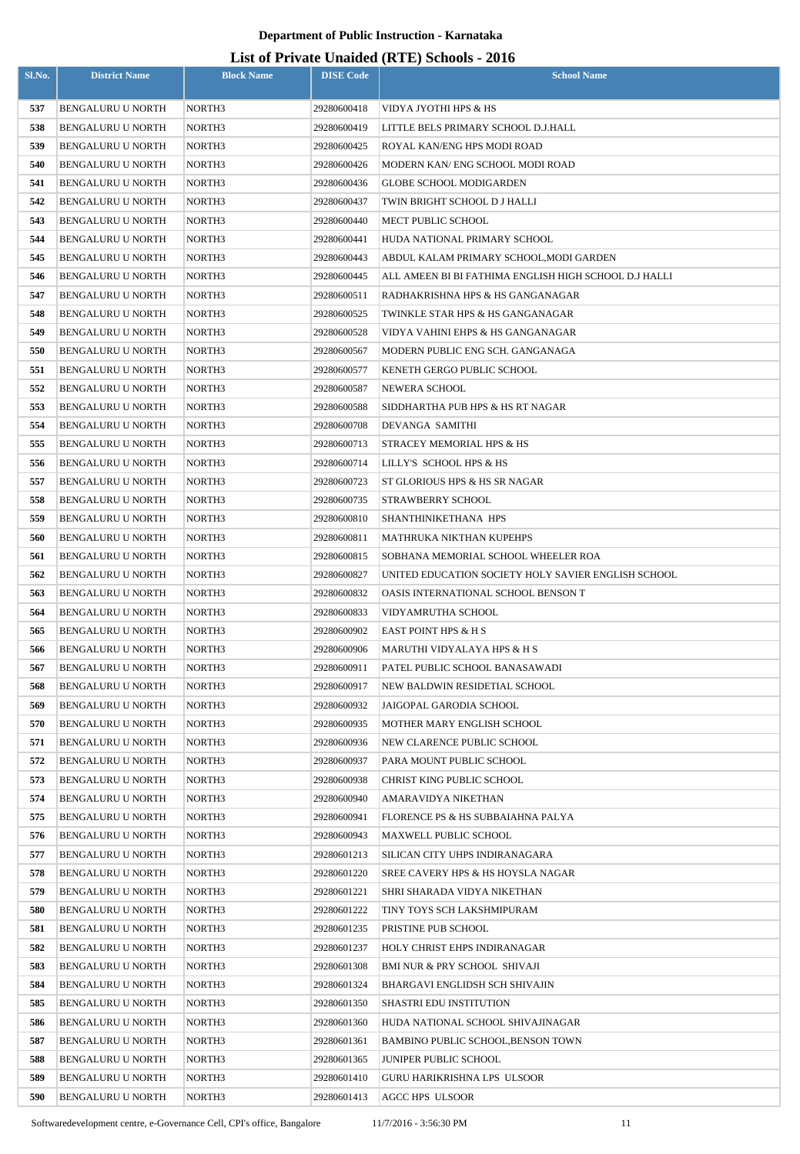| Sl.No.     | <b>District Name</b>                   | <b>Block Name</b> | <b>DISE Code</b>           | $\mu$ <sub>15</sub> of T <sub>11</sub> , and Onatucu (IVIII) behoofs $\mu$ <sub>010</sub><br><b>School Name</b> |
|------------|----------------------------------------|-------------------|----------------------------|-----------------------------------------------------------------------------------------------------------------|
| 537        | <b>BENGALURU U NORTH</b>               | NORTH3            | 29280600418                | VIDYA JYOTHI HPS & HS                                                                                           |
| 538        | BENGALURU U NORTH                      | NORTH3            | 29280600419                | LITTLE BELS PRIMARY SCHOOL D.J.HALL                                                                             |
| 539        | <b>BENGALURU U NORTH</b>               | NORTH3            | 29280600425                | ROYAL KAN/ENG HPS MODI ROAD                                                                                     |
| 540        | BENGALURU U NORTH                      | NORTH3            | 29280600426                | MODERN KAN/ ENG SCHOOL MODI ROAD                                                                                |
| 541        | <b>BENGALURU U NORTH</b>               | NORTH3            | 29280600436                | <b>GLOBE SCHOOL MODIGARDEN</b>                                                                                  |
| 542        | <b>BENGALURU U NORTH</b>               | NORTH3            | 29280600437                | TWIN BRIGHT SCHOOL D J HALLI                                                                                    |
| 543        | BENGALURU U NORTH                      | NORTH3            | 29280600440                | MECT PUBLIC SCHOOL                                                                                              |
| 544        | BENGALURU U NORTH                      | NORTH3            | 29280600441                | HUDA NATIONAL PRIMARY SCHOOL                                                                                    |
| 545        | BENGALURU U NORTH                      | NORTH3            | 29280600443                | ABDUL KALAM PRIMARY SCHOOL, MODI GARDEN                                                                         |
| 546        | BENGALURU U NORTH                      | NORTH3            | 29280600445                | ALL AMEEN BI BI FATHIMA ENGLISH HIGH SCHOOL D.J HALLI                                                           |
| 547        | BENGALURU U NORTH                      | NORTH3            | 29280600511                | RADHAKRISHNA HPS & HS GANGANAGAR                                                                                |
| 548        | BENGALURU U NORTH                      | NORTH3            | 29280600525                | TWINKLE STAR HPS & HS GANGANAGAR                                                                                |
| 549        | <b>BENGALURU U NORTH</b>               | NORTH3            | 29280600528                | VIDYA VAHINI EHPS & HS GANGANAGAR                                                                               |
| 550        | <b>BENGALURU U NORTH</b>               | NORTH3            | 29280600567                | MODERN PUBLIC ENG SCH. GANGANAGA                                                                                |
| 551        | <b>BENGALURU U NORTH</b>               | NORTH3            | 29280600577                | KENETH GERGO PUBLIC SCHOOL                                                                                      |
| 552        | <b>BENGALURU U NORTH</b>               | NORTH3            | 29280600587                | NEWERA SCHOOL                                                                                                   |
| 553        | <b>BENGALURU U NORTH</b>               | NORTH3            | 29280600588                | SIDDHARTHA PUB HPS & HS RT NAGAR                                                                                |
| 554        | BENGALURU U NORTH                      | NORTH3            | 29280600708                | DEVANGA SAMITHI                                                                                                 |
| 555        | BENGALURU U NORTH                      | NORTH3            | 29280600713                | STRACEY MEMORIAL HPS & HS                                                                                       |
| 556        | BENGALURU U NORTH                      | NORTH3            | 29280600714                | LILLY'S SCHOOL HPS & HS                                                                                         |
| 557        | BENGALURU U NORTH                      | NORTH3            | 29280600723                | ST GLORIOUS HPS & HS SR NAGAR                                                                                   |
| 558        | BENGALURU U NORTH                      | NORTH3            | 29280600735                | STRAWBERRY SCHOOL                                                                                               |
| 559        | BENGALURU U NORTH                      | NORTH3            | 29280600810                | SHANTHINIKETHANA HPS                                                                                            |
| 560        | BENGALURU U NORTH                      | NORTH3            | 29280600811                | <b>MATHRUKA NIKTHAN KUPEHPS</b>                                                                                 |
| 561        | <b>BENGALURU U NORTH</b>               | NORTH3            | 29280600815                | SOBHANA MEMORIAL SCHOOL WHEELER ROA                                                                             |
| 562        | <b>BENGALURU U NORTH</b>               | NORTH3            | 29280600827                | UNITED EDUCATION SOCIETY HOLY SAVIER ENGLISH SCHOOL                                                             |
| 563        | <b>BENGALURU U NORTH</b>               | NORTH3            | 29280600832                | OASIS INTERNATIONAL SCHOOL BENSON T                                                                             |
| 564        | BENGALURU U NORTH                      | NORTH3            | 29280600833                | VIDYAMRUTHA SCHOOL                                                                                              |
| 565        | <b>BENGALURU U NORTH</b>               | NORTH3            | 29280600902                | EAST POINT HPS & H S                                                                                            |
| 566        | <b>BENGALURU U NORTH</b>               | NORTH3            | 29280600906                | MARUTHI VIDYALAYA HPS & H S                                                                                     |
| 567<br>568 | BENGALURU U NORTH<br>BENGALURU U NORTH | NORTH3<br>NORTH3  | 29280600911<br>29280600917 | PATEL PUBLIC SCHOOL BANASAWADI<br>NEW BALDWIN RESIDETIAL SCHOOL                                                 |
| 569        | BENGALURU U NORTH                      | NORTH3            | 29280600932                | JAIGOPAL GARODIA SCHOOL                                                                                         |
| 570        | BENGALURU U NORTH                      | NORTH3            | 29280600935                | MOTHER MARY ENGLISH SCHOOL                                                                                      |
| 571        | <b>BENGALURU U NORTH</b>               | NORTH3            | 29280600936                | NEW CLARENCE PUBLIC SCHOOL                                                                                      |
| 572        | BENGALURU U NORTH                      | NORTH3            | 29280600937                | PARA MOUNT PUBLIC SCHOOL                                                                                        |
| 573        | BENGALURU U NORTH                      | NORTH3            | 29280600938                | CHRIST KING PUBLIC SCHOOL                                                                                       |
| 574        | BENGALURU U NORTH                      | NORTH3            | 29280600940                | AMARAVIDYA NIKETHAN                                                                                             |
| 575        | <b>BENGALURU U NORTH</b>               | NORTH3            | 29280600941                | FLORENCE PS & HS SUBBAIAHNA PALYA                                                                               |
| 576        | <b>BENGALURU U NORTH</b>               | NORTH3            | 29280600943                | MAXWELL PUBLIC SCHOOL                                                                                           |
| 577        | <b>BENGALURU U NORTH</b>               | NORTH3            | 29280601213                | SILICAN CITY UHPS INDIRANAGARA                                                                                  |
| 578        | <b>BENGALURU U NORTH</b>               | NORTH3            | 29280601220                | SREE CAVERY HPS & HS HOYSLA NAGAR                                                                               |
| 579        | <b>BENGALURU U NORTH</b>               | NORTH3            | 29280601221                | SHRI SHARADA VIDYA NIKETHAN                                                                                     |
| 580        | <b>BENGALURU U NORTH</b>               | NORTH3            | 29280601222                | TINY TOYS SCH LAKSHMIPURAM                                                                                      |
| 581        | BENGALURU U NORTH                      | NORTH3            | 29280601235                | PRISTINE PUB SCHOOL                                                                                             |
| 582        | BENGALURU U NORTH                      | NORTH3            | 29280601237                | HOLY CHRIST EHPS INDIRANAGAR                                                                                    |
| 583        | BENGALURU U NORTH                      | NORTH3            | 29280601308                | BMI NUR & PRY SCHOOL SHIVAJI                                                                                    |
| 584        | BENGALURU U NORTH                      | NORTH3            | 29280601324                | BHARGAVI ENGLIDSH SCH SHIVAJIN                                                                                  |
| 585        | <b>BENGALURU U NORTH</b>               | NORTH3            | 29280601350                | <b>SHASTRI EDU INSTITUTION</b>                                                                                  |
| 586        | BENGALURU U NORTH                      | NORTH3            | 29280601360                | HUDA NATIONAL SCHOOL SHIVAJINAGAR                                                                               |
| 587        | <b>BENGALURU U NORTH</b>               | NORTH3            | 29280601361                | <b>BAMBINO PUBLIC SCHOOL, BENSON TOWN</b>                                                                       |
| 588        | BENGALURU U NORTH                      | NORTH3            | 29280601365                | JUNIPER PUBLIC SCHOOL                                                                                           |
| 589        | <b>BENGALURU U NORTH</b>               | NORTH3            | 29280601410                | GURU HARIKRISHNA LPS ULSOOR                                                                                     |
| 590        | BENGALURU U NORTH                      | NORTH3            | 29280601413                | <b>AGCC HPS ULSOOR</b>                                                                                          |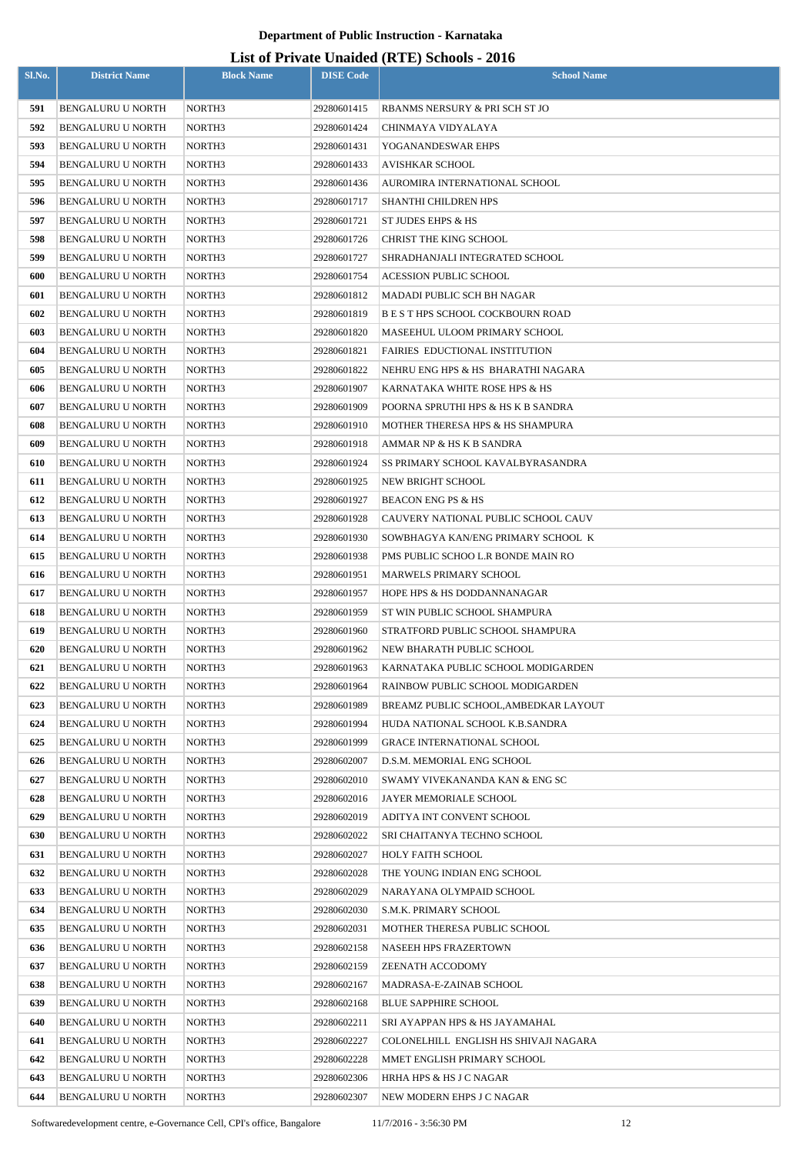| Sl.No.     | <b>District Name</b>                                 | <b>Block Name</b> | <b>DISE Code</b>           | <b>School Name</b>                                   |
|------------|------------------------------------------------------|-------------------|----------------------------|------------------------------------------------------|
|            |                                                      |                   |                            |                                                      |
| 591<br>592 | <b>BENGALURU U NORTH</b><br><b>BENGALURU U NORTH</b> | NORTH3<br>NORTH3  | 29280601415                | RBANMS NERSURY & PRI SCH ST JO<br>CHINMAYA VIDYALAYA |
| 593        | <b>BENGALURU U NORTH</b>                             | NORTH3            | 29280601424<br>29280601431 | YOGANANDESWAR EHPS                                   |
| 594        |                                                      | NORTH3            |                            | <b>AVISHKAR SCHOOL</b>                               |
| 595        | <b>BENGALURU U NORTH</b><br><b>BENGALURU U NORTH</b> | NORTH3            | 29280601433<br>29280601436 | AUROMIRA INTERNATIONAL SCHOOL                        |
| 596        | <b>BENGALURU U NORTH</b>                             | NORTH3            | 29280601717                | SHANTHI CHILDREN HPS                                 |
| 597        | <b>BENGALURU U NORTH</b>                             | NORTH3            | 29280601721                | ST JUDES EHPS & HS                                   |
| 598        | <b>BENGALURU U NORTH</b>                             | NORTH3            | 29280601726                | CHRIST THE KING SCHOOL                               |
| 599        | <b>BENGALURU U NORTH</b>                             | NORTH3            | 29280601727                | SHRADHANJALI INTEGRATED SCHOOL                       |
| 600        | <b>BENGALURU U NORTH</b>                             | NORTH3            | 29280601754                | <b>ACESSION PUBLIC SCHOOL</b>                        |
| 601        | <b>BENGALURU U NORTH</b>                             | NORTH3            | 29280601812                | MADADI PUBLIC SCH BH NAGAR                           |
| 602        | <b>BENGALURU U NORTH</b>                             | NORTH3            | 29280601819                | B E S T HPS SCHOOL COCKBOURN ROAD                    |
| 603        | <b>BENGALURU U NORTH</b>                             | NORTH3            | 29280601820                | MASEEHUL ULOOM PRIMARY SCHOOL                        |
| 604        | <b>BENGALURU U NORTH</b>                             | NORTH3            | 29280601821                | FAIRIES EDUCTIONAL INSTITUTION                       |
| 605        | <b>BENGALURU U NORTH</b>                             | NORTH3            | 29280601822                | NEHRU ENG HPS & HS BHARATHI NAGARA                   |
| 606        | <b>BENGALURU U NORTH</b>                             | NORTH3            | 29280601907                | KARNATAKA WHITE ROSE HPS & HS                        |
| 607        | <b>BENGALURU U NORTH</b>                             | NORTH3            | 29280601909                | POORNA SPRUTHI HPS & HS K B SANDRA                   |
| 608        | <b>BENGALURU U NORTH</b>                             | NORTH3            | 29280601910                | MOTHER THERESA HPS & HS SHAMPURA                     |
| 609        | <b>BENGALURU U NORTH</b>                             | NORTH3            | 29280601918                | AMMAR NP & HS K B SANDRA                             |
| 610        | <b>BENGALURU U NORTH</b>                             | NORTH3            | 29280601924                | SS PRIMARY SCHOOL KAVALBYRASANDRA                    |
| 611        | <b>BENGALURU U NORTH</b>                             | NORTH3            | 29280601925                | NEW BRIGHT SCHOOL                                    |
| 612        | <b>BENGALURU U NORTH</b>                             | NORTH3            | 29280601927                | <b>BEACON ENG PS &amp; HS</b>                        |
| 613        | <b>BENGALURU U NORTH</b>                             | NORTH3            | 29280601928                | CAUVERY NATIONAL PUBLIC SCHOOL CAUV                  |
| 614        | <b>BENGALURU U NORTH</b>                             | NORTH3            | 29280601930                | SOWBHAGYA KAN/ENG PRIMARY SCHOOL K                   |
| 615        | <b>BENGALURU U NORTH</b>                             | NORTH3            | 29280601938                | PMS PUBLIC SCHOO L.R BONDE MAIN RO                   |
| 616        | <b>BENGALURU U NORTH</b>                             | NORTH3            | 29280601951                | <b>MARWELS PRIMARY SCHOOL</b>                        |
| 617        | <b>BENGALURU U NORTH</b>                             | NORTH3            | 29280601957                | HOPE HPS & HS DODDANNANAGAR                          |
| 618        | <b>BENGALURU U NORTH</b>                             | NORTH3            | 29280601959                | ST WIN PUBLIC SCHOOL SHAMPURA                        |
| 619        | <b>BENGALURU U NORTH</b>                             | NORTH3            | 29280601960                | STRATFORD PUBLIC SCHOOL SHAMPURA                     |
| 620        | <b>BENGALURU U NORTH</b>                             | NORTH3            | 29280601962                | NEW BHARATH PUBLIC SCHOOL                            |
| 621        | <b>BENGALURU U NORTH</b>                             | NORTH3            | 29280601963                | KARNATAKA PUBLIC SCHOOL MODIGARDEN                   |
| 622        | <b>BENGALURU U NORTH</b>                             | NORTH3            | 29280601964                | RAINBOW PUBLIC SCHOOL MODIGARDEN                     |
| 623        | BENGALURU U NORTH                                    | NORTH3            | 29280601989                | BREAMZ PUBLIC SCHOOL.AMBEDKAR LAYOUT                 |
| 624        | <b>BENGALURU U NORTH</b>                             | NORTH3            | 29280601994                | HUDA NATIONAL SCHOOL K.B.SANDRA                      |
| 625        | <b>BENGALURU U NORTH</b>                             | NORTH3            | 29280601999                | <b>GRACE INTERNATIONAL SCHOOL</b>                    |
| 626        | BENGALURU U NORTH                                    | NORTH3            | 29280602007                | D.S.M. MEMORIAL ENG SCHOOL                           |
| 627        | BENGALURU U NORTH                                    | NORTH3            | 29280602010                | SWAMY VIVEKANANDA KAN & ENG SC                       |
| 628        | BENGALURU U NORTH                                    | NORTH3            | 29280602016                | JAYER MEMORIALE SCHOOL                               |
| 629        | BENGALURU U NORTH                                    | NORTH3            | 29280602019                | ADITYA INT CONVENT SCHOOL                            |
| 630        | BENGALURU U NORTH                                    | NORTH3            | 29280602022                | SRI CHAITANYA TECHNO SCHOOL                          |
| 631        | <b>BENGALURU U NORTH</b>                             | NORTH3            | 29280602027                | HOLY FAITH SCHOOL                                    |
| 632        | BENGALURU U NORTH                                    | NORTH3            | 29280602028                | THE YOUNG INDIAN ENG SCHOOL                          |
| 633        | BENGALURU U NORTH                                    | NORTH3            | 29280602029                | NARAYANA OLYMPAID SCHOOL                             |
| 634        | <b>BENGALURU U NORTH</b>                             | NORTH3            | 29280602030                | S.M.K. PRIMARY SCHOOL                                |
| 635        | <b>BENGALURU U NORTH</b>                             | NORTH3            | 29280602031                | MOTHER THERESA PUBLIC SCHOOL                         |
| 636        | <b>BENGALURU U NORTH</b>                             | NORTH3            | 29280602158                | <b>NASEEH HPS FRAZERTOWN</b>                         |
| 637        | <b>BENGALURU U NORTH</b>                             | NORTH3            | 29280602159                | ZEENATH ACCODOMY                                     |
| 638        | <b>BENGALURU U NORTH</b>                             | NORTH3            | 29280602167                | MADRASA-E-ZAINAB SCHOOL                              |
| 639        | BENGALURU U NORTH                                    | NORTH3            | 29280602168                | <b>BLUE SAPPHIRE SCHOOL</b>                          |
| 640        | BENGALURU U NORTH                                    | NORTH3            | 29280602211                | SRI AYAPPAN HPS & HS JAYAMAHAL                       |
| 641        | BENGALURU U NORTH                                    | NORTH3            | 29280602227                | COLONELHILL ENGLISH HS SHIVAJI NAGARA                |
| 642        | <b>BENGALURU U NORTH</b>                             | NORTH3            | 29280602228                | MMET ENGLISH PRIMARY SCHOOL                          |
| 643        | <b>BENGALURU U NORTH</b>                             | NORTH3            | 29280602306                | HRHA HPS & HS J C NAGAR                              |
| 644        | BENGALURU U NORTH                                    | NORTH3            | 29280602307                | NEW MODERN EHPS J C NAGAR                            |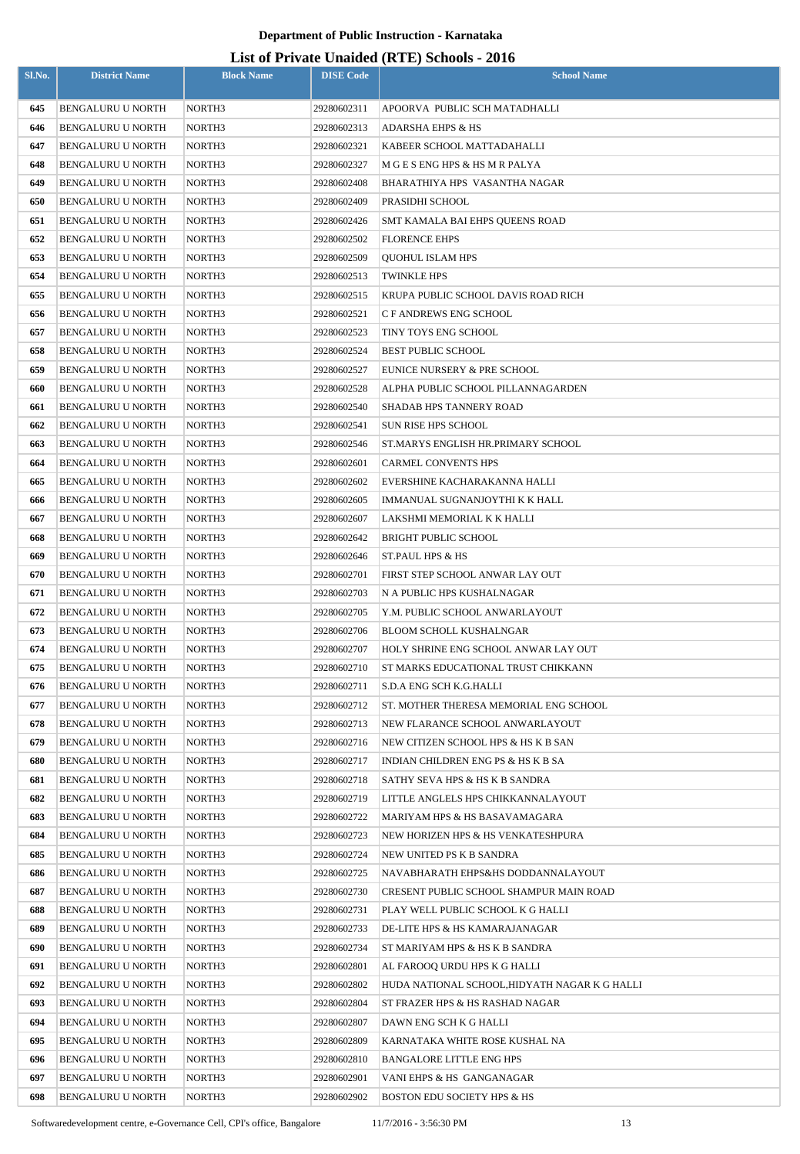| Sl.No.     | <b>District Name</b>                                 | <b>Block Name</b> | <b>DISE Code</b>           | $\frac{1}{2}$<br><b>School Name</b>                       |
|------------|------------------------------------------------------|-------------------|----------------------------|-----------------------------------------------------------|
|            |                                                      |                   |                            |                                                           |
| 645        | <b>BENGALURU U NORTH</b>                             | NORTH3            | 29280602311                | APOORVA PUBLIC SCH MATADHALLI                             |
| 646        | BENGALURU U NORTH                                    | NORTH3            | 29280602313                | <b>ADARSHA EHPS &amp; HS</b>                              |
| 647        | <b>BENGALURU U NORTH</b>                             | NORTH3            | 29280602321                | KABEER SCHOOL MATTADAHALLI                                |
| 648        | <b>BENGALURU U NORTH</b>                             | NORTH3            | 29280602327                | M G E S ENG HPS & HS M R PALYA                            |
| 649        | BENGALURU U NORTH<br><b>BENGALURU U NORTH</b>        | NORTH3            | 29280602408                | BHARATHIYA HPS VASANTHA NAGAR<br>PRASIDHI SCHOOL          |
| 650        |                                                      | NORTH3            | 29280602409                |                                                           |
| 651        | <b>BENGALURU U NORTH</b>                             | NORTH3            | 29280602426                | SMT KAMALA BAI EHPS QUEENS ROAD                           |
| 652        | <b>BENGALURU U NORTH</b>                             | NORTH3            | 29280602502                | <b>FLORENCE EHPS</b>                                      |
| 653        | BENGALURU U NORTH                                    | NORTH3            | 29280602509                | <b>QUOHUL ISLAM HPS</b>                                   |
| 654        | BENGALURU U NORTH                                    | NORTH3            | 29280602513                | <b>TWINKLE HPS</b>                                        |
| 655<br>656 | BENGALURU U NORTH<br><b>BENGALURU U NORTH</b>        | NORTH3            | 29280602515                | KRUPA PUBLIC SCHOOL DAVIS ROAD RICH                       |
|            |                                                      | NORTH3            | 29280602521                | C F ANDREWS ENG SCHOOL                                    |
| 657        | BENGALURU U NORTH<br><b>BENGALURU U NORTH</b>        | NORTH3            | 29280602523                | TINY TOYS ENG SCHOOL                                      |
| 658<br>659 |                                                      | NORTH3            | 29280602524                | <b>BEST PUBLIC SCHOOL</b>                                 |
|            | BENGALURU U NORTH                                    | NORTH3<br>NORTH3  | 29280602527                | EUNICE NURSERY & PRE SCHOOL                               |
| 660        | <b>BENGALURU U NORTH</b><br><b>BENGALURU U NORTH</b> |                   | 29280602528<br>29280602540 | ALPHA PUBLIC SCHOOL PILLANNAGARDEN                        |
| 661        |                                                      | NORTH3            |                            | SHADAB HPS TANNERY ROAD                                   |
| 662        | <b>BENGALURU U NORTH</b>                             | NORTH3            | 29280602541                | SUN RISE HPS SCHOOL                                       |
| 663        | BENGALURU U NORTH                                    | NORTH3            | 29280602546                | ST.MARYS ENGLISH HR.PRIMARY SCHOOL                        |
| 664        | <b>BENGALURU U NORTH</b>                             | NORTH3            | 29280602601                | <b>CARMEL CONVENTS HPS</b>                                |
| 665        | <b>BENGALURU U NORTH</b>                             | NORTH3            | 29280602602                | EVERSHINE KACHARAKANNA HALLI                              |
| 666        | <b>BENGALURU U NORTH</b>                             | NORTH3            | 29280602605                | IMMANUAL SUGNANJOYTHI K K HALL                            |
| 667<br>668 | <b>BENGALURU U NORTH</b>                             | NORTH3<br>NORTH3  | 29280602607                | LAKSHMI MEMORIAL K K HALLI<br><b>BRIGHT PUBLIC SCHOOL</b> |
| 669        | <b>BENGALURU U NORTH</b><br>BENGALURU U NORTH        | NORTH3            | 29280602642<br>29280602646 | <b>ST.PAUL HPS &amp; HS</b>                               |
| 670        | <b>BENGALURU U NORTH</b>                             | NORTH3            | 29280602701                | FIRST STEP SCHOOL ANWAR LAY OUT                           |
| 671        | BENGALURU U NORTH                                    | NORTH3            | 29280602703                | N A PUBLIC HPS KUSHALNAGAR                                |
| 672        | <b>BENGALURU U NORTH</b>                             | NORTH3            | 29280602705                | Y.M. PUBLIC SCHOOL ANWARLAYOUT                            |
| 673        | <b>BENGALURU U NORTH</b>                             | NORTH3            | 29280602706                | <b>BLOOM SCHOLL KUSHALNGAR</b>                            |
| 674        | <b>BENGALURU U NORTH</b>                             | NORTH3            | 29280602707                | HOLY SHRINE ENG SCHOOL ANWAR LAY OUT                      |
| 675        | BENGALURU U NORTH                                    | NORTH3            | 29280602710                | ST MARKS EDUCATIONAL TRUST CHIKKANN                       |
| 676        | <b>BENGALURU U NORTH</b>                             | NORTH3            | 29280602711                | S.D.A ENG SCH K.G.HALLI                                   |
| 677        | BENGALURU U NORTH                                    | NORTH3            | 29280602712                | ST. MOTHER THERESA MEMORIAL ENG SCHOOL                    |
| 678        | <b>BENGALURU U NORTH</b>                             | NORTH3            | 29280602713                | NEW FLARANCE SCHOOL ANWARLAYOUT                           |
| 679        | BENGALURU U NORTH                                    | NORTH3            | 29280602716                | NEW CITIZEN SCHOOL HPS & HS K B SAN                       |
| 680        | BENGALURU U NORTH                                    | NORTH3            | 29280602717                | INDIAN CHILDREN ENG PS & HS K B SA                        |
| 681        | BENGALURU U NORTH                                    | NORTH3            | 29280602718                | SATHY SEVA HPS & HS K B SANDRA                            |
| 682        | BENGALURU U NORTH                                    | NORTH3            | 29280602719                | LITTLE ANGLELS HPS CHIKKANNALAYOUT                        |
| 683        | BENGALURU U NORTH                                    | NORTH3            | 29280602722                | MARIYAM HPS & HS BASAVAMAGARA                             |
| 684        | BENGALURU U NORTH                                    | NORTH3            | 29280602723                | NEW HORIZEN HPS & HS VENKATESHPURA                        |
| 685        | <b>BENGALURU U NORTH</b>                             | NORTH3            | 29280602724                | NEW UNITED PS K B SANDRA                                  |
| 686        | <b>BENGALURU U NORTH</b>                             | NORTH3            | 29280602725                | NAVABHARATH EHPS&HS DODDANNALAYOUT                        |
| 687        | <b>BENGALURU U NORTH</b>                             | NORTH3            | 29280602730                | CRESENT PUBLIC SCHOOL SHAMPUR MAIN ROAD                   |
| 688        | <b>BENGALURU U NORTH</b>                             | NORTH3            | 29280602731                | PLAY WELL PUBLIC SCHOOL K G HALLI                         |
| 689        | <b>BENGALURU U NORTH</b>                             | NORTH3            | 29280602733                | DE-LITE HPS & HS KAMARAJANAGAR                            |
| 690        | <b>BENGALURU U NORTH</b>                             | NORTH3            | 29280602734                | ST MARIYAM HPS & HS K B SANDRA                            |
| 691        | <b>BENGALURU U NORTH</b>                             | NORTH3            | 29280602801                | AL FAROOQ URDU HPS K G HALLI                              |
| 692        | <b>BENGALURU U NORTH</b>                             | NORTH3            | 29280602802                | HUDA NATIONAL SCHOOL,HIDYATH NAGAR K G HALLI              |
| 693        | <b>BENGALURU U NORTH</b>                             | NORTH3            | 29280602804                | ST FRAZER HPS & HS RASHAD NAGAR                           |
| 694        | BENGALURU U NORTH                                    | NORTH3            | 29280602807                | DAWN ENG SCH K G HALLI                                    |
| 695        | BENGALURU U NORTH                                    | NORTH3            | 29280602809                | KARNATAKA WHITE ROSE KUSHAL NA                            |
| 696        | <b>BENGALURU U NORTH</b>                             | NORTH3            | 29280602810                | <b>BANGALORE LITTLE ENG HPS</b>                           |
| 697        | <b>BENGALURU U NORTH</b>                             | NORTH3            | 29280602901                | VANI EHPS & HS GANGANAGAR                                 |
| 698        | BENGALURU U NORTH                                    | NORTH3            | 29280602902                | <b>BOSTON EDU SOCIETY HPS &amp; HS</b>                    |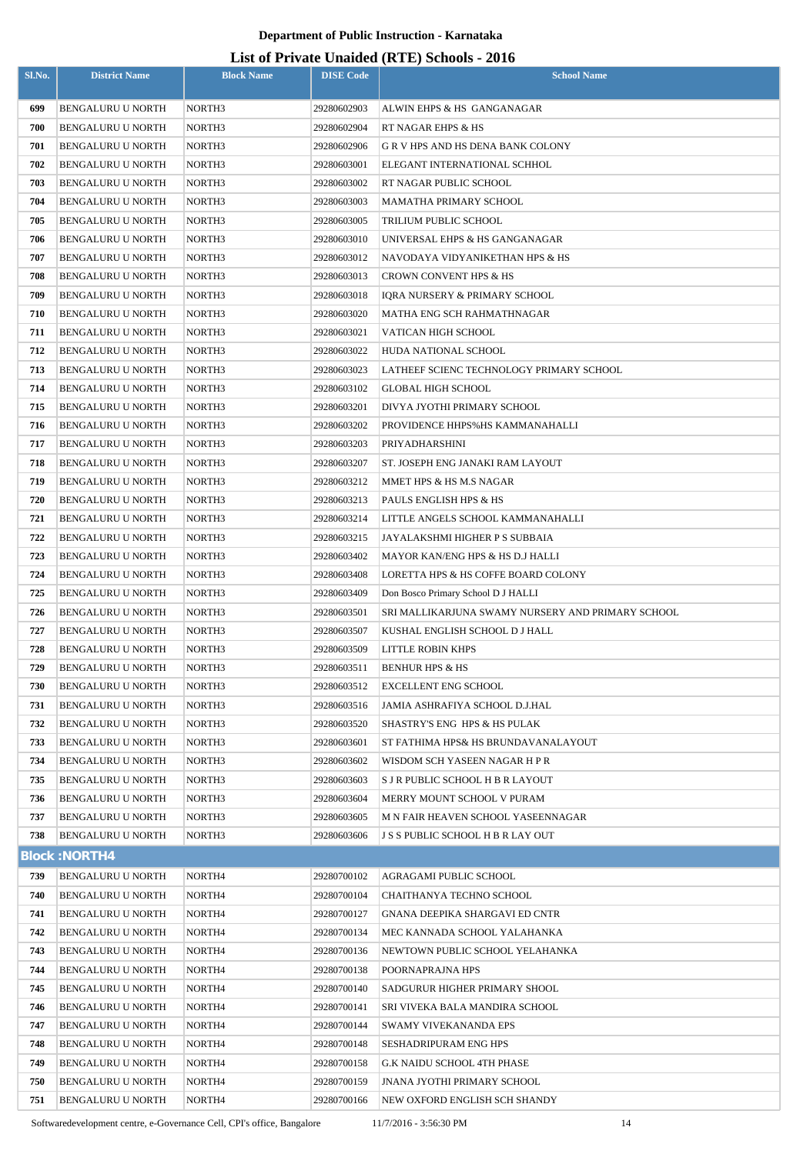## **List of Private Unaided (RTE) Schools - 2016**

|            |                                                      |                    |                            | List of Trivate Unaffect $(X, L)$ Schools - 2010              |
|------------|------------------------------------------------------|--------------------|----------------------------|---------------------------------------------------------------|
| Sl.No.     | <b>District Name</b>                                 | <b>Block Name</b>  | <b>DISE Code</b>           | <b>School Name</b>                                            |
| 699        | <b>BENGALURU U NORTH</b>                             | NORTH3             | 29280602903                | ALWIN EHPS & HS GANGANAGAR                                    |
| 700        | BENGALURU U NORTH                                    | NORTH <sub>3</sub> | 29280602904                | RT NAGAR EHPS & HS                                            |
| 701        | BENGALURU U NORTH                                    | NORTH3             | 29280602906                | G R V HPS AND HS DENA BANK COLONY                             |
| 702        | BENGALURU U NORTH                                    | NORTH3             | 29280603001                | ELEGANT INTERNATIONAL SCHHOL                                  |
| 703        | BENGALURU U NORTH                                    | NORTH3             | 29280603002                | RT NAGAR PUBLIC SCHOOL                                        |
| 704        | BENGALURU U NORTH                                    | NORTH3             | 29280603003                | MAMATHA PRIMARY SCHOOL                                        |
| 705        | BENGALURU U NORTH                                    | NORTH3             | 29280603005                | TRILIUM PUBLIC SCHOOL                                         |
| 706        | <b>BENGALURU U NORTH</b>                             | NORTH3             | 29280603010                | UNIVERSAL EHPS & HS GANGANAGAR                                |
| 707        | <b>BENGALURU U NORTH</b>                             | NORTH3             | 29280603012                | NAVODAYA VIDYANIKETHAN HPS & HS                               |
| 708        | BENGALURU U NORTH                                    | NORTH3             | 29280603013                | <b>CROWN CONVENT HPS &amp; HS</b>                             |
| 709        | BENGALURU U NORTH                                    | NORTH3             | 29280603018                | IQRA NURSERY & PRIMARY SCHOOL                                 |
| 710        | BENGALURU U NORTH                                    | NORTH3             | 29280603020                | MATHA ENG SCH RAHMATHNAGAR                                    |
| 711        | BENGALURU U NORTH                                    | NORTH3             | 29280603021                | VATICAN HIGH SCHOOL                                           |
| 712        | BENGALURU U NORTH                                    | NORTH3             | 29280603022                | HUDA NATIONAL SCHOOL                                          |
| 713        | BENGALURU U NORTH                                    | NORTH3             | 29280603023                | LATHEEF SCIENC TECHNOLOGY PRIMARY SCHOOL                      |
| 714        | <b>BENGALURU U NORTH</b>                             | NORTH3             | 29280603102                | <b>GLOBAL HIGH SCHOOL</b>                                     |
| 715        | BENGALURU U NORTH                                    | NORTH3             | 29280603201                | DIVYA JYOTHI PRIMARY SCHOOL                                   |
| 716        | BENGALURU U NORTH                                    | NORTH3             | 29280603202                | PROVIDENCE HHPS%HS KAMMANAHALLI                               |
| 717        | BENGALURU U NORTH                                    | NORTH3             | 29280603203                | PRIYADHARSHINI                                                |
| 718        | <b>BENGALURU U NORTH</b>                             | NORTH3             | 29280603207                | ST. JOSEPH ENG JANAKI RAM LAYOUT                              |
| 719        | BENGALURU U NORTH                                    | NORTH3             | 29280603212                | MMET HPS & HS M.S NAGAR                                       |
| 720        | BENGALURU U NORTH                                    | NORTH3             | 29280603213                | PAULS ENGLISH HPS & HS                                        |
| 721        | BENGALURU U NORTH                                    | NORTH3             | 29280603214                | LITTLE ANGELS SCHOOL KAMMANAHALLI                             |
| 722        | BENGALURU U NORTH                                    | NORTH3             | 29280603215                | JAYALAKSHMI HIGHER P S SUBBAIA                                |
| 723        | BENGALURU U NORTH                                    | NORTH3             | 29280603402                | MAYOR KAN/ENG HPS & HS D.J HALLI                              |
| 724        | BENGALURU U NORTH                                    | NORTH3             | 29280603408                | LORETTA HPS & HS COFFE BOARD COLONY                           |
| 725        | BENGALURU U NORTH                                    | NORTH3             | 29280603409                | Don Bosco Primary School D J HALLI                            |
| 726        | BENGALURU U NORTH                                    | NORTH3             | 29280603501                | SRI MALLIKARJUNA SWAMY NURSERY AND PRIMARY SCHOOL             |
| 727        | BENGALURU U NORTH                                    | NORTH <sub>3</sub> | 29280603507                | KUSHAL ENGLISH SCHOOL D J HALL                                |
| 728        | <b>BENGALURU U NORTH</b>                             | NORTH3             | 29280603509                | LITTLE ROBIN KHPS                                             |
| 729<br>730 | <b>BENGALURU U NORTH</b>                             | NORTH3             | 29280603511                | <b>BENHUR HPS &amp; HS</b>                                    |
| 731        | <b>BENGALURU U NORTH</b><br><b>BENGALURU U NORTH</b> | NORTH3             | 29280603512                | <b>EXCELLENT ENG SCHOOL</b><br>JAMIA ASHRAFIYA SCHOOL D.J.HAL |
| 732        | <b>BENGALURU U NORTH</b>                             | NORTH3<br>NORTH3   | 29280603516<br>29280603520 | SHASTRY'S ENG HPS & HS PULAK                                  |
| 733        | BENGALURU U NORTH                                    | NORTH3             | 29280603601                | ST FATHIMA HPS& HS BRUNDAVANALAYOUT                           |
| 734        | <b>BENGALURU U NORTH</b>                             | NORTH3             | 29280603602                | WISDOM SCH YASEEN NAGAR H P R                                 |
| 735        | BENGALURU U NORTH                                    | NORTH3             | 29280603603                | S J R PUBLIC SCHOOL H B R LAYOUT                              |
| 736        | <b>BENGALURU U NORTH</b>                             | NORTH3             | 29280603604                | MERRY MOUNT SCHOOL V PURAM                                    |
| 737        | <b>BENGALURU U NORTH</b>                             | NORTH3             | 29280603605                | M N FAIR HEAVEN SCHOOL YASEENNAGAR                            |
| 738        | BENGALURU U NORTH                                    | NORTH3             | 29280603606                | J S S PUBLIC SCHOOL H B R LAY OUT                             |
|            | <b>Block: NORTH4</b>                                 |                    |                            |                                                               |
| 739        | <b>BENGALURU U NORTH</b>                             | NORTH <sub>4</sub> | 29280700102                | AGRAGAMI PUBLIC SCHOOL                                        |
| 740        | BENGALURU U NORTH                                    | NORTH4             | 29280700104                | CHAITHANYA TECHNO SCHOOL                                      |
| 741        | <b>BENGALURU U NORTH</b>                             | NORTH4             | 29280700127                | GNANA DEEPIKA SHARGAVI ED CNTR                                |
| 742        | <b>BENGALURU U NORTH</b>                             | NORTH4             | 29280700134                | MEC KANNADA SCHOOL YALAHANKA                                  |
| 743        | BENGALURU U NORTH                                    | NORTH <sub>4</sub> | 29280700136                | NEWTOWN PUBLIC SCHOOL YELAHANKA                               |
| 744        | BENGALURU U NORTH                                    | NORTH <sub>4</sub> | 29280700138                | POORNAPRAJNA HPS                                              |
| 745        | <b>BENGALURU U NORTH</b>                             | NORTH <sub>4</sub> | 29280700140                | SADGURUR HIGHER PRIMARY SHOOL                                 |
| 746        | BENGALURU U NORTH                                    | NORTH <sub>4</sub> | 29280700141                | SRI VIVEKA BALA MANDIRA SCHOOL                                |
| 747        | <b>BENGALURU U NORTH</b>                             | NORTH <sub>4</sub> | 29280700144                | SWAMY VIVEKANANDA EPS                                         |
| 748        | BENGALURU U NORTH                                    | NORTH4             | 29280700148                | <b>SESHADRIPURAM ENG HPS</b>                                  |
| 749        | <b>BENGALURU U NORTH</b>                             | NORTH <sub>4</sub> | 29280700158                | <b>G.K NAIDU SCHOOL 4TH PHASE</b>                             |
| 750        | <b>BENGALURU U NORTH</b>                             | NORTH <sub>4</sub> | 29280700159                | <b>JNANA JYOTHI PRIMARY SCHOOL</b>                            |
| 751        | <b>BENGALURU U NORTH</b>                             | NORTH <sub>4</sub> | 29280700166                | NEW OXFORD ENGLISH SCH SHANDY                                 |

Softwaredevelopment centre, e-Governance Cell, CPI's office, Bangalore 11/7/2016 - 3:56:30 PM 14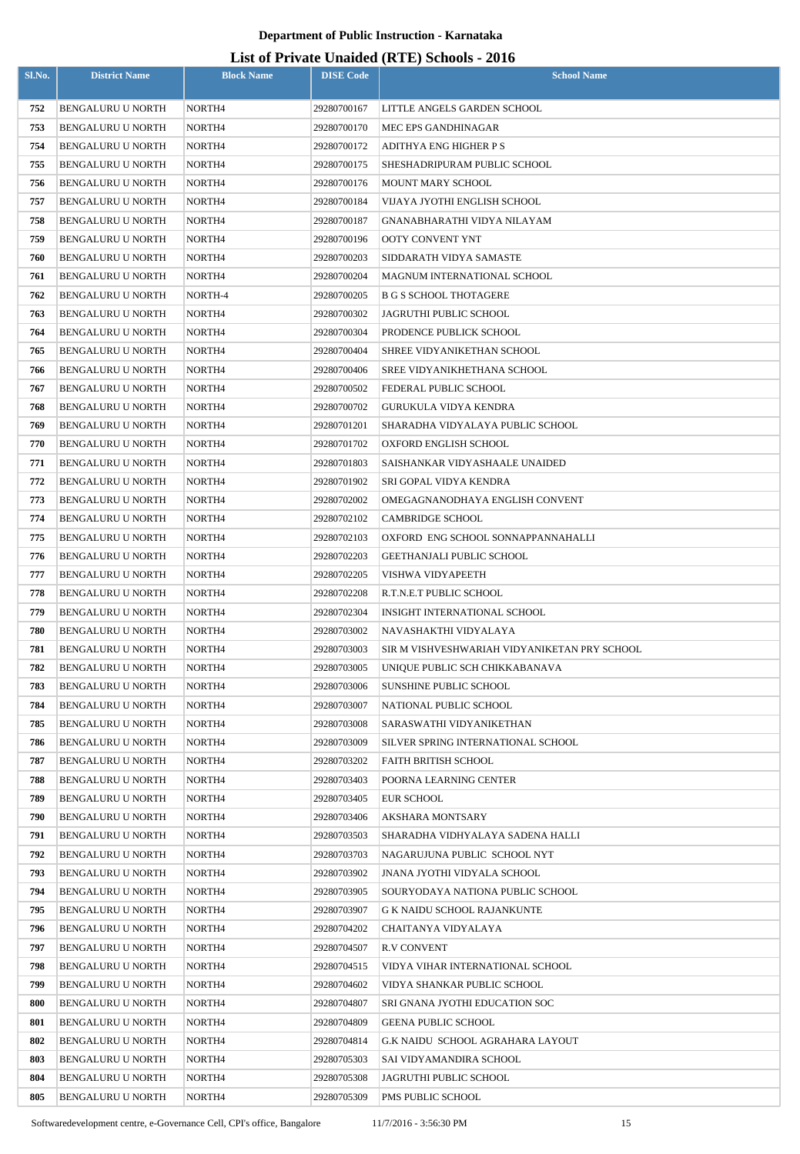| Sl.No.     | <b>District Name</b>                   | <b>Block Name</b>  | <b>DISE Code</b>           | $\sum_{i=1}^{n}$<br><b>School Name</b>                          |
|------------|----------------------------------------|--------------------|----------------------------|-----------------------------------------------------------------|
| 752        | BENGALURU U NORTH                      | NORTH4             | 29280700167                | LITTLE ANGELS GARDEN SCHOOL                                     |
| 753        | <b>BENGALURU U NORTH</b>               | NORTH <sub>4</sub> | 29280700170                | MEC EPS GANDHINAGAR                                             |
| 754        | BENGALURU U NORTH                      | NORTH4             | 29280700172                | ADITHYA ENG HIGHER P S                                          |
| 755        | BENGALURU U NORTH                      | NORTH4             | 29280700175                | SHESHADRIPURAM PUBLIC SCHOOL                                    |
| 756        | BENGALURU U NORTH                      | NORTH4             | 29280700176                | MOUNT MARY SCHOOL                                               |
| 757        | BENGALURU U NORTH                      | NORTH4             | 29280700184                | VIJAYA JYOTHI ENGLISH SCHOOL                                    |
| 758        | BENGALURU U NORTH                      | NORTH4             | 29280700187                | GNANABHARATHI VIDYA NILAYAM                                     |
| 759        | <b>BENGALURU U NORTH</b>               | NORTH4             | 29280700196                | OOTY CONVENT YNT                                                |
| 760        | <b>BENGALURU U NORTH</b>               | NORTH4             | 29280700203                | SIDDARATH VIDYA SAMASTE                                         |
| 761        | <b>BENGALURU U NORTH</b>               | NORTH4             | 29280700204                | MAGNUM INTERNATIONAL SCHOOL                                     |
| 762        | <b>BENGALURU U NORTH</b>               | NORTH-4            | 29280700205                | <b>B G S SCHOOL THOTAGERE</b>                                   |
| 763        | <b>BENGALURU U NORTH</b>               | NORTH4             | 29280700302                | JAGRUTHI PUBLIC SCHOOL                                          |
| 764        | <b>BENGALURU U NORTH</b>               | NORTH4             | 29280700304                | PRODENCE PUBLICK SCHOOL                                         |
| 765        | BENGALURU U NORTH                      | NORTH4             | 29280700404                | SHREE VIDYANIKETHAN SCHOOL                                      |
| 766        | BENGALURU U NORTH                      | NORTH4             | 29280700406                | SREE VIDYANIKHETHANA SCHOOL                                     |
| 767        | <b>BENGALURU U NORTH</b>               | NORTH4             | 29280700502                | FEDERAL PUBLIC SCHOOL                                           |
| 768        | BENGALURU U NORTH                      | NORTH4             | 29280700702                | GURUKULA VIDYA KENDRA                                           |
| 769        | <b>BENGALURU U NORTH</b>               | NORTH4             | 29280701201                | SHARADHA VIDYALAYA PUBLIC SCHOOL                                |
| 770        | <b>BENGALURU U NORTH</b>               | NORTH4             | 29280701702                | OXFORD ENGLISH SCHOOL                                           |
| 771        | <b>BENGALURU U NORTH</b>               | NORTH4             | 29280701803                | SAISHANKAR VIDYASHAALE UNAIDED                                  |
| 772        | <b>BENGALURU U NORTH</b>               | NORTH4             | 29280701902                | SRI GOPAL VIDYA KENDRA                                          |
| 773        | <b>BENGALURU U NORTH</b>               | NORTH4             | 29280702002                | OMEGAGNANODHAYA ENGLISH CONVENT                                 |
| 774        | <b>BENGALURU U NORTH</b>               | NORTH4             | 29280702102                | <b>CAMBRIDGE SCHOOL</b>                                         |
| 775        | <b>BENGALURU U NORTH</b>               | NORTH4             | 29280702103                | OXFORD ENG SCHOOL SONNAPPANNAHALLI                              |
| 776        | <b>BENGALURU U NORTH</b>               | NORTH <sub>4</sub> | 29280702203                | GEETHANJALI PUBLIC SCHOOL                                       |
| 777        | <b>BENGALURU U NORTH</b>               | NORTH4             | 29280702205                | VISHWA VIDYAPEETH                                               |
| 778        | BENGALURU U NORTH                      | NORTH4             | 29280702208                | R.T.N.E.T PUBLIC SCHOOL                                         |
| 779        | <b>BENGALURU U NORTH</b>               | NORTH4             | 29280702304                | INSIGHT INTERNATIONAL SCHOOL                                    |
| 780        | <b>BENGALURU U NORTH</b>               | NORTH4             | 29280703002                | NAVASHAKTHI VIDYALAYA                                           |
| 781        | <b>BENGALURU U NORTH</b>               | NORTH4             | 29280703003                | SIR M VISHVESHWARIAH VIDYANIKETAN PRY SCHOOL                    |
| 782        | BENGALURU U NORTH                      | NORTH4             | 29280703005                | UNIQUE PUBLIC SCH CHIKKABANAVA                                  |
| 783        | BENGALURU U NORTH                      | NORTH4             | 29280703006                | <b>SUNSHINE PUBLIC SCHOOL</b>                                   |
| 784        | BENGALURU U NORTH                      | NORTH4             | 29280703007                | NATIONAL PUBLIC SCHOOL                                          |
| 785        | <b>BENGALURU U NORTH</b>               | NORTH4             | 29280703008                | SARASWATHI VIDYANIKETHAN                                        |
| 786        | <b>BENGALURU U NORTH</b>               | NORTH4             | 29280703009                | SILVER SPRING INTERNATIONAL SCHOOL                              |
| 787        | BENGALURU U NORTH                      | NORTH4             | 29280703202                | FAITH BRITISH SCHOOL                                            |
| 788        | BENGALURU U NORTH                      | NORTH4             | 29280703403                | POORNA LEARNING CENTER                                          |
| 789        | BENGALURU U NORTH                      | NORTH4             | 29280703405                | <b>EUR SCHOOL</b>                                               |
| 790        | BENGALURU U NORTH                      | NORTH4             | 29280703406                | AKSHARA MONTSARY                                                |
| 791        | BENGALURU U NORTH                      | NORTH4             | 29280703503                | SHARADHA VIDHYALAYA SADENA HALLI                                |
| 792        | BENGALURU U NORTH                      | NORTH4             | 29280703703                | NAGARUJUNA PUBLIC SCHOOL NYT                                    |
| 793<br>794 | <b>BENGALURU U NORTH</b>               | NORTH4             | 29280703902                | JNANA JYOTHI VIDYALA SCHOOL                                     |
| 795        | BENGALURU U NORTH<br>BENGALURU U NORTH | NORTH4<br>NORTH4   | 29280703905<br>29280703907 | SOURYODAYA NATIONA PUBLIC SCHOOL<br>G K NAIDU SCHOOL RAJANKUNTE |
| 796        | <b>BENGALURU U NORTH</b>               | NORTH4             | 29280704202                | CHAITANYA VIDYALAYA                                             |
| 797        | <b>BENGALURU U NORTH</b>               | NORTH4             | 29280704507                | <b>R.V CONVENT</b>                                              |
| 798        | BENGALURU U NORTH                      | NORTH4             | 29280704515                | VIDYA VIHAR INTERNATIONAL SCHOOL                                |
| 799        | BENGALURU U NORTH                      | NORTH4             | 29280704602                | VIDYA SHANKAR PUBLIC SCHOOL                                     |
| 800        | BENGALURU U NORTH                      | NORTH4             | 29280704807                | SRI GNANA JYOTHI EDUCATION SOC                                  |
| 801        | BENGALURU U NORTH                      | NORTH4             | 29280704809                | <b>GEENA PUBLIC SCHOOL</b>                                      |
| 802        | BENGALURU U NORTH                      | NORTH4             | 29280704814                | G.K NAIDU SCHOOL AGRAHARA LAYOUT                                |
| 803        | BENGALURU U NORTH                      | NORTH4             | 29280705303                | SAI VIDYAMANDIRA SCHOOL                                         |
| 804        | BENGALURU U NORTH                      | NORTH4             | 29280705308                | JAGRUTHI PUBLIC SCHOOL                                          |
| 805        | BENGALURU U NORTH                      | NORTH4             | 29280705309                | PMS PUBLIC SCHOOL                                               |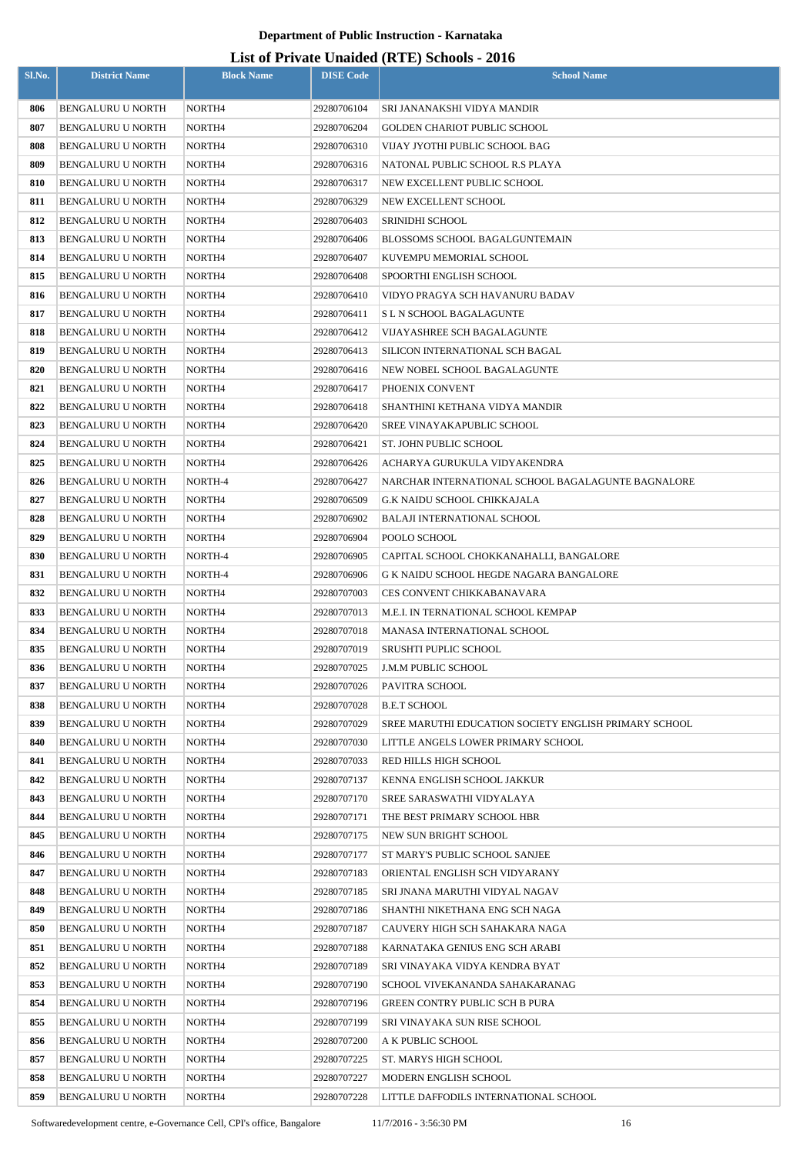| Sl.No.     | <b>District Name</b>                          | <b>Block Name</b>  | <b>DISE Code</b>           | <b>School Name</b>                                       |
|------------|-----------------------------------------------|--------------------|----------------------------|----------------------------------------------------------|
| 806        | <b>BENGALURU U NORTH</b>                      | NORTH <sub>4</sub> | 29280706104                | SRI JANANAKSHI VIDYA MANDIR                              |
| 807        | <b>BENGALURU U NORTH</b>                      | NORTH4             | 29280706204                | GOLDEN CHARIOT PUBLIC SCHOOL                             |
| 808        | <b>BENGALURU U NORTH</b>                      | NORTH4             | 29280706310                | VIJAY JYOTHI PUBLIC SCHOOL BAG                           |
| 809        | <b>BENGALURU U NORTH</b>                      | NORTH4             | 29280706316                | NATONAL PUBLIC SCHOOL R.S PLAYA                          |
| 810        | <b>BENGALURU U NORTH</b>                      | NORTH4             | 29280706317                | NEW EXCELLENT PUBLIC SCHOOL                              |
| 811        | <b>BENGALURU U NORTH</b>                      | NORTH4             | 29280706329                | NEW EXCELLENT SCHOOL                                     |
| 812        | <b>BENGALURU U NORTH</b>                      | NORTH <sub>4</sub> | 29280706403                | <b>SRINIDHI SCHOOL</b>                                   |
| 813        | <b>BENGALURU U NORTH</b>                      | NORTH4             | 29280706406                | BLOSSOMS SCHOOL BAGALGUNTEMAIN                           |
| 814        | <b>BENGALURU U NORTH</b>                      | NORTH <sub>4</sub> | 29280706407                | KUVEMPU MEMORIAL SCHOOL                                  |
| 815        | <b>BENGALURU U NORTH</b>                      | NORTH4             | 29280706408                | SPOORTHI ENGLISH SCHOOL                                  |
| 816        | <b>BENGALURU U NORTH</b>                      | NORTH <sub>4</sub> | 29280706410                | VIDYO PRAGYA SCH HAVANURU BADAV                          |
| 817        | <b>BENGALURU U NORTH</b>                      | NORTH4             | 29280706411                | S L N SCHOOL BAGALAGUNTE                                 |
| 818        | <b>BENGALURU U NORTH</b>                      | NORTH4             | 29280706412                | VIJAYASHREE SCH BAGALAGUNTE                              |
| 819        | <b>BENGALURU U NORTH</b>                      | NORTH4             | 29280706413                | SILICON INTERNATIONAL SCH BAGAL                          |
| 820        | <b>BENGALURU U NORTH</b>                      | NORTH4             | 29280706416                | NEW NOBEL SCHOOL BAGALAGUNTE                             |
| 821        | <b>BENGALURU U NORTH</b>                      | NORTH4             | 29280706417                | PHOENIX CONVENT                                          |
| 822        | <b>BENGALURU U NORTH</b>                      | NORTH4             | 29280706418                | SHANTHINI KETHANA VIDYA MANDIR                           |
| 823        | <b>BENGALURU U NORTH</b>                      | NORTH4             | 29280706420                | SREE VINAYAKAPUBLIC SCHOOL                               |
| 824        | <b>BENGALURU U NORTH</b>                      | NORTH4             | 29280706421                | ST. JOHN PUBLIC SCHOOL                                   |
| 825        | BENGALURU U NORTH                             | NORTH4             | 29280706426                | ACHARYA GURUKULA VIDYAKENDRA                             |
| 826        | BENGALURU U NORTH                             | NORTH-4            | 29280706427                | NARCHAR INTERNATIONAL SCHOOL BAGALAGUNTE BAGNALORE       |
| 827        | <b>BENGALURU U NORTH</b>                      | NORTH4             | 29280706509                | G.K NAIDU SCHOOL CHIKKAJALA                              |
| 828        | <b>BENGALURU U NORTH</b>                      | NORTH4             | 29280706902                | BALAJI INTERNATIONAL SCHOOL                              |
| 829        | <b>BENGALURU U NORTH</b>                      | NORTH4             | 29280706904                | POOLO SCHOOL                                             |
| 830        | BENGALURU U NORTH                             | NORTH-4            | 29280706905                | CAPITAL SCHOOL CHOKKANAHALLI, BANGALORE                  |
| 831        | <b>BENGALURU U NORTH</b>                      | NORTH-4            | 29280706906                | G K NAIDU SCHOOL HEGDE NAGARA BANGALORE                  |
| 832        | <b>BENGALURU U NORTH</b>                      | NORTH4             | 29280707003                | CES CONVENT CHIKKABANAVARA                               |
| 833        | BENGALURU U NORTH                             | NORTH4             | 29280707013                | M.E.I. IN TERNATIONAL SCHOOL KEMPAP                      |
| 834        | <b>BENGALURU U NORTH</b>                      | NORTH4             | 29280707018                | MANASA INTERNATIONAL SCHOOL                              |
| 835        | <b>BENGALURU U NORTH</b>                      | NORTH4             | 29280707019                | SRUSHTI PUPLIC SCHOOL                                    |
| 836        | BENGALURU U NORTH                             | NORTH4             | 29280707025                | J.M.M PUBLIC SCHOOL                                      |
| 837        | <b>BENGALURU U NORTH</b>                      | NORTH4             | 29280707026                | PAVITRA SCHOOL                                           |
| 838        | <b>BENGALURU U NORTH</b>                      | NORTH4             | 29280707028                | <b>B.E.T SCHOOL</b>                                      |
| 839        | BENGALURU U NORTH                             | NORTH4             | 29280707029                | SREE MARUTHI EDUCATION SOCIETY ENGLISH PRIMARY SCHOOL    |
| 840        | BENGALURU U NORTH                             | NORTH4             | 29280707030                | LITTLE ANGELS LOWER PRIMARY SCHOOL                       |
| 841        | BENGALURU U NORTH                             | NORTH4             | 29280707033                | RED HILLS HIGH SCHOOL                                    |
| 842        | <b>BENGALURU U NORTH</b>                      | NORTH4             | 29280707137                | KENNA ENGLISH SCHOOL JAKKUR                              |
| 843<br>844 | BENGALURU U NORTH<br><b>BENGALURU U NORTH</b> | NORTH4<br>NORTH4   | 29280707170<br>29280707171 | SREE SARASWATHI VIDYALAYA<br>THE BEST PRIMARY SCHOOL HBR |
| 845        | <b>BENGALURU U NORTH</b>                      | NORTH4             | 29280707175                | NEW SUN BRIGHT SCHOOL                                    |
| 846        | BENGALURU U NORTH                             | NORTH4             | 29280707177                | ST MARY'S PUBLIC SCHOOL SANJEE                           |
| 847        | <b>BENGALURU U NORTH</b>                      | NORTH4             | 29280707183                | ORIENTAL ENGLISH SCH VIDYARANY                           |
| 848        | BENGALURU U NORTH                             | NORTH4             | 29280707185                | SRI JNANA MARUTHI VIDYAL NAGAV                           |
| 849        | BENGALURU U NORTH                             | NORTH4             | 29280707186                | SHANTHI NIKETHANA ENG SCH NAGA                           |
| 850        | BENGALURU U NORTH                             | NORTH4             | 29280707187                | CAUVERY HIGH SCH SAHAKARA NAGA                           |
| 851        | BENGALURU U NORTH                             | NORTH4             | 29280707188                | KARNATAKA GENIUS ENG SCH ARABI                           |
| 852        | <b>BENGALURU U NORTH</b>                      | NORTH4             | 29280707189                | SRI VINAYAKA VIDYA KENDRA BYAT                           |
| 853        | BENGALURU U NORTH                             | NORTH4             | 29280707190                | SCHOOL VIVEKANANDA SAHAKARANAG                           |
| 854        | BENGALURU U NORTH                             | NORTH4             | 29280707196                | GREEN CONTRY PUBLIC SCH B PURA                           |
| 855        | <b>BENGALURU U NORTH</b>                      | NORTH4             | 29280707199                | SRI VINAYAKA SUN RISE SCHOOL                             |
| 856        | <b>BENGALURU U NORTH</b>                      | NORTH4             | 29280707200                | A K PUBLIC SCHOOL                                        |
| 857        | BENGALURU U NORTH                             | NORTH4             | 29280707225                | ST. MARYS HIGH SCHOOL                                    |
| 858        | <b>BENGALURU U NORTH</b>                      | NORTH4             | 29280707227                | MODERN ENGLISH SCHOOL                                    |
| 859        | BENGALURU U NORTH                             | NORTH4             | 29280707228                | LITTLE DAFFODILS INTERNATIONAL SCHOOL                    |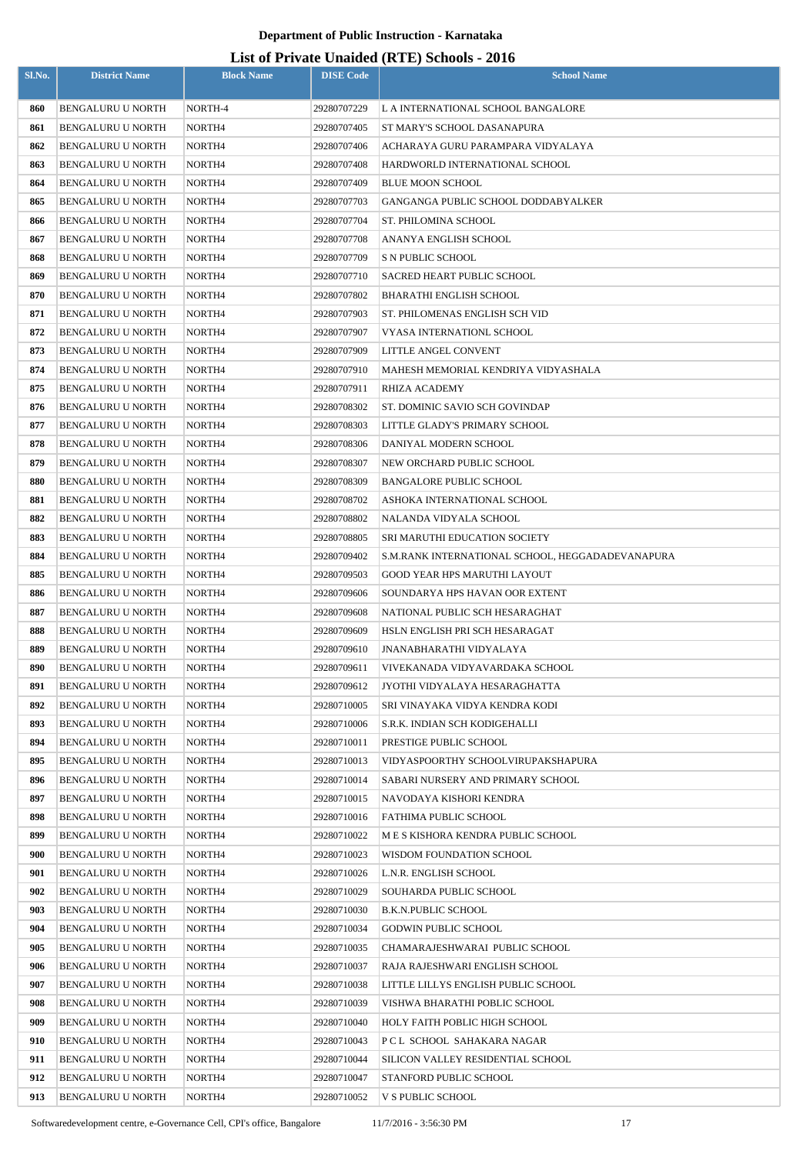|        |                          |                    |                  | $List$ of Trivally Unafully (IVIE) behoods - 2010 |
|--------|--------------------------|--------------------|------------------|---------------------------------------------------|
| Sl.No. | <b>District Name</b>     | <b>Block Name</b>  | <b>DISE Code</b> | <b>School Name</b>                                |
| 860    | <b>BENGALURU U NORTH</b> | NORTH-4            | 29280707229      | L A INTERNATIONAL SCHOOL BANGALORE                |
| 861    | <b>BENGALURU U NORTH</b> | NORTH4             | 29280707405      | ST MARY'S SCHOOL DASANAPURA                       |
| 862    | <b>BENGALURU U NORTH</b> | NORTH4             | 29280707406      | ACHARAYA GURU PARAMPARA VIDYALAYA                 |
| 863    | BENGALURU U NORTH        | NORTH4             | 29280707408      | HARDWORLD INTERNATIONAL SCHOOL                    |
| 864    | <b>BENGALURU U NORTH</b> | NORTH4             | 29280707409      | <b>BLUE MOON SCHOOL</b>                           |
| 865    | <b>BENGALURU U NORTH</b> | NORTH4             | 29280707703      | GANGANGA PUBLIC SCHOOL DODDABYALKER               |
| 866    | <b>BENGALURU U NORTH</b> | NORTH4             | 29280707704      | ST. PHILOMINA SCHOOL                              |
| 867    | <b>BENGALURU U NORTH</b> | NORTH4             | 29280707708      | ANANYA ENGLISH SCHOOL                             |
| 868    | <b>BENGALURU U NORTH</b> | NORTH4             | 29280707709      | S N PUBLIC SCHOOL                                 |
| 869    | <b>BENGALURU U NORTH</b> | NORTH4             | 29280707710      | SACRED HEART PUBLIC SCHOOL                        |
| 870    | <b>BENGALURU U NORTH</b> | NORTH4             | 29280707802      | BHARATHI ENGLISH SCHOOL                           |
| 871    | <b>BENGALURU U NORTH</b> | NORTH <sub>4</sub> | 29280707903      | ST. PHILOMENAS ENGLISH SCH VID                    |
| 872    | <b>BENGALURU U NORTH</b> | NORTH4             | 29280707907      | VYASA INTERNATIONL SCHOOL                         |
| 873    | <b>BENGALURU U NORTH</b> | NORTH <sub>4</sub> | 29280707909      | LITTLE ANGEL CONVENT                              |
| 874    | <b>BENGALURU U NORTH</b> | NORTH4             | 29280707910      | MAHESH MEMORIAL KENDRIYA VIDYASHALA               |
| 875    | <b>BENGALURU U NORTH</b> | NORTH4             | 29280707911      | RHIZA ACADEMY                                     |
| 876    | <b>BENGALURU U NORTH</b> | NORTH4             | 29280708302      | ST. DOMINIC SAVIO SCH GOVINDAP                    |
| 877    | <b>BENGALURU U NORTH</b> | NORTH <sub>4</sub> | 29280708303      | LITTLE GLADY'S PRIMARY SCHOOL                     |
| 878    | <b>BENGALURU U NORTH</b> | NORTH4             | 29280708306      | DANIYAL MODERN SCHOOL                             |
| 879    | <b>BENGALURU U NORTH</b> | NORTH4             | 29280708307      | NEW ORCHARD PUBLIC SCHOOL                         |
| 880    | <b>BENGALURU U NORTH</b> | NORTH4             | 29280708309      | <b>BANGALORE PUBLIC SCHOOL</b>                    |
| 881    | <b>BENGALURU U NORTH</b> | NORTH4             | 29280708702      | ASHOKA INTERNATIONAL SCHOOL                       |
| 882    | <b>BENGALURU U NORTH</b> | NORTH4             | 29280708802      | NALANDA VIDYALA SCHOOL                            |
| 883    | <b>BENGALURU U NORTH</b> | NORTH4             | 29280708805      | <b>SRI MARUTHI EDUCATION SOCIETY</b>              |
| 884    | <b>BENGALURU U NORTH</b> | NORTH4             | 29280709402      | S.M.RANK INTERNATIONAL SCHOOL, HEGGADADEVANAPURA  |
| 885    | <b>BENGALURU U NORTH</b> | NORTH4             | 29280709503      | <b>GOOD YEAR HPS MARUTHI LAYOUT</b>               |
| 886    | BENGALURU U NORTH        | NORTH4             | 29280709606      | SOUNDARYA HPS HAVAN OOR EXTENT                    |
| 887    | BENGALURU U NORTH        | NORTH <sub>4</sub> | 29280709608      | NATIONAL PUBLIC SCH HESARAGHAT                    |
| 888    | <b>BENGALURU U NORTH</b> | NORTH4             | 29280709609      | HSLN ENGLISH PRI SCH HESARAGAT                    |
| 889    | <b>BENGALURU U NORTH</b> | NORTH4             | 29280709610      | JNANABHARATHI VIDYALAYA                           |
| 890    | <b>BENGALURU U NORTH</b> | NORTH4             | 29280709611      | VIVEKANADA VIDYAVARDAKA SCHOOL                    |
| 891    | <b>BENGALURU U NORTH</b> | NORTH4             | 29280709612      | JYOTHI VIDYALAYA HESARAGHATTA                     |
| 892    | <b>BENGALURU U NORTH</b> | NORTH4             | 29280710005      | SRI VINAYAKA VIDYA KENDRA KODI                    |
| 893    | <b>BENGALURU U NORTH</b> | NORTH4             | 29280710006      | S.R.K. INDIAN SCH KODIGEHALLI                     |
| 894    | <b>BENGALURU U NORTH</b> | NORTH4             | 29280710011      | PRESTIGE PUBLIC SCHOOL                            |
| 895    | <b>BENGALURU U NORTH</b> | NORTH4             | 29280710013      | VIDYASPOORTHY SCHOOLVIRUPAKSHAPURA                |
| 896    | <b>BENGALURU U NORTH</b> | NORTH4             | 29280710014      | SABARI NURSERY AND PRIMARY SCHOOL                 |
| 897    | <b>BENGALURU U NORTH</b> | NORTH4             | 29280710015      | NAVODAYA KISHORI KENDRA                           |
| 898    | <b>BENGALURU U NORTH</b> | NORTH4             | 29280710016      | FATHIMA PUBLIC SCHOOL                             |
| 899    | <b>BENGALURU U NORTH</b> | NORTH4             | 29280710022      | M E S KISHORA KENDRA PUBLIC SCHOOL                |
| 900    | <b>BENGALURU U NORTH</b> | NORTH4             | 29280710023      | WISDOM FOUNDATION SCHOOL                          |
| 901    | <b>BENGALURU U NORTH</b> | NORTH4             | 29280710026      | L.N.R. ENGLISH SCHOOL                             |
| 902    | <b>BENGALURU U NORTH</b> | NORTH4             | 29280710029      | SOUHARDA PUBLIC SCHOOL                            |
| 903    | <b>BENGALURU U NORTH</b> | NORTH4             | 29280710030      | <b>B.K.N.PUBLIC SCHOOL</b>                        |
| 904    | <b>BENGALURU U NORTH</b> | NORTH4             | 29280710034      | <b>GODWIN PUBLIC SCHOOL</b>                       |
| 905    | <b>BENGALURU U NORTH</b> | NORTH4             | 29280710035      | CHAMARAJESHWARAI PUBLIC SCHOOL                    |
| 906    | <b>BENGALURU U NORTH</b> | NORTH4             | 29280710037      | RAJA RAJESHWARI ENGLISH SCHOOL                    |
| 907    | <b>BENGALURU U NORTH</b> | NORTH4             | 29280710038      | LITTLE LILLYS ENGLISH PUBLIC SCHOOL               |
| 908    | <b>BENGALURU U NORTH</b> | NORTH4             | 29280710039      | VISHWA BHARATHI POBLIC SCHOOL                     |
| 909    | BENGALURU U NORTH        | NORTH4             | 29280710040      | HOLY FAITH POBLIC HIGH SCHOOL                     |
| 910    | BENGALURU U NORTH        | NORTH4             | 29280710043      | PCL SCHOOL SAHAKARA NAGAR                         |
| 911    | BENGALURU U NORTH        | NORTH4             | 29280710044      | SILICON VALLEY RESIDENTIAL SCHOOL                 |
| 912    | BENGALURU U NORTH        | NORTH4             | 29280710047      | STANFORD PUBLIC SCHOOL                            |
| 913    | BENGALURU U NORTH        | NORTH4             | 29280710052      | V S PUBLIC SCHOOL                                 |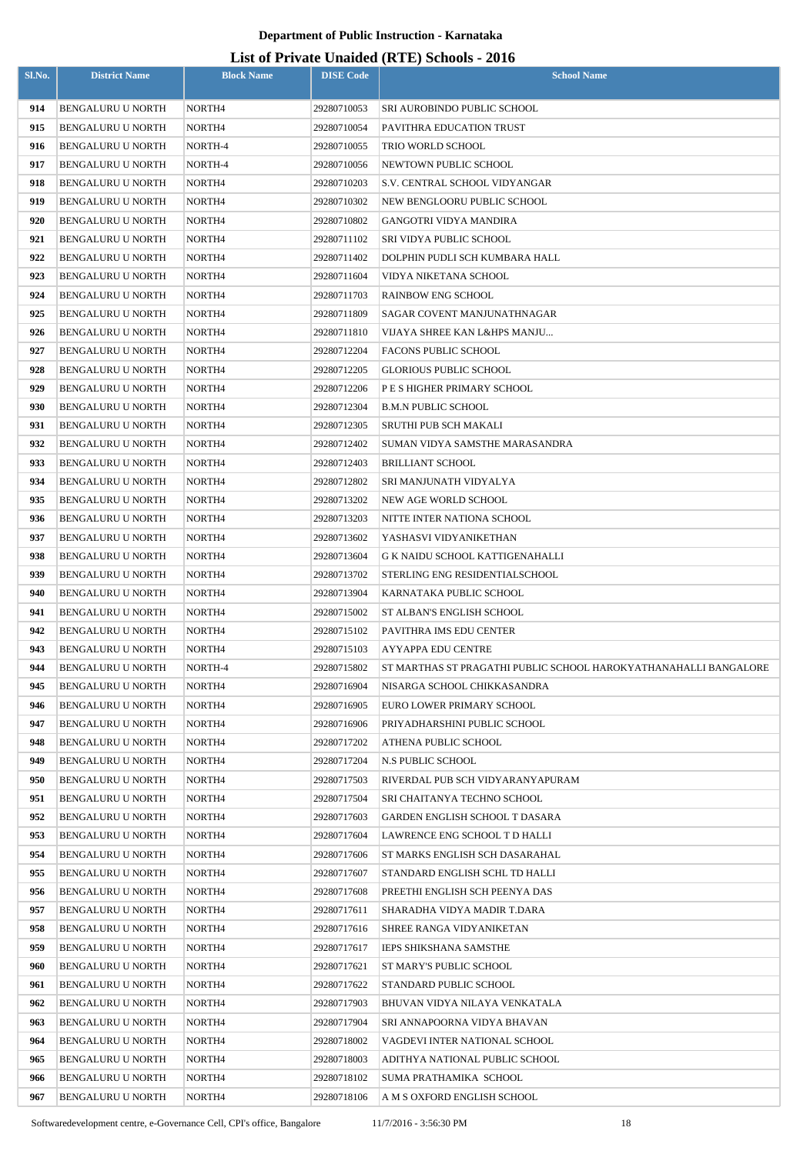| Sl.No.     | <b>District Name</b>                   | <b>Block Name</b>  | <b>DISE</b> Code           | $\text{F11744}$<br><b>School Name</b>                                                           |
|------------|----------------------------------------|--------------------|----------------------------|-------------------------------------------------------------------------------------------------|
| 914        | <b>BENGALURU U NORTH</b>               | NORTH4             | 29280710053                | SRI AUROBINDO PUBLIC SCHOOL                                                                     |
| 915        | <b>BENGALURU U NORTH</b>               | NORTH4             | 29280710054                | PAVITHRA EDUCATION TRUST                                                                        |
| 916        | <b>BENGALURU U NORTH</b>               | NORTH-4            | 29280710055                | TRIO WORLD SCHOOL                                                                               |
| 917        | <b>BENGALURU U NORTH</b>               | NORTH-4            | 29280710056                | NEWTOWN PUBLIC SCHOOL                                                                           |
| 918        | <b>BENGALURU U NORTH</b>               | NORTH4             | 29280710203                | S.V. CENTRAL SCHOOL VIDYANGAR                                                                   |
| 919        | BENGALURU U NORTH                      | NORTH4             | 29280710302                | NEW BENGLOORU PUBLIC SCHOOL                                                                     |
| 920        | <b>BENGALURU U NORTH</b>               | NORTH4             | 29280710802                | <b>GANGOTRI VIDYA MANDIRA</b>                                                                   |
| 921        | BENGALURU U NORTH                      | NORTH4             | 29280711102                | SRI VIDYA PUBLIC SCHOOL                                                                         |
| 922        | <b>BENGALURU U NORTH</b>               | NORTH4             | 29280711402                | DOLPHIN PUDLI SCH KUMBARA HALL                                                                  |
| 923        | BENGALURU U NORTH                      | NORTH4             | 29280711604                | VIDYA NIKETANA SCHOOL                                                                           |
| 924        | BENGALURU U NORTH                      | NORTH4             | 29280711703                | <b>RAINBOW ENG SCHOOL</b>                                                                       |
| 925        | BENGALURU U NORTH                      | NORTH4             | 29280711809                | SAGAR COVENT MANJUNATHNAGAR                                                                     |
| 926        | BENGALURU U NORTH                      | NORTH4             | 29280711810                | VIJAYA SHREE KAN L&HPS MANJU                                                                    |
| 927        | <b>BENGALURU U NORTH</b>               | NORTH4             | 29280712204                | <b>FACONS PUBLIC SCHOOL</b>                                                                     |
| 928        | <b>BENGALURU U NORTH</b>               | NORTH4             | 29280712205                | <b>GLORIOUS PUBLIC SCHOOL</b>                                                                   |
| 929        | <b>BENGALURU U NORTH</b>               | NORTH4             | 29280712206                | P E S HIGHER PRIMARY SCHOOL                                                                     |
| 930        | BENGALURU U NORTH                      | NORTH4             | 29280712304                | <b>B.M.N PUBLIC SCHOOL</b>                                                                      |
| 931        | <b>BENGALURU U NORTH</b>               | NORTH4             | 29280712305                | SRUTHI PUB SCH MAKALI                                                                           |
| 932        | <b>BENGALURU U NORTH</b>               | NORTH4             | 29280712402                | SUMAN VIDYA SAMSTHE MARASANDRA                                                                  |
| 933        | <b>BENGALURU U NORTH</b>               | NORTH4             | 29280712403                | <b>BRILLIANT SCHOOL</b>                                                                         |
| 934        | <b>BENGALURU U NORTH</b>               | NORTH4             | 29280712802                | SRI MANJUNATH VIDYALYA                                                                          |
| 935        | <b>BENGALURU U NORTH</b>               | NORTH4             | 29280713202                | NEW AGE WORLD SCHOOL                                                                            |
| 936        | <b>BENGALURU U NORTH</b>               | NORTH4             | 29280713203                | NITTE INTER NATIONA SCHOOL                                                                      |
| 937        | BENGALURU U NORTH                      | NORTH4             | 29280713602                | YASHASVI VIDYANIKETHAN                                                                          |
| 938        | BENGALURU U NORTH                      | NORTH4             | 29280713604                | G K NAIDU SCHOOL KATTIGENAHALLI                                                                 |
| 939        | <b>BENGALURU U NORTH</b>               | NORTH4             | 29280713702                | STERLING ENG RESIDENTIALSCHOOL                                                                  |
| 940        | <b>BENGALURU U NORTH</b>               | NORTH4             | 29280713904                | KARNATAKA PUBLIC SCHOOL                                                                         |
| 941        | BENGALURU U NORTH                      | NORTH <sub>4</sub> | 29280715002                | ST ALBAN'S ENGLISH SCHOOL                                                                       |
| 942        | BENGALURU U NORTH                      | NORTH4             | 29280715102                | PAVITHRA IMS EDU CENTER                                                                         |
| 943        | <b>BENGALURU U NORTH</b>               | NORTH4             | 29280715103                | AYYAPPA EDU CENTRE                                                                              |
| 944<br>945 | <b>BENGALURU U NORTH</b>               | NORTH-4            | 29280715802                | ST MARTHAS ST PRAGATHI PUBLIC SCHOOL HAROKYATHANAHALLI BANGALORE<br>NISARGA SCHOOL CHIKKASANDRA |
| 946        | BENGALURU U NORTH<br>BENGALURU U NORTH | NORTH4<br>NORTH4   | 29280716904<br>29280716905 | EURO LOWER PRIMARY SCHOOL                                                                       |
| 947        | <b>BENGALURU U NORTH</b>               | NORTH4             | 29280716906                | PRIYADHARSHINI PUBLIC SCHOOL                                                                    |
| 948        | BENGALURU U NORTH                      | NORTH4             | 29280717202                | ATHENA PUBLIC SCHOOL                                                                            |
| 949        | BENGALURU U NORTH                      | NORTH4             | 29280717204                | N.S PUBLIC SCHOOL                                                                               |
| 950        | BENGALURU U NORTH                      | NORTH4             | 29280717503                | RIVERDAL PUB SCH VIDYARANYAPURAM                                                                |
| 951        | BENGALURU U NORTH                      | NORTH4             | 29280717504                | SRI CHAITANYA TECHNO SCHOOL                                                                     |
| 952        | BENGALURU U NORTH                      | NORTH4             | 29280717603                | GARDEN ENGLISH SCHOOL T DASARA                                                                  |
| 953        | BENGALURU U NORTH                      | NORTH4             | 29280717604                | LAWRENCE ENG SCHOOL T D HALLI                                                                   |
| 954        | BENGALURU U NORTH                      | NORTH4             | 29280717606                | ST MARKS ENGLISH SCH DASARAHAL                                                                  |
| 955        | <b>BENGALURU U NORTH</b>               | NORTH4             | 29280717607                | STANDARD ENGLISH SCHL TD HALLI                                                                  |
| 956        | BENGALURU U NORTH                      | NORTH4             | 29280717608                | PREETHI ENGLISH SCH PEENYA DAS                                                                  |
| 957        | BENGALURU U NORTH                      | NORTH4             | 29280717611                | SHARADHA VIDYA MADIR T.DARA                                                                     |
| 958        | <b>BENGALURU U NORTH</b>               | NORTH4             | 29280717616                | SHREE RANGA VIDYANIKETAN                                                                        |
| 959        | <b>BENGALURU U NORTH</b>               | NORTH4             | 29280717617                | <b>IEPS SHIKSHANA SAMSTHE</b>                                                                   |
| 960        | <b>BENGALURU U NORTH</b>               | NORTH4             | 29280717621                | ST MARY'S PUBLIC SCHOOL                                                                         |
| 961        | BENGALURU U NORTH                      | NORTH4             | 29280717622                | STANDARD PUBLIC SCHOOL                                                                          |
| 962        | BENGALURU U NORTH                      | NORTH4             | 29280717903                | BHUVAN VIDYA NILAYA VENKATALA                                                                   |
| 963        | BENGALURU U NORTH                      | NORTH4             | 29280717904                | SRI ANNAPOORNA VIDYA BHAVAN                                                                     |
| 964        | <b>BENGALURU U NORTH</b>               | NORTH4             | 29280718002                | VAGDEVI INTER NATIONAL SCHOOL                                                                   |
| 965        | BENGALURU U NORTH                      | NORTH4             | 29280718003                | ADITHYA NATIONAL PUBLIC SCHOOL                                                                  |
| 966        | <b>BENGALURU U NORTH</b>               | NORTH4             | 29280718102                | SUMA PRATHAMIKA SCHOOL                                                                          |
| 967        | BENGALURU U NORTH                      | NORTH4             | 29280718106                | A M S OXFORD ENGLISH SCHOOL                                                                     |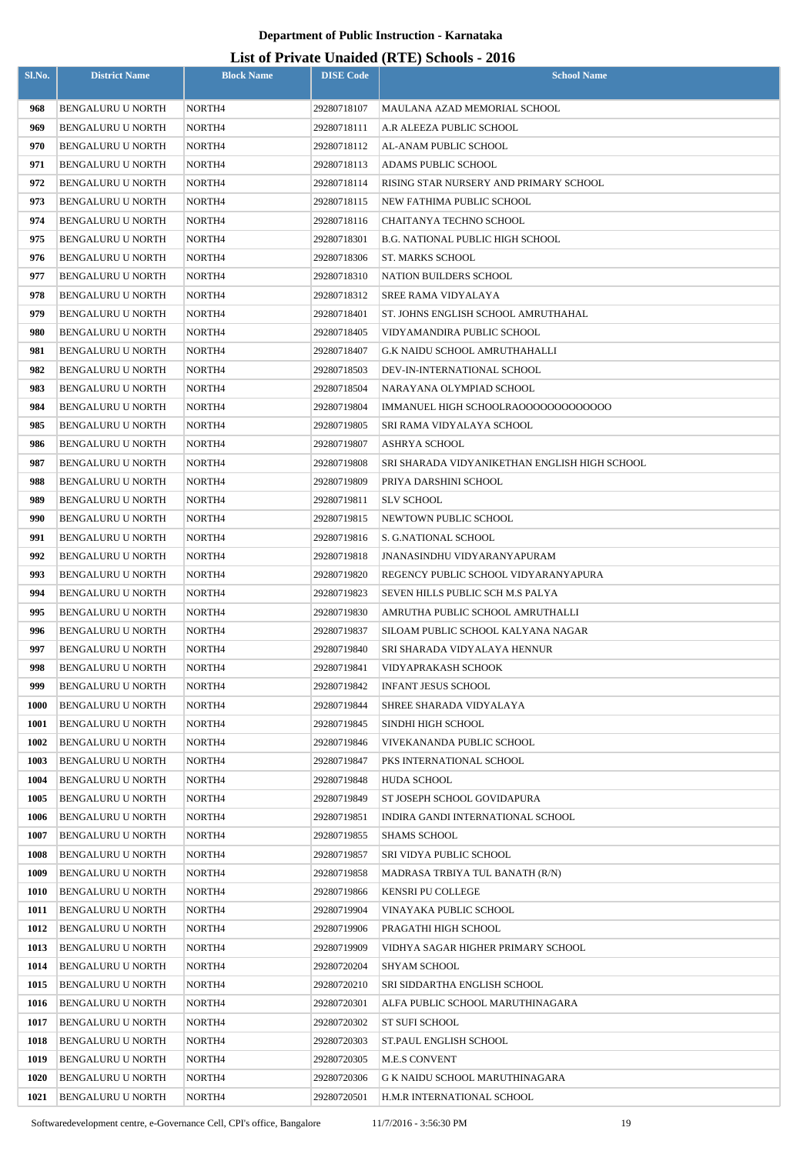| 968<br><b>BENGALURU U NORTH</b><br>NORTH <sub>4</sub><br>29280718107<br>MAULANA AZAD MEMORIAL SCHOOL<br>969<br>NORTH4<br><b>BENGALURU U NORTH</b><br>29280718111<br>A.R ALEEZA PUBLIC SCHOOL<br>970<br><b>BENGALURU U NORTH</b><br>NORTH4<br>29280718112<br>AL-ANAM PUBLIC SCHOOL<br>971<br>NORTH4<br><b>BENGALURU U NORTH</b><br>29280718113<br>ADAMS PUBLIC SCHOOL<br>972<br><b>BENGALURU U NORTH</b><br>NORTH4<br>29280718114<br>RISING STAR NURSERY AND PRIMARY SCHOOL<br>973<br>NORTH4<br><b>BENGALURU U NORTH</b><br>29280718115<br>NEW FATHIMA PUBLIC SCHOOL<br>974<br><b>BENGALURU U NORTH</b><br>NORTH <sub>4</sub><br>29280718116<br>CHAITANYA TECHNO SCHOOL<br>975<br>NORTH4<br><b>BENGALURU U NORTH</b><br>29280718301<br><b>B.G. NATIONAL PUBLIC HIGH SCHOOL</b><br>976<br>ST. MARKS SCHOOL<br><b>BENGALURU U NORTH</b><br>NORTH4<br>29280718306<br>977<br><b>BENGALURU U NORTH</b><br>NORTH4<br>29280718310<br>NATION BUILDERS SCHOOL<br>978<br><b>BENGALURU U NORTH</b><br>NORTH <sub>4</sub><br>29280718312<br>SREE RAMA VIDYALAYA<br>979<br><b>BENGALURU U NORTH</b><br>NORTH4<br>29280718401<br>ST. JOHNS ENGLISH SCHOOL AMRUTHAHAL<br>980<br><b>BENGALURU U NORTH</b><br>NORTH4<br>VIDYAMANDIRA PUBLIC SCHOOL<br>29280718405<br>981<br><b>BENGALURU U NORTH</b><br>NORTH4<br>29280718407<br>G.K NAIDU SCHOOL AMRUTHAHALLI<br>982<br>NORTH4<br><b>BENGALURU U NORTH</b><br>29280718503<br>DEV-IN-INTERNATIONAL SCHOOL<br>983<br>BENGALURU U NORTH<br>NORTH4<br>29280718504<br>NARAYANA OLYMPIAD SCHOOL<br>984<br><b>BENGALURU U NORTH</b><br>NORTH4<br>29280719804<br>IMMANUEL HIGH SCHOOLRA00000000000000<br>985<br>NORTH4<br><b>BENGALURU U NORTH</b><br>29280719805<br>SRI RAMA VIDYALAYA SCHOOL<br>986<br><b>BENGALURU U NORTH</b><br>NORTH4<br>29280719807<br><b>ASHRYA SCHOOL</b><br>987<br>NORTH4<br><b>BENGALURU U NORTH</b><br>29280719808<br>SRI SHARADA VIDYANIKETHAN ENGLISH HIGH SCHOOL<br>988<br>BENGALURU U NORTH<br>NORTH4<br>29280719809<br>PRIYA DARSHINI SCHOOL<br>989<br><b>BENGALURU U NORTH</b><br>NORTH4<br>29280719811<br><b>SLV SCHOOL</b><br>990<br>NORTH4<br>NEWTOWN PUBLIC SCHOOL<br><b>BENGALURU U NORTH</b><br>29280719815<br>991<br><b>BENGALURU U NORTH</b><br>NORTH4<br>29280719816<br>S. G.NATIONAL SCHOOL<br>992<br><b>BENGALURU U NORTH</b><br>NORTH4<br>29280719818<br>JNANASINDHU VIDYARANYAPURAM<br>993<br><b>BENGALURU U NORTH</b><br>NORTH4<br>29280719820<br>REGENCY PUBLIC SCHOOL VIDYARANYAPURA<br>994<br>BENGALURU U NORTH<br>NORTH4<br>29280719823<br>SEVEN HILLS PUBLIC SCH M.S PALYA<br>995<br>NORTH4<br>29280719830<br>BENGALURU U NORTH<br>AMRUTHA PUBLIC SCHOOL AMRUTHALLI<br>996<br>NORTH4<br><b>BENGALURU U NORTH</b><br>29280719837<br>SILOAM PUBLIC SCHOOL KALYANA NAGAR<br>997<br><b>BENGALURU U NORTH</b><br>NORTH4<br>29280719840<br>SRI SHARADA VIDYALAYA HENNUR<br>998<br>BENGALURU U NORTH<br>NORTH4<br>29280719841<br>VIDYAPRAKASH SCHOOK<br>999<br>NORTH4<br>29280719842<br><b>INFANT JESUS SCHOOL</b><br><b>BENGALURU U NORTH</b><br><b>1000</b><br>BENGALURU U NORTH<br>NORTH4<br>29280719844<br>SHREE SHARADA VIDYALAYA<br><b>1001</b><br><b>BENGALURU U NORTH</b><br>NORTH4<br>29280719845<br>SINDHI HIGH SCHOOL<br>1002<br>BENGALURU U NORTH<br>NORTH4<br>29280719846<br>VIVEKANANDA PUBLIC SCHOOL<br>1003<br><b>BENGALURU U NORTH</b><br>NORTH4<br>29280719847<br>PKS INTERNATIONAL SCHOOL<br>1004<br>NORTH4<br>29280719848<br><b>HUDA SCHOOL</b><br><b>BENGALURU U NORTH</b><br>1005<br>BENGALURU U NORTH<br>NORTH4<br>29280719849<br>ST JOSEPH SCHOOL GOVIDAPURA<br>1006<br><b>BENGALURU U NORTH</b><br>NORTH4<br>29280719851<br>INDIRA GANDI INTERNATIONAL SCHOOL<br>1007<br>BENGALURU U NORTH<br>NORTH4<br>29280719855<br><b>SHAMS SCHOOL</b><br>1008<br>BENGALURU U NORTH<br>NORTH4<br>29280719857<br>SRI VIDYA PUBLIC SCHOOL<br>1009<br><b>BENGALURU U NORTH</b><br>NORTH4<br>29280719858<br>MADRASA TRBIYA TUL BANATH (R/N)<br>1010<br>BENGALURU U NORTH<br>NORTH4<br>29280719866<br>KENSRI PU COLLEGE<br>1011<br>BENGALURU U NORTH<br>NORTH4<br>29280719904<br>VINAYAKA PUBLIC SCHOOL<br>1012<br>BENGALURU U NORTH<br>NORTH4<br>PRAGATHI HIGH SCHOOL<br>29280719906<br>1013<br>BENGALURU U NORTH<br>NORTH4<br>29280719909<br>VIDHYA SAGAR HIGHER PRIMARY SCHOOL<br>1014<br><b>BENGALURU U NORTH</b><br>NORTH4<br>29280720204<br>SHYAM SCHOOL<br>1015<br>BENGALURU U NORTH<br>NORTH4<br>29280720210<br>SRI SIDDARTHA ENGLISH SCHOOL<br>1016<br>BENGALURU U NORTH<br>NORTH4<br>29280720301<br>ALFA PUBLIC SCHOOL MARUTHINAGARA<br>1017<br>BENGALURU U NORTH<br>NORTH4<br>29280720302<br><b>ST SUFI SCHOOL</b><br>1018<br><b>BENGALURU U NORTH</b><br>NORTH4<br>29280720303<br><b>ST.PAUL ENGLISH SCHOOL</b><br>1019<br>BENGALURU U NORTH<br>NORTH4<br>29280720305<br><b>M.E.S CONVENT</b><br>1020<br><b>BENGALURU U NORTH</b><br>NORTH4<br>29280720306<br>G K NAIDU SCHOOL MARUTHINAGARA | Sl.No. | <b>District Name</b> | <b>Block Name</b> | <b>DISE Code</b> | <b>School Name</b>         |
|---------------------------------------------------------------------------------------------------------------------------------------------------------------------------------------------------------------------------------------------------------------------------------------------------------------------------------------------------------------------------------------------------------------------------------------------------------------------------------------------------------------------------------------------------------------------------------------------------------------------------------------------------------------------------------------------------------------------------------------------------------------------------------------------------------------------------------------------------------------------------------------------------------------------------------------------------------------------------------------------------------------------------------------------------------------------------------------------------------------------------------------------------------------------------------------------------------------------------------------------------------------------------------------------------------------------------------------------------------------------------------------------------------------------------------------------------------------------------------------------------------------------------------------------------------------------------------------------------------------------------------------------------------------------------------------------------------------------------------------------------------------------------------------------------------------------------------------------------------------------------------------------------------------------------------------------------------------------------------------------------------------------------------------------------------------------------------------------------------------------------------------------------------------------------------------------------------------------------------------------------------------------------------------------------------------------------------------------------------------------------------------------------------------------------------------------------------------------------------------------------------------------------------------------------------------------------------------------------------------------------------------------------------------------------------------------------------------------------------------------------------------------------------------------------------------------------------------------------------------------------------------------------------------------------------------------------------------------------------------------------------------------------------------------------------------------------------------------------------------------------------------------------------------------------------------------------------------------------------------------------------------------------------------------------------------------------------------------------------------------------------------------------------------------------------------------------------------------------------------------------------------------------------------------------------------------------------------------------------------------------------------------------------------------------------------------------------------------------------------------------------------------------------------------------------------------------------------------------------------------------------------------------------------------------------------------------------------------------------------------------------------------------------------------------------------------------------------------------------------------------------------------------------------------------------------------------------------------------------------------------------------------------------------------------------------------------------------------------------------------------------------------------------------------------------------------------------------------------------------------------------------------------------------------------------------------------------------------------------------------------------------------------------------------------------------------------------------------------------------------------------------------------------------------------------------------------------------------------------------------------------------|--------|----------------------|-------------------|------------------|----------------------------|
|                                                                                                                                                                                                                                                                                                                                                                                                                                                                                                                                                                                                                                                                                                                                                                                                                                                                                                                                                                                                                                                                                                                                                                                                                                                                                                                                                                                                                                                                                                                                                                                                                                                                                                                                                                                                                                                                                                                                                                                                                                                                                                                                                                                                                                                                                                                                                                                                                                                                                                                                                                                                                                                                                                                                                                                                                                                                                                                                                                                                                                                                                                                                                                                                                                                                                                                                                                                                                                                                                                                                                                                                                                                                                                                                                                                                                                                                                                                                                                                                                                                                                                                                                                                                                                                                                                                                                                                                                                                                                                                                                                                                                                                                                                                                                                                                                                                                                       |        |                      |                   |                  |                            |
|                                                                                                                                                                                                                                                                                                                                                                                                                                                                                                                                                                                                                                                                                                                                                                                                                                                                                                                                                                                                                                                                                                                                                                                                                                                                                                                                                                                                                                                                                                                                                                                                                                                                                                                                                                                                                                                                                                                                                                                                                                                                                                                                                                                                                                                                                                                                                                                                                                                                                                                                                                                                                                                                                                                                                                                                                                                                                                                                                                                                                                                                                                                                                                                                                                                                                                                                                                                                                                                                                                                                                                                                                                                                                                                                                                                                                                                                                                                                                                                                                                                                                                                                                                                                                                                                                                                                                                                                                                                                                                                                                                                                                                                                                                                                                                                                                                                                                       |        |                      |                   |                  |                            |
|                                                                                                                                                                                                                                                                                                                                                                                                                                                                                                                                                                                                                                                                                                                                                                                                                                                                                                                                                                                                                                                                                                                                                                                                                                                                                                                                                                                                                                                                                                                                                                                                                                                                                                                                                                                                                                                                                                                                                                                                                                                                                                                                                                                                                                                                                                                                                                                                                                                                                                                                                                                                                                                                                                                                                                                                                                                                                                                                                                                                                                                                                                                                                                                                                                                                                                                                                                                                                                                                                                                                                                                                                                                                                                                                                                                                                                                                                                                                                                                                                                                                                                                                                                                                                                                                                                                                                                                                                                                                                                                                                                                                                                                                                                                                                                                                                                                                                       |        |                      |                   |                  |                            |
|                                                                                                                                                                                                                                                                                                                                                                                                                                                                                                                                                                                                                                                                                                                                                                                                                                                                                                                                                                                                                                                                                                                                                                                                                                                                                                                                                                                                                                                                                                                                                                                                                                                                                                                                                                                                                                                                                                                                                                                                                                                                                                                                                                                                                                                                                                                                                                                                                                                                                                                                                                                                                                                                                                                                                                                                                                                                                                                                                                                                                                                                                                                                                                                                                                                                                                                                                                                                                                                                                                                                                                                                                                                                                                                                                                                                                                                                                                                                                                                                                                                                                                                                                                                                                                                                                                                                                                                                                                                                                                                                                                                                                                                                                                                                                                                                                                                                                       |        |                      |                   |                  |                            |
|                                                                                                                                                                                                                                                                                                                                                                                                                                                                                                                                                                                                                                                                                                                                                                                                                                                                                                                                                                                                                                                                                                                                                                                                                                                                                                                                                                                                                                                                                                                                                                                                                                                                                                                                                                                                                                                                                                                                                                                                                                                                                                                                                                                                                                                                                                                                                                                                                                                                                                                                                                                                                                                                                                                                                                                                                                                                                                                                                                                                                                                                                                                                                                                                                                                                                                                                                                                                                                                                                                                                                                                                                                                                                                                                                                                                                                                                                                                                                                                                                                                                                                                                                                                                                                                                                                                                                                                                                                                                                                                                                                                                                                                                                                                                                                                                                                                                                       |        |                      |                   |                  |                            |
|                                                                                                                                                                                                                                                                                                                                                                                                                                                                                                                                                                                                                                                                                                                                                                                                                                                                                                                                                                                                                                                                                                                                                                                                                                                                                                                                                                                                                                                                                                                                                                                                                                                                                                                                                                                                                                                                                                                                                                                                                                                                                                                                                                                                                                                                                                                                                                                                                                                                                                                                                                                                                                                                                                                                                                                                                                                                                                                                                                                                                                                                                                                                                                                                                                                                                                                                                                                                                                                                                                                                                                                                                                                                                                                                                                                                                                                                                                                                                                                                                                                                                                                                                                                                                                                                                                                                                                                                                                                                                                                                                                                                                                                                                                                                                                                                                                                                                       |        |                      |                   |                  |                            |
|                                                                                                                                                                                                                                                                                                                                                                                                                                                                                                                                                                                                                                                                                                                                                                                                                                                                                                                                                                                                                                                                                                                                                                                                                                                                                                                                                                                                                                                                                                                                                                                                                                                                                                                                                                                                                                                                                                                                                                                                                                                                                                                                                                                                                                                                                                                                                                                                                                                                                                                                                                                                                                                                                                                                                                                                                                                                                                                                                                                                                                                                                                                                                                                                                                                                                                                                                                                                                                                                                                                                                                                                                                                                                                                                                                                                                                                                                                                                                                                                                                                                                                                                                                                                                                                                                                                                                                                                                                                                                                                                                                                                                                                                                                                                                                                                                                                                                       |        |                      |                   |                  |                            |
|                                                                                                                                                                                                                                                                                                                                                                                                                                                                                                                                                                                                                                                                                                                                                                                                                                                                                                                                                                                                                                                                                                                                                                                                                                                                                                                                                                                                                                                                                                                                                                                                                                                                                                                                                                                                                                                                                                                                                                                                                                                                                                                                                                                                                                                                                                                                                                                                                                                                                                                                                                                                                                                                                                                                                                                                                                                                                                                                                                                                                                                                                                                                                                                                                                                                                                                                                                                                                                                                                                                                                                                                                                                                                                                                                                                                                                                                                                                                                                                                                                                                                                                                                                                                                                                                                                                                                                                                                                                                                                                                                                                                                                                                                                                                                                                                                                                                                       |        |                      |                   |                  |                            |
|                                                                                                                                                                                                                                                                                                                                                                                                                                                                                                                                                                                                                                                                                                                                                                                                                                                                                                                                                                                                                                                                                                                                                                                                                                                                                                                                                                                                                                                                                                                                                                                                                                                                                                                                                                                                                                                                                                                                                                                                                                                                                                                                                                                                                                                                                                                                                                                                                                                                                                                                                                                                                                                                                                                                                                                                                                                                                                                                                                                                                                                                                                                                                                                                                                                                                                                                                                                                                                                                                                                                                                                                                                                                                                                                                                                                                                                                                                                                                                                                                                                                                                                                                                                                                                                                                                                                                                                                                                                                                                                                                                                                                                                                                                                                                                                                                                                                                       |        |                      |                   |                  |                            |
|                                                                                                                                                                                                                                                                                                                                                                                                                                                                                                                                                                                                                                                                                                                                                                                                                                                                                                                                                                                                                                                                                                                                                                                                                                                                                                                                                                                                                                                                                                                                                                                                                                                                                                                                                                                                                                                                                                                                                                                                                                                                                                                                                                                                                                                                                                                                                                                                                                                                                                                                                                                                                                                                                                                                                                                                                                                                                                                                                                                                                                                                                                                                                                                                                                                                                                                                                                                                                                                                                                                                                                                                                                                                                                                                                                                                                                                                                                                                                                                                                                                                                                                                                                                                                                                                                                                                                                                                                                                                                                                                                                                                                                                                                                                                                                                                                                                                                       |        |                      |                   |                  |                            |
|                                                                                                                                                                                                                                                                                                                                                                                                                                                                                                                                                                                                                                                                                                                                                                                                                                                                                                                                                                                                                                                                                                                                                                                                                                                                                                                                                                                                                                                                                                                                                                                                                                                                                                                                                                                                                                                                                                                                                                                                                                                                                                                                                                                                                                                                                                                                                                                                                                                                                                                                                                                                                                                                                                                                                                                                                                                                                                                                                                                                                                                                                                                                                                                                                                                                                                                                                                                                                                                                                                                                                                                                                                                                                                                                                                                                                                                                                                                                                                                                                                                                                                                                                                                                                                                                                                                                                                                                                                                                                                                                                                                                                                                                                                                                                                                                                                                                                       |        |                      |                   |                  |                            |
|                                                                                                                                                                                                                                                                                                                                                                                                                                                                                                                                                                                                                                                                                                                                                                                                                                                                                                                                                                                                                                                                                                                                                                                                                                                                                                                                                                                                                                                                                                                                                                                                                                                                                                                                                                                                                                                                                                                                                                                                                                                                                                                                                                                                                                                                                                                                                                                                                                                                                                                                                                                                                                                                                                                                                                                                                                                                                                                                                                                                                                                                                                                                                                                                                                                                                                                                                                                                                                                                                                                                                                                                                                                                                                                                                                                                                                                                                                                                                                                                                                                                                                                                                                                                                                                                                                                                                                                                                                                                                                                                                                                                                                                                                                                                                                                                                                                                                       |        |                      |                   |                  |                            |
|                                                                                                                                                                                                                                                                                                                                                                                                                                                                                                                                                                                                                                                                                                                                                                                                                                                                                                                                                                                                                                                                                                                                                                                                                                                                                                                                                                                                                                                                                                                                                                                                                                                                                                                                                                                                                                                                                                                                                                                                                                                                                                                                                                                                                                                                                                                                                                                                                                                                                                                                                                                                                                                                                                                                                                                                                                                                                                                                                                                                                                                                                                                                                                                                                                                                                                                                                                                                                                                                                                                                                                                                                                                                                                                                                                                                                                                                                                                                                                                                                                                                                                                                                                                                                                                                                                                                                                                                                                                                                                                                                                                                                                                                                                                                                                                                                                                                                       |        |                      |                   |                  |                            |
|                                                                                                                                                                                                                                                                                                                                                                                                                                                                                                                                                                                                                                                                                                                                                                                                                                                                                                                                                                                                                                                                                                                                                                                                                                                                                                                                                                                                                                                                                                                                                                                                                                                                                                                                                                                                                                                                                                                                                                                                                                                                                                                                                                                                                                                                                                                                                                                                                                                                                                                                                                                                                                                                                                                                                                                                                                                                                                                                                                                                                                                                                                                                                                                                                                                                                                                                                                                                                                                                                                                                                                                                                                                                                                                                                                                                                                                                                                                                                                                                                                                                                                                                                                                                                                                                                                                                                                                                                                                                                                                                                                                                                                                                                                                                                                                                                                                                                       |        |                      |                   |                  |                            |
|                                                                                                                                                                                                                                                                                                                                                                                                                                                                                                                                                                                                                                                                                                                                                                                                                                                                                                                                                                                                                                                                                                                                                                                                                                                                                                                                                                                                                                                                                                                                                                                                                                                                                                                                                                                                                                                                                                                                                                                                                                                                                                                                                                                                                                                                                                                                                                                                                                                                                                                                                                                                                                                                                                                                                                                                                                                                                                                                                                                                                                                                                                                                                                                                                                                                                                                                                                                                                                                                                                                                                                                                                                                                                                                                                                                                                                                                                                                                                                                                                                                                                                                                                                                                                                                                                                                                                                                                                                                                                                                                                                                                                                                                                                                                                                                                                                                                                       |        |                      |                   |                  |                            |
|                                                                                                                                                                                                                                                                                                                                                                                                                                                                                                                                                                                                                                                                                                                                                                                                                                                                                                                                                                                                                                                                                                                                                                                                                                                                                                                                                                                                                                                                                                                                                                                                                                                                                                                                                                                                                                                                                                                                                                                                                                                                                                                                                                                                                                                                                                                                                                                                                                                                                                                                                                                                                                                                                                                                                                                                                                                                                                                                                                                                                                                                                                                                                                                                                                                                                                                                                                                                                                                                                                                                                                                                                                                                                                                                                                                                                                                                                                                                                                                                                                                                                                                                                                                                                                                                                                                                                                                                                                                                                                                                                                                                                                                                                                                                                                                                                                                                                       |        |                      |                   |                  |                            |
|                                                                                                                                                                                                                                                                                                                                                                                                                                                                                                                                                                                                                                                                                                                                                                                                                                                                                                                                                                                                                                                                                                                                                                                                                                                                                                                                                                                                                                                                                                                                                                                                                                                                                                                                                                                                                                                                                                                                                                                                                                                                                                                                                                                                                                                                                                                                                                                                                                                                                                                                                                                                                                                                                                                                                                                                                                                                                                                                                                                                                                                                                                                                                                                                                                                                                                                                                                                                                                                                                                                                                                                                                                                                                                                                                                                                                                                                                                                                                                                                                                                                                                                                                                                                                                                                                                                                                                                                                                                                                                                                                                                                                                                                                                                                                                                                                                                                                       |        |                      |                   |                  |                            |
|                                                                                                                                                                                                                                                                                                                                                                                                                                                                                                                                                                                                                                                                                                                                                                                                                                                                                                                                                                                                                                                                                                                                                                                                                                                                                                                                                                                                                                                                                                                                                                                                                                                                                                                                                                                                                                                                                                                                                                                                                                                                                                                                                                                                                                                                                                                                                                                                                                                                                                                                                                                                                                                                                                                                                                                                                                                                                                                                                                                                                                                                                                                                                                                                                                                                                                                                                                                                                                                                                                                                                                                                                                                                                                                                                                                                                                                                                                                                                                                                                                                                                                                                                                                                                                                                                                                                                                                                                                                                                                                                                                                                                                                                                                                                                                                                                                                                                       |        |                      |                   |                  |                            |
|                                                                                                                                                                                                                                                                                                                                                                                                                                                                                                                                                                                                                                                                                                                                                                                                                                                                                                                                                                                                                                                                                                                                                                                                                                                                                                                                                                                                                                                                                                                                                                                                                                                                                                                                                                                                                                                                                                                                                                                                                                                                                                                                                                                                                                                                                                                                                                                                                                                                                                                                                                                                                                                                                                                                                                                                                                                                                                                                                                                                                                                                                                                                                                                                                                                                                                                                                                                                                                                                                                                                                                                                                                                                                                                                                                                                                                                                                                                                                                                                                                                                                                                                                                                                                                                                                                                                                                                                                                                                                                                                                                                                                                                                                                                                                                                                                                                                                       |        |                      |                   |                  |                            |
|                                                                                                                                                                                                                                                                                                                                                                                                                                                                                                                                                                                                                                                                                                                                                                                                                                                                                                                                                                                                                                                                                                                                                                                                                                                                                                                                                                                                                                                                                                                                                                                                                                                                                                                                                                                                                                                                                                                                                                                                                                                                                                                                                                                                                                                                                                                                                                                                                                                                                                                                                                                                                                                                                                                                                                                                                                                                                                                                                                                                                                                                                                                                                                                                                                                                                                                                                                                                                                                                                                                                                                                                                                                                                                                                                                                                                                                                                                                                                                                                                                                                                                                                                                                                                                                                                                                                                                                                                                                                                                                                                                                                                                                                                                                                                                                                                                                                                       |        |                      |                   |                  |                            |
|                                                                                                                                                                                                                                                                                                                                                                                                                                                                                                                                                                                                                                                                                                                                                                                                                                                                                                                                                                                                                                                                                                                                                                                                                                                                                                                                                                                                                                                                                                                                                                                                                                                                                                                                                                                                                                                                                                                                                                                                                                                                                                                                                                                                                                                                                                                                                                                                                                                                                                                                                                                                                                                                                                                                                                                                                                                                                                                                                                                                                                                                                                                                                                                                                                                                                                                                                                                                                                                                                                                                                                                                                                                                                                                                                                                                                                                                                                                                                                                                                                                                                                                                                                                                                                                                                                                                                                                                                                                                                                                                                                                                                                                                                                                                                                                                                                                                                       |        |                      |                   |                  |                            |
|                                                                                                                                                                                                                                                                                                                                                                                                                                                                                                                                                                                                                                                                                                                                                                                                                                                                                                                                                                                                                                                                                                                                                                                                                                                                                                                                                                                                                                                                                                                                                                                                                                                                                                                                                                                                                                                                                                                                                                                                                                                                                                                                                                                                                                                                                                                                                                                                                                                                                                                                                                                                                                                                                                                                                                                                                                                                                                                                                                                                                                                                                                                                                                                                                                                                                                                                                                                                                                                                                                                                                                                                                                                                                                                                                                                                                                                                                                                                                                                                                                                                                                                                                                                                                                                                                                                                                                                                                                                                                                                                                                                                                                                                                                                                                                                                                                                                                       |        |                      |                   |                  |                            |
|                                                                                                                                                                                                                                                                                                                                                                                                                                                                                                                                                                                                                                                                                                                                                                                                                                                                                                                                                                                                                                                                                                                                                                                                                                                                                                                                                                                                                                                                                                                                                                                                                                                                                                                                                                                                                                                                                                                                                                                                                                                                                                                                                                                                                                                                                                                                                                                                                                                                                                                                                                                                                                                                                                                                                                                                                                                                                                                                                                                                                                                                                                                                                                                                                                                                                                                                                                                                                                                                                                                                                                                                                                                                                                                                                                                                                                                                                                                                                                                                                                                                                                                                                                                                                                                                                                                                                                                                                                                                                                                                                                                                                                                                                                                                                                                                                                                                                       |        |                      |                   |                  |                            |
|                                                                                                                                                                                                                                                                                                                                                                                                                                                                                                                                                                                                                                                                                                                                                                                                                                                                                                                                                                                                                                                                                                                                                                                                                                                                                                                                                                                                                                                                                                                                                                                                                                                                                                                                                                                                                                                                                                                                                                                                                                                                                                                                                                                                                                                                                                                                                                                                                                                                                                                                                                                                                                                                                                                                                                                                                                                                                                                                                                                                                                                                                                                                                                                                                                                                                                                                                                                                                                                                                                                                                                                                                                                                                                                                                                                                                                                                                                                                                                                                                                                                                                                                                                                                                                                                                                                                                                                                                                                                                                                                                                                                                                                                                                                                                                                                                                                                                       |        |                      |                   |                  |                            |
|                                                                                                                                                                                                                                                                                                                                                                                                                                                                                                                                                                                                                                                                                                                                                                                                                                                                                                                                                                                                                                                                                                                                                                                                                                                                                                                                                                                                                                                                                                                                                                                                                                                                                                                                                                                                                                                                                                                                                                                                                                                                                                                                                                                                                                                                                                                                                                                                                                                                                                                                                                                                                                                                                                                                                                                                                                                                                                                                                                                                                                                                                                                                                                                                                                                                                                                                                                                                                                                                                                                                                                                                                                                                                                                                                                                                                                                                                                                                                                                                                                                                                                                                                                                                                                                                                                                                                                                                                                                                                                                                                                                                                                                                                                                                                                                                                                                                                       |        |                      |                   |                  |                            |
|                                                                                                                                                                                                                                                                                                                                                                                                                                                                                                                                                                                                                                                                                                                                                                                                                                                                                                                                                                                                                                                                                                                                                                                                                                                                                                                                                                                                                                                                                                                                                                                                                                                                                                                                                                                                                                                                                                                                                                                                                                                                                                                                                                                                                                                                                                                                                                                                                                                                                                                                                                                                                                                                                                                                                                                                                                                                                                                                                                                                                                                                                                                                                                                                                                                                                                                                                                                                                                                                                                                                                                                                                                                                                                                                                                                                                                                                                                                                                                                                                                                                                                                                                                                                                                                                                                                                                                                                                                                                                                                                                                                                                                                                                                                                                                                                                                                                                       |        |                      |                   |                  |                            |
|                                                                                                                                                                                                                                                                                                                                                                                                                                                                                                                                                                                                                                                                                                                                                                                                                                                                                                                                                                                                                                                                                                                                                                                                                                                                                                                                                                                                                                                                                                                                                                                                                                                                                                                                                                                                                                                                                                                                                                                                                                                                                                                                                                                                                                                                                                                                                                                                                                                                                                                                                                                                                                                                                                                                                                                                                                                                                                                                                                                                                                                                                                                                                                                                                                                                                                                                                                                                                                                                                                                                                                                                                                                                                                                                                                                                                                                                                                                                                                                                                                                                                                                                                                                                                                                                                                                                                                                                                                                                                                                                                                                                                                                                                                                                                                                                                                                                                       |        |                      |                   |                  |                            |
|                                                                                                                                                                                                                                                                                                                                                                                                                                                                                                                                                                                                                                                                                                                                                                                                                                                                                                                                                                                                                                                                                                                                                                                                                                                                                                                                                                                                                                                                                                                                                                                                                                                                                                                                                                                                                                                                                                                                                                                                                                                                                                                                                                                                                                                                                                                                                                                                                                                                                                                                                                                                                                                                                                                                                                                                                                                                                                                                                                                                                                                                                                                                                                                                                                                                                                                                                                                                                                                                                                                                                                                                                                                                                                                                                                                                                                                                                                                                                                                                                                                                                                                                                                                                                                                                                                                                                                                                                                                                                                                                                                                                                                                                                                                                                                                                                                                                                       |        |                      |                   |                  |                            |
|                                                                                                                                                                                                                                                                                                                                                                                                                                                                                                                                                                                                                                                                                                                                                                                                                                                                                                                                                                                                                                                                                                                                                                                                                                                                                                                                                                                                                                                                                                                                                                                                                                                                                                                                                                                                                                                                                                                                                                                                                                                                                                                                                                                                                                                                                                                                                                                                                                                                                                                                                                                                                                                                                                                                                                                                                                                                                                                                                                                                                                                                                                                                                                                                                                                                                                                                                                                                                                                                                                                                                                                                                                                                                                                                                                                                                                                                                                                                                                                                                                                                                                                                                                                                                                                                                                                                                                                                                                                                                                                                                                                                                                                                                                                                                                                                                                                                                       |        |                      |                   |                  |                            |
|                                                                                                                                                                                                                                                                                                                                                                                                                                                                                                                                                                                                                                                                                                                                                                                                                                                                                                                                                                                                                                                                                                                                                                                                                                                                                                                                                                                                                                                                                                                                                                                                                                                                                                                                                                                                                                                                                                                                                                                                                                                                                                                                                                                                                                                                                                                                                                                                                                                                                                                                                                                                                                                                                                                                                                                                                                                                                                                                                                                                                                                                                                                                                                                                                                                                                                                                                                                                                                                                                                                                                                                                                                                                                                                                                                                                                                                                                                                                                                                                                                                                                                                                                                                                                                                                                                                                                                                                                                                                                                                                                                                                                                                                                                                                                                                                                                                                                       |        |                      |                   |                  |                            |
|                                                                                                                                                                                                                                                                                                                                                                                                                                                                                                                                                                                                                                                                                                                                                                                                                                                                                                                                                                                                                                                                                                                                                                                                                                                                                                                                                                                                                                                                                                                                                                                                                                                                                                                                                                                                                                                                                                                                                                                                                                                                                                                                                                                                                                                                                                                                                                                                                                                                                                                                                                                                                                                                                                                                                                                                                                                                                                                                                                                                                                                                                                                                                                                                                                                                                                                                                                                                                                                                                                                                                                                                                                                                                                                                                                                                                                                                                                                                                                                                                                                                                                                                                                                                                                                                                                                                                                                                                                                                                                                                                                                                                                                                                                                                                                                                                                                                                       |        |                      |                   |                  |                            |
|                                                                                                                                                                                                                                                                                                                                                                                                                                                                                                                                                                                                                                                                                                                                                                                                                                                                                                                                                                                                                                                                                                                                                                                                                                                                                                                                                                                                                                                                                                                                                                                                                                                                                                                                                                                                                                                                                                                                                                                                                                                                                                                                                                                                                                                                                                                                                                                                                                                                                                                                                                                                                                                                                                                                                                                                                                                                                                                                                                                                                                                                                                                                                                                                                                                                                                                                                                                                                                                                                                                                                                                                                                                                                                                                                                                                                                                                                                                                                                                                                                                                                                                                                                                                                                                                                                                                                                                                                                                                                                                                                                                                                                                                                                                                                                                                                                                                                       |        |                      |                   |                  |                            |
|                                                                                                                                                                                                                                                                                                                                                                                                                                                                                                                                                                                                                                                                                                                                                                                                                                                                                                                                                                                                                                                                                                                                                                                                                                                                                                                                                                                                                                                                                                                                                                                                                                                                                                                                                                                                                                                                                                                                                                                                                                                                                                                                                                                                                                                                                                                                                                                                                                                                                                                                                                                                                                                                                                                                                                                                                                                                                                                                                                                                                                                                                                                                                                                                                                                                                                                                                                                                                                                                                                                                                                                                                                                                                                                                                                                                                                                                                                                                                                                                                                                                                                                                                                                                                                                                                                                                                                                                                                                                                                                                                                                                                                                                                                                                                                                                                                                                                       |        |                      |                   |                  |                            |
|                                                                                                                                                                                                                                                                                                                                                                                                                                                                                                                                                                                                                                                                                                                                                                                                                                                                                                                                                                                                                                                                                                                                                                                                                                                                                                                                                                                                                                                                                                                                                                                                                                                                                                                                                                                                                                                                                                                                                                                                                                                                                                                                                                                                                                                                                                                                                                                                                                                                                                                                                                                                                                                                                                                                                                                                                                                                                                                                                                                                                                                                                                                                                                                                                                                                                                                                                                                                                                                                                                                                                                                                                                                                                                                                                                                                                                                                                                                                                                                                                                                                                                                                                                                                                                                                                                                                                                                                                                                                                                                                                                                                                                                                                                                                                                                                                                                                                       |        |                      |                   |                  |                            |
|                                                                                                                                                                                                                                                                                                                                                                                                                                                                                                                                                                                                                                                                                                                                                                                                                                                                                                                                                                                                                                                                                                                                                                                                                                                                                                                                                                                                                                                                                                                                                                                                                                                                                                                                                                                                                                                                                                                                                                                                                                                                                                                                                                                                                                                                                                                                                                                                                                                                                                                                                                                                                                                                                                                                                                                                                                                                                                                                                                                                                                                                                                                                                                                                                                                                                                                                                                                                                                                                                                                                                                                                                                                                                                                                                                                                                                                                                                                                                                                                                                                                                                                                                                                                                                                                                                                                                                                                                                                                                                                                                                                                                                                                                                                                                                                                                                                                                       |        |                      |                   |                  |                            |
|                                                                                                                                                                                                                                                                                                                                                                                                                                                                                                                                                                                                                                                                                                                                                                                                                                                                                                                                                                                                                                                                                                                                                                                                                                                                                                                                                                                                                                                                                                                                                                                                                                                                                                                                                                                                                                                                                                                                                                                                                                                                                                                                                                                                                                                                                                                                                                                                                                                                                                                                                                                                                                                                                                                                                                                                                                                                                                                                                                                                                                                                                                                                                                                                                                                                                                                                                                                                                                                                                                                                                                                                                                                                                                                                                                                                                                                                                                                                                                                                                                                                                                                                                                                                                                                                                                                                                                                                                                                                                                                                                                                                                                                                                                                                                                                                                                                                                       |        |                      |                   |                  |                            |
|                                                                                                                                                                                                                                                                                                                                                                                                                                                                                                                                                                                                                                                                                                                                                                                                                                                                                                                                                                                                                                                                                                                                                                                                                                                                                                                                                                                                                                                                                                                                                                                                                                                                                                                                                                                                                                                                                                                                                                                                                                                                                                                                                                                                                                                                                                                                                                                                                                                                                                                                                                                                                                                                                                                                                                                                                                                                                                                                                                                                                                                                                                                                                                                                                                                                                                                                                                                                                                                                                                                                                                                                                                                                                                                                                                                                                                                                                                                                                                                                                                                                                                                                                                                                                                                                                                                                                                                                                                                                                                                                                                                                                                                                                                                                                                                                                                                                                       |        |                      |                   |                  |                            |
|                                                                                                                                                                                                                                                                                                                                                                                                                                                                                                                                                                                                                                                                                                                                                                                                                                                                                                                                                                                                                                                                                                                                                                                                                                                                                                                                                                                                                                                                                                                                                                                                                                                                                                                                                                                                                                                                                                                                                                                                                                                                                                                                                                                                                                                                                                                                                                                                                                                                                                                                                                                                                                                                                                                                                                                                                                                                                                                                                                                                                                                                                                                                                                                                                                                                                                                                                                                                                                                                                                                                                                                                                                                                                                                                                                                                                                                                                                                                                                                                                                                                                                                                                                                                                                                                                                                                                                                                                                                                                                                                                                                                                                                                                                                                                                                                                                                                                       |        |                      |                   |                  |                            |
|                                                                                                                                                                                                                                                                                                                                                                                                                                                                                                                                                                                                                                                                                                                                                                                                                                                                                                                                                                                                                                                                                                                                                                                                                                                                                                                                                                                                                                                                                                                                                                                                                                                                                                                                                                                                                                                                                                                                                                                                                                                                                                                                                                                                                                                                                                                                                                                                                                                                                                                                                                                                                                                                                                                                                                                                                                                                                                                                                                                                                                                                                                                                                                                                                                                                                                                                                                                                                                                                                                                                                                                                                                                                                                                                                                                                                                                                                                                                                                                                                                                                                                                                                                                                                                                                                                                                                                                                                                                                                                                                                                                                                                                                                                                                                                                                                                                                                       |        |                      |                   |                  |                            |
|                                                                                                                                                                                                                                                                                                                                                                                                                                                                                                                                                                                                                                                                                                                                                                                                                                                                                                                                                                                                                                                                                                                                                                                                                                                                                                                                                                                                                                                                                                                                                                                                                                                                                                                                                                                                                                                                                                                                                                                                                                                                                                                                                                                                                                                                                                                                                                                                                                                                                                                                                                                                                                                                                                                                                                                                                                                                                                                                                                                                                                                                                                                                                                                                                                                                                                                                                                                                                                                                                                                                                                                                                                                                                                                                                                                                                                                                                                                                                                                                                                                                                                                                                                                                                                                                                                                                                                                                                                                                                                                                                                                                                                                                                                                                                                                                                                                                                       |        |                      |                   |                  |                            |
|                                                                                                                                                                                                                                                                                                                                                                                                                                                                                                                                                                                                                                                                                                                                                                                                                                                                                                                                                                                                                                                                                                                                                                                                                                                                                                                                                                                                                                                                                                                                                                                                                                                                                                                                                                                                                                                                                                                                                                                                                                                                                                                                                                                                                                                                                                                                                                                                                                                                                                                                                                                                                                                                                                                                                                                                                                                                                                                                                                                                                                                                                                                                                                                                                                                                                                                                                                                                                                                                                                                                                                                                                                                                                                                                                                                                                                                                                                                                                                                                                                                                                                                                                                                                                                                                                                                                                                                                                                                                                                                                                                                                                                                                                                                                                                                                                                                                                       |        |                      |                   |                  |                            |
|                                                                                                                                                                                                                                                                                                                                                                                                                                                                                                                                                                                                                                                                                                                                                                                                                                                                                                                                                                                                                                                                                                                                                                                                                                                                                                                                                                                                                                                                                                                                                                                                                                                                                                                                                                                                                                                                                                                                                                                                                                                                                                                                                                                                                                                                                                                                                                                                                                                                                                                                                                                                                                                                                                                                                                                                                                                                                                                                                                                                                                                                                                                                                                                                                                                                                                                                                                                                                                                                                                                                                                                                                                                                                                                                                                                                                                                                                                                                                                                                                                                                                                                                                                                                                                                                                                                                                                                                                                                                                                                                                                                                                                                                                                                                                                                                                                                                                       |        |                      |                   |                  |                            |
|                                                                                                                                                                                                                                                                                                                                                                                                                                                                                                                                                                                                                                                                                                                                                                                                                                                                                                                                                                                                                                                                                                                                                                                                                                                                                                                                                                                                                                                                                                                                                                                                                                                                                                                                                                                                                                                                                                                                                                                                                                                                                                                                                                                                                                                                                                                                                                                                                                                                                                                                                                                                                                                                                                                                                                                                                                                                                                                                                                                                                                                                                                                                                                                                                                                                                                                                                                                                                                                                                                                                                                                                                                                                                                                                                                                                                                                                                                                                                                                                                                                                                                                                                                                                                                                                                                                                                                                                                                                                                                                                                                                                                                                                                                                                                                                                                                                                                       |        |                      |                   |                  |                            |
|                                                                                                                                                                                                                                                                                                                                                                                                                                                                                                                                                                                                                                                                                                                                                                                                                                                                                                                                                                                                                                                                                                                                                                                                                                                                                                                                                                                                                                                                                                                                                                                                                                                                                                                                                                                                                                                                                                                                                                                                                                                                                                                                                                                                                                                                                                                                                                                                                                                                                                                                                                                                                                                                                                                                                                                                                                                                                                                                                                                                                                                                                                                                                                                                                                                                                                                                                                                                                                                                                                                                                                                                                                                                                                                                                                                                                                                                                                                                                                                                                                                                                                                                                                                                                                                                                                                                                                                                                                                                                                                                                                                                                                                                                                                                                                                                                                                                                       |        |                      |                   |                  |                            |
|                                                                                                                                                                                                                                                                                                                                                                                                                                                                                                                                                                                                                                                                                                                                                                                                                                                                                                                                                                                                                                                                                                                                                                                                                                                                                                                                                                                                                                                                                                                                                                                                                                                                                                                                                                                                                                                                                                                                                                                                                                                                                                                                                                                                                                                                                                                                                                                                                                                                                                                                                                                                                                                                                                                                                                                                                                                                                                                                                                                                                                                                                                                                                                                                                                                                                                                                                                                                                                                                                                                                                                                                                                                                                                                                                                                                                                                                                                                                                                                                                                                                                                                                                                                                                                                                                                                                                                                                                                                                                                                                                                                                                                                                                                                                                                                                                                                                                       |        |                      |                   |                  |                            |
|                                                                                                                                                                                                                                                                                                                                                                                                                                                                                                                                                                                                                                                                                                                                                                                                                                                                                                                                                                                                                                                                                                                                                                                                                                                                                                                                                                                                                                                                                                                                                                                                                                                                                                                                                                                                                                                                                                                                                                                                                                                                                                                                                                                                                                                                                                                                                                                                                                                                                                                                                                                                                                                                                                                                                                                                                                                                                                                                                                                                                                                                                                                                                                                                                                                                                                                                                                                                                                                                                                                                                                                                                                                                                                                                                                                                                                                                                                                                                                                                                                                                                                                                                                                                                                                                                                                                                                                                                                                                                                                                                                                                                                                                                                                                                                                                                                                                                       |        |                      |                   |                  |                            |
|                                                                                                                                                                                                                                                                                                                                                                                                                                                                                                                                                                                                                                                                                                                                                                                                                                                                                                                                                                                                                                                                                                                                                                                                                                                                                                                                                                                                                                                                                                                                                                                                                                                                                                                                                                                                                                                                                                                                                                                                                                                                                                                                                                                                                                                                                                                                                                                                                                                                                                                                                                                                                                                                                                                                                                                                                                                                                                                                                                                                                                                                                                                                                                                                                                                                                                                                                                                                                                                                                                                                                                                                                                                                                                                                                                                                                                                                                                                                                                                                                                                                                                                                                                                                                                                                                                                                                                                                                                                                                                                                                                                                                                                                                                                                                                                                                                                                                       |        |                      |                   |                  |                            |
|                                                                                                                                                                                                                                                                                                                                                                                                                                                                                                                                                                                                                                                                                                                                                                                                                                                                                                                                                                                                                                                                                                                                                                                                                                                                                                                                                                                                                                                                                                                                                                                                                                                                                                                                                                                                                                                                                                                                                                                                                                                                                                                                                                                                                                                                                                                                                                                                                                                                                                                                                                                                                                                                                                                                                                                                                                                                                                                                                                                                                                                                                                                                                                                                                                                                                                                                                                                                                                                                                                                                                                                                                                                                                                                                                                                                                                                                                                                                                                                                                                                                                                                                                                                                                                                                                                                                                                                                                                                                                                                                                                                                                                                                                                                                                                                                                                                                                       |        |                      |                   |                  |                            |
|                                                                                                                                                                                                                                                                                                                                                                                                                                                                                                                                                                                                                                                                                                                                                                                                                                                                                                                                                                                                                                                                                                                                                                                                                                                                                                                                                                                                                                                                                                                                                                                                                                                                                                                                                                                                                                                                                                                                                                                                                                                                                                                                                                                                                                                                                                                                                                                                                                                                                                                                                                                                                                                                                                                                                                                                                                                                                                                                                                                                                                                                                                                                                                                                                                                                                                                                                                                                                                                                                                                                                                                                                                                                                                                                                                                                                                                                                                                                                                                                                                                                                                                                                                                                                                                                                                                                                                                                                                                                                                                                                                                                                                                                                                                                                                                                                                                                                       |        |                      |                   |                  |                            |
|                                                                                                                                                                                                                                                                                                                                                                                                                                                                                                                                                                                                                                                                                                                                                                                                                                                                                                                                                                                                                                                                                                                                                                                                                                                                                                                                                                                                                                                                                                                                                                                                                                                                                                                                                                                                                                                                                                                                                                                                                                                                                                                                                                                                                                                                                                                                                                                                                                                                                                                                                                                                                                                                                                                                                                                                                                                                                                                                                                                                                                                                                                                                                                                                                                                                                                                                                                                                                                                                                                                                                                                                                                                                                                                                                                                                                                                                                                                                                                                                                                                                                                                                                                                                                                                                                                                                                                                                                                                                                                                                                                                                                                                                                                                                                                                                                                                                                       |        |                      |                   |                  |                            |
|                                                                                                                                                                                                                                                                                                                                                                                                                                                                                                                                                                                                                                                                                                                                                                                                                                                                                                                                                                                                                                                                                                                                                                                                                                                                                                                                                                                                                                                                                                                                                                                                                                                                                                                                                                                                                                                                                                                                                                                                                                                                                                                                                                                                                                                                                                                                                                                                                                                                                                                                                                                                                                                                                                                                                                                                                                                                                                                                                                                                                                                                                                                                                                                                                                                                                                                                                                                                                                                                                                                                                                                                                                                                                                                                                                                                                                                                                                                                                                                                                                                                                                                                                                                                                                                                                                                                                                                                                                                                                                                                                                                                                                                                                                                                                                                                                                                                                       |        |                      |                   |                  |                            |
|                                                                                                                                                                                                                                                                                                                                                                                                                                                                                                                                                                                                                                                                                                                                                                                                                                                                                                                                                                                                                                                                                                                                                                                                                                                                                                                                                                                                                                                                                                                                                                                                                                                                                                                                                                                                                                                                                                                                                                                                                                                                                                                                                                                                                                                                                                                                                                                                                                                                                                                                                                                                                                                                                                                                                                                                                                                                                                                                                                                                                                                                                                                                                                                                                                                                                                                                                                                                                                                                                                                                                                                                                                                                                                                                                                                                                                                                                                                                                                                                                                                                                                                                                                                                                                                                                                                                                                                                                                                                                                                                                                                                                                                                                                                                                                                                                                                                                       |        |                      |                   |                  |                            |
|                                                                                                                                                                                                                                                                                                                                                                                                                                                                                                                                                                                                                                                                                                                                                                                                                                                                                                                                                                                                                                                                                                                                                                                                                                                                                                                                                                                                                                                                                                                                                                                                                                                                                                                                                                                                                                                                                                                                                                                                                                                                                                                                                                                                                                                                                                                                                                                                                                                                                                                                                                                                                                                                                                                                                                                                                                                                                                                                                                                                                                                                                                                                                                                                                                                                                                                                                                                                                                                                                                                                                                                                                                                                                                                                                                                                                                                                                                                                                                                                                                                                                                                                                                                                                                                                                                                                                                                                                                                                                                                                                                                                                                                                                                                                                                                                                                                                                       | 1021   | BENGALURU U NORTH    | NORTH4            | 29280720501      | H.M.R INTERNATIONAL SCHOOL |